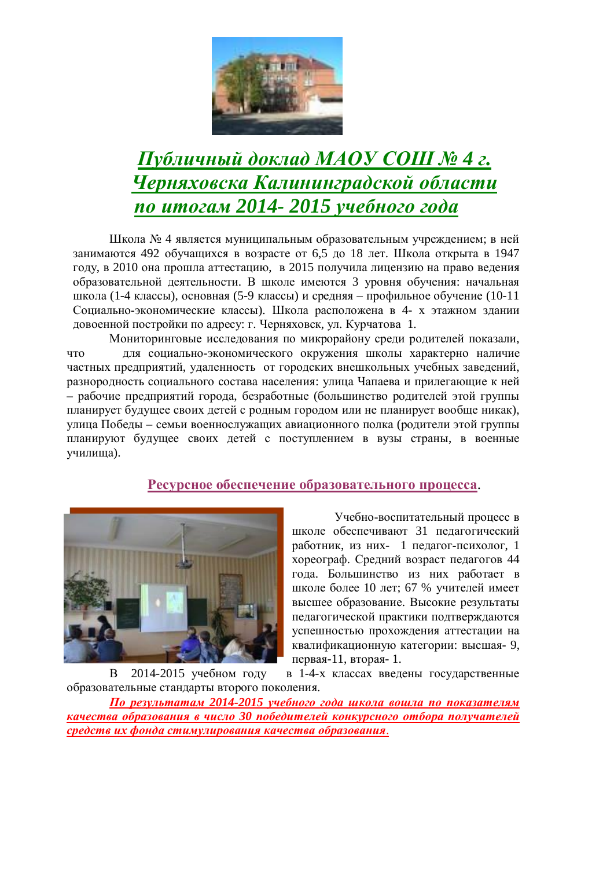

# $IIy$ бличный доклад МАОУ СОШ № 4 г. **Черняховска Калининградской области** *по итогам 2014- 2015 учебного года*

Школа № 4 является муниципальным образовательным учреждением; в ней занимаются 492 обучащихся в возрасте от 6,5 до 18 лет. Школа открыта в 1947 году, в 2010 она прошла аттестацию, в 2015 получила лицензию на право ведения образовательной деятельности. В школе имеются 3 уровня обучения: начальная школа (1-4 классы), основная (5-9 классы) и средняя – профильное обучение (10-11 Социально-экономические классы). Школа расположена в 4- х этажном здании довоенной постройки по адресу: г. Черняховск, ул. Курчатова 1.

Мониторинговые исследования по микрорайону среди родителей показали, что для социально-экономического окружения школы характерно наличие частных предприятий, удаленность от городских внешкольных учебных заведений, разнородность социального состава населения: улица Чапаева и прилегающие к ней – рабочие предприятий города, безработные (большинство родителей этой группы планирует будущее своих детей с родным городом или не планирует вообще никак), улица Победы – семьи военнослужащих авиационного полка (родители этой группы планируют будущее своих детей с поступлением в вузы страны, в военные училища).

## Ресурсное обеспечение образовательного процесса.



Учебно-воспитательный процесс в школе обеспечивают 31 педагогический работник, из них- 1 педагог-психолог, 1 хореограф. Средний возраст педагогов 44 года. Большинство из них работает в школе более 10 лет; 67 % учителей имеет высшее образование. Высокие результаты педагогической практики подтверждаются успешностью прохождения аттестации на квалификационную категории: высшая- 9, первая-11, вторая- 1.

В 2014-2015 учебном году в 1-4-х классах введены государственные образовательные стандарты второго поколения.

**По результатам 2014-2015 учебного года школа вошла по показателям качества образования в число 30 победителей конкурсного отбора получателей** *средств их фонда стимулирования качества образования.*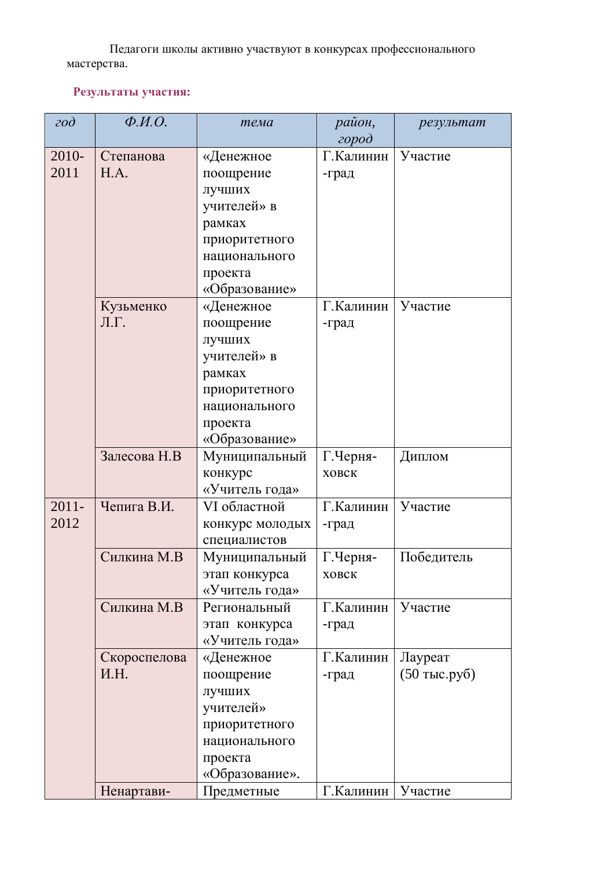Педагоги школы активно участвуют в конкурсах профессионального мастерства.

# Результаты участия:

| $\partial$               | $\overline{\Phi}$ . <i>H.O.</i> | тема            | район,    | результат      |  |
|--------------------------|---------------------------------|-----------------|-----------|----------------|--|
|                          |                                 |                 | $\alpha$  |                |  |
| 2010-                    | Степанова                       | «Денежное       | Г.Калинин | Участие        |  |
| 2011                     | H.A.                            | поощрение       | -град     |                |  |
|                          |                                 | лучших          |           |                |  |
|                          |                                 | учителей» в     |           |                |  |
|                          |                                 | рамках          |           |                |  |
|                          |                                 | приоритетного   |           |                |  |
|                          |                                 | национального   |           |                |  |
|                          |                                 | проекта         |           |                |  |
|                          |                                 | «Образование»   |           |                |  |
|                          | Кузьменко                       | «Денежное       | Г.Калинин | Участие        |  |
|                          | Л.Г.                            | поощрение       | -град     |                |  |
|                          |                                 | лучших          |           |                |  |
|                          |                                 | учителей» в     |           |                |  |
|                          |                                 | рамках          |           |                |  |
|                          |                                 | приоритетного   |           |                |  |
|                          |                                 | национального   |           |                |  |
|                          |                                 | проекта         |           |                |  |
|                          |                                 | «Образование»   |           |                |  |
|                          | Залесова Н.В                    | Муниципальный   | Г.Черня-  | Диплом         |  |
|                          |                                 | конкурс         | ховск     |                |  |
|                          |                                 | «Учитель года»  |           |                |  |
| $2011 -$                 | Чепига В.И.                     | VI областной    | Г.Калинин | Участие        |  |
| 2012                     |                                 | конкурс молодых | -град     |                |  |
|                          |                                 | специалистов    |           |                |  |
|                          | Силкина М.В                     | Муниципальный   | Г.Черня-  | Победитель     |  |
|                          |                                 | этап конкурса   | ховск     |                |  |
|                          |                                 | «Учитель года»  |           |                |  |
|                          | Силкина М.В                     | Региональный    | Г.Калинин | Участие        |  |
|                          |                                 | этап конкурса   | -град     |                |  |
|                          |                                 | «Учитель года»  |           |                |  |
|                          | Скороспелова                    | «Денежное       | Г.Калинин | Лауреат        |  |
|                          | И.Н.                            | поощрение       | -град     | $(50$ тыс.руб) |  |
|                          |                                 | лучших          |           |                |  |
|                          |                                 | учителей»       |           |                |  |
|                          |                                 | приоритетного   |           |                |  |
|                          |                                 | национального   |           |                |  |
|                          |                                 | проекта         |           |                |  |
|                          |                                 | «Образование».  |           |                |  |
| Ненартави-<br>Предметные |                                 | Г.Калинин       | Участие   |                |  |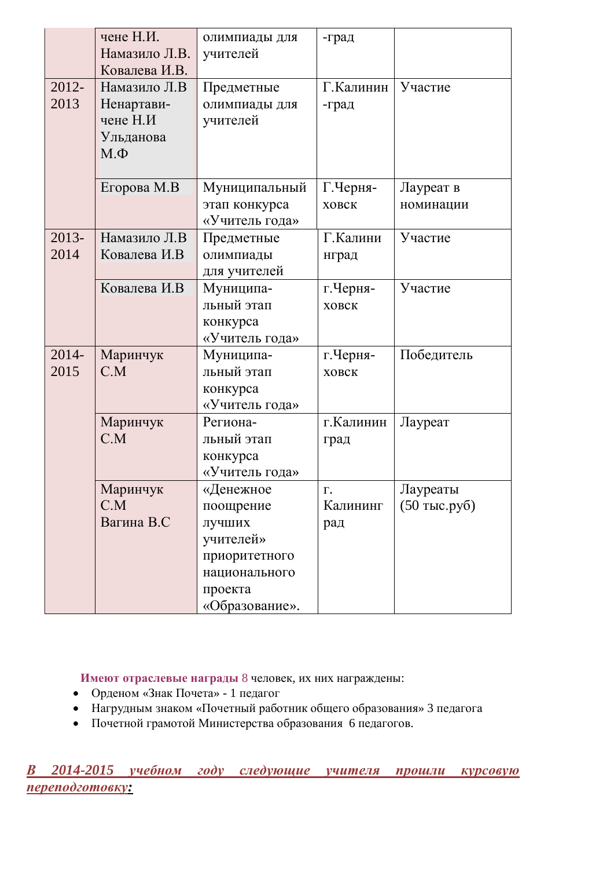|                  | чене Н.И.<br>Намазило Л.В.<br>Ковалева И.В.                     | олимпиады для<br>учителей                                                                                    | -град                 |                            |
|------------------|-----------------------------------------------------------------|--------------------------------------------------------------------------------------------------------------|-----------------------|----------------------------|
| 2012-<br>2013    | Намазило Л.В<br>Ненартави-<br>чене Н.И<br>Ульданова<br>$M.\Phi$ | Предметные<br>олимпиады для<br>учителей                                                                      | Г.Калинин<br>-град    | Участие                    |
|                  | Егорова М.В                                                     | Муниципальный<br>этап конкурса<br>«Учитель года»                                                             | Г.Черня-<br>ховск     | Лауреат в<br>номинации     |
| $2013 -$<br>2014 | Намазило Л.В<br>Ковалева И.В                                    | Предметные<br>олимпиады<br>для учителей                                                                      | Г.Калини<br>нград     | Участие                    |
|                  | Ковалева И.В                                                    | Муниципа-<br>льный этап<br>конкурса<br>«Учитель года»                                                        | г. Черня-<br>ховск    | Участие                    |
| 2014-<br>2015    | Маринчук<br>C.M                                                 | Муниципа-<br>льный этап<br>конкурса<br>«Учитель года»                                                        | г. Черня-<br>ховск    | Победитель                 |
|                  | Маринчук<br>C.M                                                 | Региона-<br>льный этап<br>конкурса<br>«Учитель года»                                                         | г.Калинин<br>град     | Лауреат                    |
|                  | Маринчук<br>C.M<br>Вагина В.С                                   | «Денежное<br>поощрение<br>лучших<br>учителей»<br>приоритетного<br>национального<br>проекта<br>«Образование». | Γ.<br>Калининг<br>рад | Лауреаты<br>$(50$ тыс.руб) |

**Имеют отраслевые награды 8 человек, их них награждены:** 

- Орденом «Знак Почета» 1 педагог
- Нагрудным знаком «Почетный работник общего образования» 3 педагога
- Почетной грамотой Министерства образования 6 педагогов.

**В** 2014-2015 учебном году следующие учителя прошли курсовую  $nepenodzomosky:$ </u>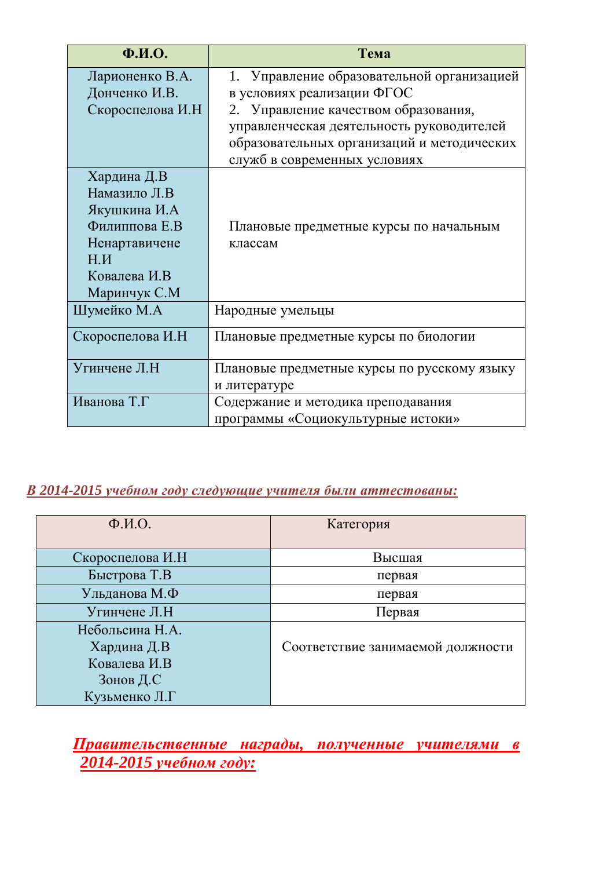| $\Phi$ <sub>M</sub> .O. | Тема                                        |
|-------------------------|---------------------------------------------|
| Ларионенко В.А.         | 1. Управление образовательной организацией  |
| Донченко И.В.           | в условиях реализации ФГОС                  |
| Скороспелова И.Н        | 2. Управление качеством образования,        |
|                         | управленческая деятельность руководителей   |
|                         | образовательных организаций и методических  |
|                         | служб в современных условиях                |
| Хардина Д.В             |                                             |
| Намазило Л.В            |                                             |
| Якушкина И.А            |                                             |
| Филиппова Е.В           | Плановые предметные курсы по начальным      |
| Ненартавичене           | классам                                     |
| H.M                     |                                             |
| Ковалева И.В            |                                             |
| Маринчук С.М            |                                             |
| Шумейко М.А             | Народные умельцы                            |
| Скороспелова И.Н        | Плановые предметные курсы по биологии       |
| Угинчене Л.Н            | Плановые предметные курсы по русскому языку |
|                         | и литературе                                |
| Иванова Т.Г             | Содержание и методика преподавания          |
|                         | программы «Социокультурные истоки»          |

# **В 2014-2015 учебном году следующие учителя были аттестованы:**

| $\Phi$ <sub>M</sub> .O. | Категория                         |
|-------------------------|-----------------------------------|
| Скороспелова И.Н        | Высшая                            |
| Быстрова Т.В            | первая                            |
| Ульданова М.Ф           | первая                            |
| Угинчене Л.Н            | Первая                            |
| Небольсина Н.А.         |                                   |
| Хардина Д.В             | Соответствие занимаемой должности |
| Ковалева И.В.           |                                   |
| Зонов Д.С               |                                   |
| Кузьменко Л.Г           |                                   |

<u>Правительственные награды, полученные учителями в</u> **2014-2015 учебном году:**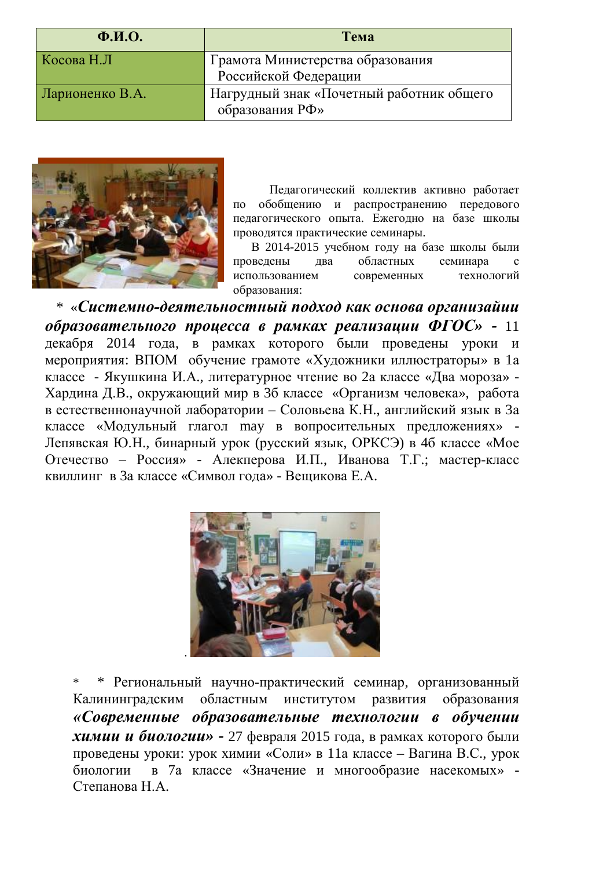| $\Phi$ <sub>M</sub> .O. | Тема                                                        |  |
|-------------------------|-------------------------------------------------------------|--|
| Косова Н.Л              | Грамота Министерства образования                            |  |
|                         | Российской Федерации                                        |  |
| Ларионенко В.А.         | Нагрудный знак «Почетный работник общего<br>образования РФ» |  |



Педагогический коллектив активно работает по обобщению и распространению передового педагогического опыта. Ежегодно на базе школы проводятся практические семинары.

В 2014-2015 учебном голу на базе школы были проведены два областных семинара с использованием современных технологий образования:

\* «Системно-деятельностный подход как основа организайии *образовательного процесса в рамках реализации ФГОС» -* **11** декабря 2014 года, в рамках которого были проведены уроки и мероприятия: ВПОМ обучение грамоте «Художники иллюстраторы» в 1а классе - Якушкина И.А., литературное чтение во 2а классе «Два мороза» -Хардина Д.В., окружающий мир в 3б классе «Организм человека», работа в естественнонаучной лаборатории – Соловьева К.Н., английский язык в За классе «Модульный глагол may в вопросительных предложениях» -Лепявская Ю.Н., бинарный урок (русский язык, ОРКСЭ) в 46 классе «Мое Отечество – Россия» - Алекперова И.П., Иванова Т.Г.; мастер-класс квиллинг в За классе «Символ гола» - Вешикова Е.А.



\* Региональный научно-практический семинар, организованный Калининградским областным институтом развития образования «Современные образовательные технологии в обучении *химии и биологии»* **-** 27 февраля 2015 года, в рамках которого были проведены уроки: урок химии «Соли» в 11а классе – Вагина В.С., урок биологии в 7а классе «Значение и многообразие насекомых» - $C$ тепанова  $H$  А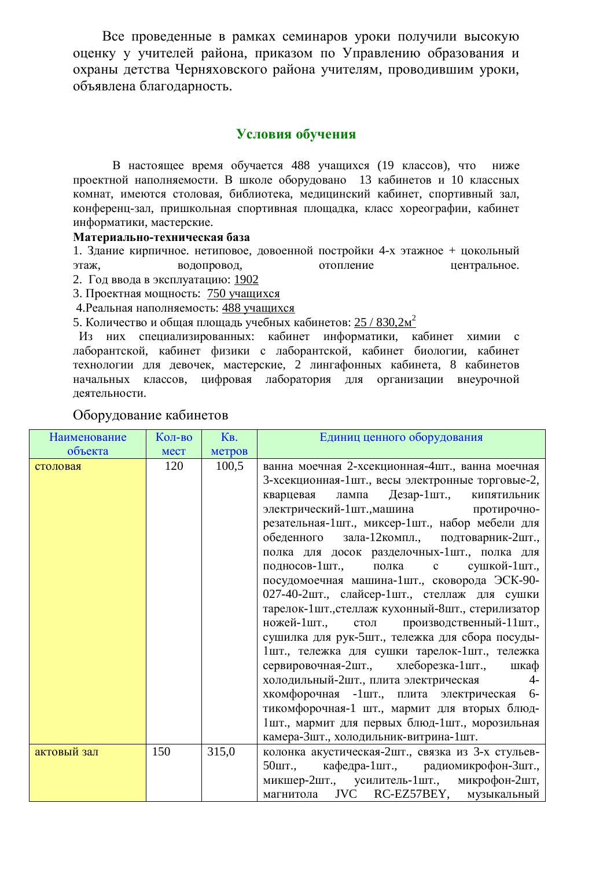Все проведенные в рамках семинаров уроки получили высокую оценку у учителей района, приказом по Управлению образования и охраны детства Черняховского района учителям, проводившим уроки, объявлена благодарность.

## **Условия обучения**

В настоящее время обучается 488 учащихся (19 классов), что ниже проектной наполняемости. В школе оборудовано 13 кабинетов и 10 классных комнат, имеются столовая, библиотека, медицинский кабинет, спортивный зал, конференц-зал, пришкольная спортивная площадка, класс хореографии, кабинет информатики, мастерские.

#### Материально-техническая база

1. Здание кирпичное. нетиповое, довоенной постройки 4-х этажное + цокольный этаж, водопровод, этопление центральное.

- 2. Год ввода в эксплуатацию: 1902
- 3. Проектная мощность: 750 учащихся
- 4. Реальная наполняемость: 488 учащихся

5. Количество и общая площадь учебных кабинетов:  $25 / 830,2m^2$ 

Из них специализированных: кабинет информатики, кабинет химии с лаборантской, кабинет физики с лаборантской, кабинет биологии, кабинет технологии для девочек, мастерские, 2 лингафонных кабинета, 8 кабинетов начальных классов, цифровая лаборатория для организации внеурочной деятельности.

| <b>Наименование</b> | Кол-во      | K <sub>B</sub> . | Единиц ценного оборудования                                                                                                                                                                                                                                                                                                                                                                                                                                                                                                                                                                                                                                                                                                                                                                                                                                                                                                                                                                     |  |
|---------------------|-------------|------------------|-------------------------------------------------------------------------------------------------------------------------------------------------------------------------------------------------------------------------------------------------------------------------------------------------------------------------------------------------------------------------------------------------------------------------------------------------------------------------------------------------------------------------------------------------------------------------------------------------------------------------------------------------------------------------------------------------------------------------------------------------------------------------------------------------------------------------------------------------------------------------------------------------------------------------------------------------------------------------------------------------|--|
| объекта             | <b>MecT</b> | метров           |                                                                                                                                                                                                                                                                                                                                                                                                                                                                                                                                                                                                                                                                                                                                                                                                                                                                                                                                                                                                 |  |
| столовая            | 120         | 100,5            | ванна моечная 2-хсекционная-4шт., ванна моечная<br>3-хсекционная-1шт., весы электронные торговые-2,<br>Дезар-1шт., кипятильник<br>лампа<br>кварцевая<br>электрический-1шт., машина протирочно-<br>резательная-1шт., миксер-1шт., набор мебели для<br>обеденного зала-12 компл., подтоварник-2шт.,<br>полка для досок разделочных-1шт., полка для<br>полка с<br>подносов-1шт.,<br>сушкой-1шт.,<br>посудомоечная машина-1шт., сковорода ЭСК-90-<br>027-40-2шт., слайсер-1шт., стеллаж для сушки<br>тарелок-1шт., стеллаж кухонный-8шт., стерилизатор<br>ножей-1шт., стол<br>производственный-11шт.,<br>сушилка для рук-5шт., тележка для сбора посуды-<br>1шт., тележка для сушки тарелок-1шт., тележка<br>сервировочная-2шт., хлеборезка-1шт.,<br>шкаф<br>холодильный-2шт., плита электрическая<br>$4-$<br>хкомфорочная -1шт., плита электрическая 6-<br>тикомфорочная-1 шт., мармит для вторых блюд-<br>1шт., мармит для первых блюд-1шт., морозильная<br>камера-Зшт., холодильник-витрина-1шт. |  |
| актовый зал         | 150         | 315,0            | колонка акустическая-2шт., связка из 3-х стульев-<br>кафедра-1шт., радиомикрофон-3шт.,<br>50шт.,                                                                                                                                                                                                                                                                                                                                                                                                                                                                                                                                                                                                                                                                                                                                                                                                                                                                                                |  |
|                     |             |                  | микшер-2шт., усилитель-1шт., микрофон-2шт,<br>магнитола JVC RC-EZ57BEY, музыкальный                                                                                                                                                                                                                                                                                                                                                                                                                                                                                                                                                                                                                                                                                                                                                                                                                                                                                                             |  |

## Оборудование кабинетов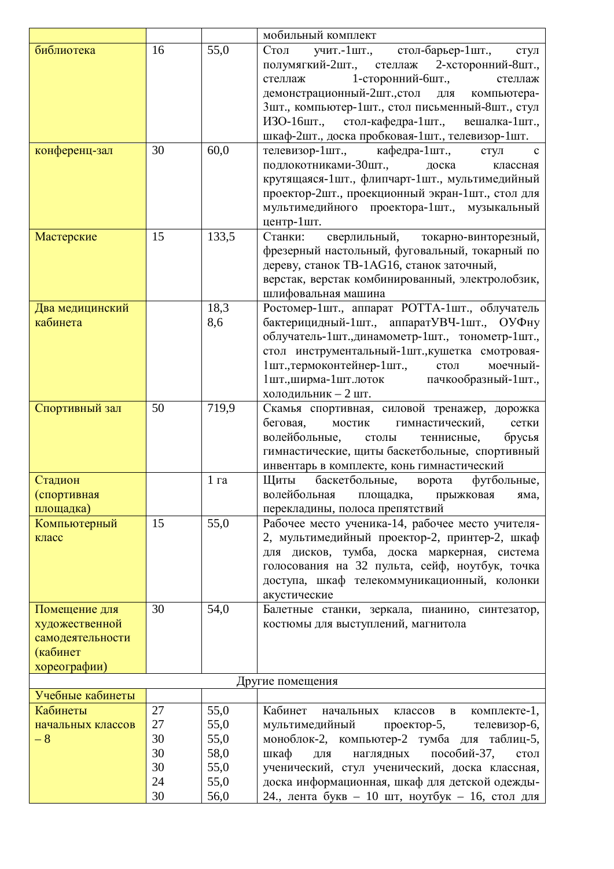|                                                                                 |          |                 | мобильный комплект                                                                                                                                                                                                                                                                                                                                       |  |
|---------------------------------------------------------------------------------|----------|-----------------|----------------------------------------------------------------------------------------------------------------------------------------------------------------------------------------------------------------------------------------------------------------------------------------------------------------------------------------------------------|--|
| библиотека                                                                      | 16       | 55,0            | учит.-1шт.,<br>стол-барьер-1шт.,<br>Стол<br>стул<br>полумягкий-2шт., стеллаж<br>2-хсторонний-8шт.,<br>1-сторонний-бшт.,<br>стеллаж<br>стеллаж<br>демонстрационный-2шт., стол<br>ДЛЯ<br>компьютера-<br>3шт., компьютер-1шт., стол письменный-8шт., стул<br>ИЗО-16шт., стол-кафедра-1шт., вешалка-1шт.,<br>шкаф-2шт., доска пробковая-1шт., телевизор-1шт. |  |
| конференц-зал                                                                   | 30       | 60,0            | телевизор-1шт.,<br>кафедра-1шт.,<br>стул<br>$\mathbf c$<br>подлокотниками-30шт.,<br>доска<br>классная<br>крутящаяся-1шт., флипчарт-1шт., мультимедийный<br>проектор-2шт., проекционный экран-1шт., стол для<br>мультимедийного проектора-1шт., музыкальный<br>центр-1шт.                                                                                 |  |
| Мастерские                                                                      | 15       | 133,5           | Станки:<br>сверлильный,<br>токарно-винторезный,<br>фрезерный настольный, фуговальный, токарный по<br>дереву, станок TB-1AG16, станок заточный,<br>верстак, верстак комбинированный, электролобзик,<br>шлифовальная машина                                                                                                                                |  |
| Два медицинский<br>кабинета                                                     |          | 18,3<br>8,6     | Ростомер-1шт., аппарат РОТТА-1шт., облучатель<br>бактерицидный-1шт., аппаратУВЧ-1шт., ОУФну<br>облучатель-1шт., динамометр-1шт., тонометр-1шт.,<br>стол инструментальный-1шт., кушетка смотровая-<br>1шт., термоконтейнер-1шт.,<br>моечный-<br>$C$ ТОЛ<br>1шт., ширма-1шт. лоток пачкообразный-1шт.,<br>холодильник - 2 шт.                              |  |
| Спортивный зал                                                                  | 50       | 719,9           | Скамья спортивная, силовой тренажер, дорожка<br>беговая,<br>мостик<br>гимнастический,<br>сетки<br>волейбольные,<br>брусья<br>теннисные,<br>столы<br>гимнастические, щиты баскетбольные, спортивный<br>инвентарь в комплекте, конь гимнастический                                                                                                         |  |
| Стадион<br>(спортивная<br>площадка)                                             |          | 1 <sub>ra</sub> | Щиты баскетбольные, ворота<br>футбольные,<br>волейбольная площадка, прыжковая<br>яма,<br>перекладины, полоса препятствий                                                                                                                                                                                                                                 |  |
| Компьютерный<br>класс                                                           | 15       | 55,0            | Рабочее место ученика-14, рабочее место учителя-<br>2, мультимедийный проектор-2, принтер-2, шкаф<br>для дисков, тумба, доска маркерная, система<br>голосования на 32 пульта, сейф, ноутбук, точка<br>доступа, шкаф телекоммуникационный, колонки<br>акустические                                                                                        |  |
| Помещение для<br>художественной<br>самодеятельности<br>(кабинет<br>хореографии) | 30       | 54,0            | Балетные станки, зеркала, пианино, синтезатор,<br>костюмы для выступлений, магнитола                                                                                                                                                                                                                                                                     |  |
|                                                                                 |          |                 | Другие помещения                                                                                                                                                                                                                                                                                                                                         |  |
| Учебные кабинеты                                                                |          |                 |                                                                                                                                                                                                                                                                                                                                                          |  |
| Кабинеты                                                                        | 27       | 55,0            | Кабинет<br>начальных<br>классов<br>комплекте-1,<br>B                                                                                                                                                                                                                                                                                                     |  |
| начальных классов                                                               | 27       | 55,0            | мультимедийный<br>проектор-5,<br>телевизор-6,                                                                                                                                                                                                                                                                                                            |  |
| $-8$                                                                            | 30       | 55,0            | моноблок-2, компьютер-2 тумба для таблиц-5,                                                                                                                                                                                                                                                                                                              |  |
|                                                                                 | 30       | 58,0            | пособий-37,<br>шкаф<br>ДЛЯ<br>наглядных<br>стол                                                                                                                                                                                                                                                                                                          |  |
|                                                                                 | 30<br>24 | 55,0<br>55,0    | ученический, стул ученический, доска классная,<br>доска информационная, шкаф для детской одежды-                                                                                                                                                                                                                                                         |  |
|                                                                                 | 30       | 56,0            | 24., лента букв - 10 шт, ноутбук - 16, стол для                                                                                                                                                                                                                                                                                                          |  |
|                                                                                 |          |                 |                                                                                                                                                                                                                                                                                                                                                          |  |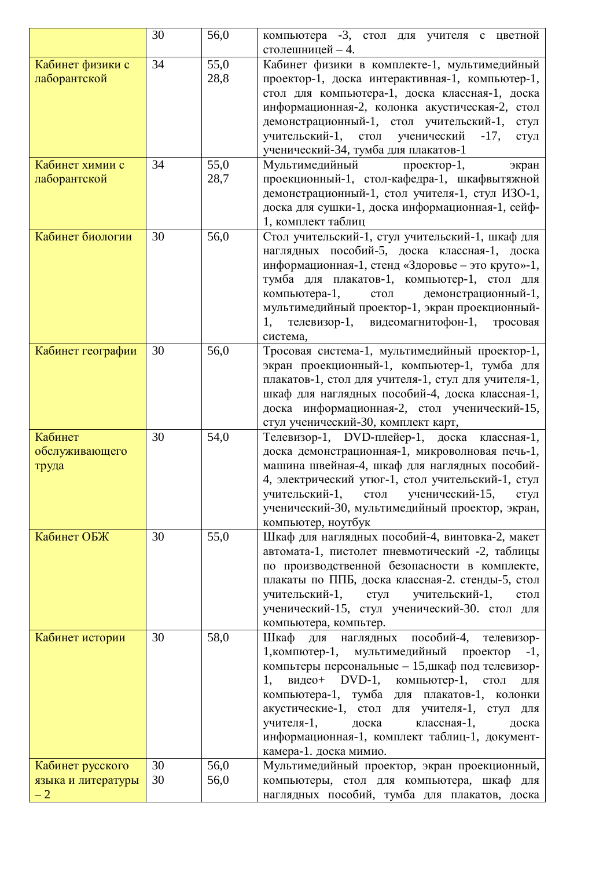|                    | 30 | 56,0 | компьютера -3, стол для учителя с цветной           |  |  |
|--------------------|----|------|-----------------------------------------------------|--|--|
|                    |    |      | столешницей - 4.                                    |  |  |
| Кабинет физики с   | 34 | 55,0 | Кабинет физики в комплекте-1, мультимедийный        |  |  |
| лаборантской       |    | 28,8 | проектор-1, доска интерактивная-1, компьютер-1,     |  |  |
|                    |    |      | стол для компьютера-1, доска классная-1, доска      |  |  |
|                    |    |      | информационная-2, колонка акустическая-2, стол      |  |  |
|                    |    |      | демонстрационный-1, стол учительский-1,<br>стул     |  |  |
|                    |    |      | учительский-1, стол ученический<br>$-17,$<br>стул   |  |  |
|                    |    |      | ученический-34, тумба для плакатов-1                |  |  |
| Кабинет химии с    | 34 | 55,0 | Мультимедийный<br>проектор-1,<br>экран              |  |  |
| лаборантской       |    | 28,7 | проекционный-1, стол-кафедра-1, шкафвытяжной        |  |  |
|                    |    |      | демонстрационный-1, стол учителя-1, стул ИЗО-1,     |  |  |
|                    |    |      | доска для сушки-1, доска информационная-1, сейф-    |  |  |
|                    |    |      | 1, комплект таблиц                                  |  |  |
| Кабинет биологии   | 30 | 56,0 | Стол учительский-1, стул учительский-1, шкаф для    |  |  |
|                    |    |      | наглядных пособий-5, доска классная-1, доска        |  |  |
|                    |    |      | информационная-1, стенд «Здоровье - это круто»-1,   |  |  |
|                    |    |      | тумба для плакатов-1, компьютер-1, стол для         |  |  |
|                    |    |      | стол демонстрационный-1,<br>компьютера-1,           |  |  |
|                    |    |      | мультимедийный проектор-1, экран проекционный-      |  |  |
|                    |    |      | телевизор-1, видеомагнитофон-1, тросовая<br>1.      |  |  |
|                    |    |      |                                                     |  |  |
|                    | 30 | 56,0 | система,                                            |  |  |
| Кабинет географии  |    |      | Тросовая система-1, мультимедийный проектор-1,      |  |  |
|                    |    |      | экран проекционный-1, компьютер-1, тумба для        |  |  |
|                    |    |      | плакатов-1, стол для учителя-1, стул для учителя-1, |  |  |
|                    |    |      | шкаф для наглядных пособий-4, доска классная-1,     |  |  |
|                    |    |      | доска информационная-2, стол ученический-15,        |  |  |
|                    |    |      | стул ученический-30, комплект карт,                 |  |  |
| Кабинет            | 30 | 54,0 | Телевизор-1, DVD-плейер-1, доска классная-1,        |  |  |
| обслуживающего     |    |      | доска демонстрационная-1, микроволновая печь-1,     |  |  |
| труда              |    |      | машина швейная-4, шкаф для наглядных пособий-       |  |  |
|                    |    |      | 4, электрический утюг-1, стол учительский-1, стул   |  |  |
|                    |    |      | учительский-1, стол ученический-15,<br>стул         |  |  |
|                    |    |      | ученический-30, мультимедийный проектор, экран,     |  |  |
|                    |    |      | компьютер, ноутбук                                  |  |  |
| Кабинет ОБЖ        | 30 | 55,0 | Шкаф для наглядных пособий-4, винтовка-2, макет     |  |  |
|                    |    |      | автомата-1, пистолет пневмотический -2, таблицы     |  |  |
|                    |    |      | по производственной безопасности в комплекте,       |  |  |
|                    |    |      | плакаты по ППБ, доска классная-2. стенды-5, стол    |  |  |
|                    |    |      | учительский-1, стул учительский-1,<br>$C$ ТОЛ       |  |  |
|                    |    |      | ученический-15, стул ученический-30. стол для       |  |  |
|                    |    |      | компьютера, компьтер.                               |  |  |
| Кабинет истории    | 30 | 58,0 | Шкаф для наглядных пособий-4,<br>телевизор-         |  |  |
|                    |    |      | 1, компютер-1, мультимедийный проектор -1,          |  |  |
|                    |    |      | компьтеры персональные - 15, шкаф под телевизор-    |  |  |
|                    |    |      | видео+ DVD-1, компьютер-1, стол<br>1.<br>ДЛЯ        |  |  |
|                    |    |      | компьютера-1, тумба для плакатов-1, колонки         |  |  |
|                    |    |      | акустические-1, стол для учителя-1, стул для        |  |  |
|                    |    |      | учителя-1,<br>классная-1,<br>доска<br>доска         |  |  |
|                    |    |      | информационная-1, комплект таблиц-1, документ-      |  |  |
|                    |    |      | камера-1. доска мимио.                              |  |  |
| Кабинет русского   | 30 | 56,0 | Мультимедийный проектор, экран проекционный,        |  |  |
| языка и литературы | 30 | 56,0 | компьютеры, стол для компьютера, шкаф для           |  |  |
| $-2$               |    |      | наглядных пособий, тумба для плакатов, доска        |  |  |
|                    |    |      |                                                     |  |  |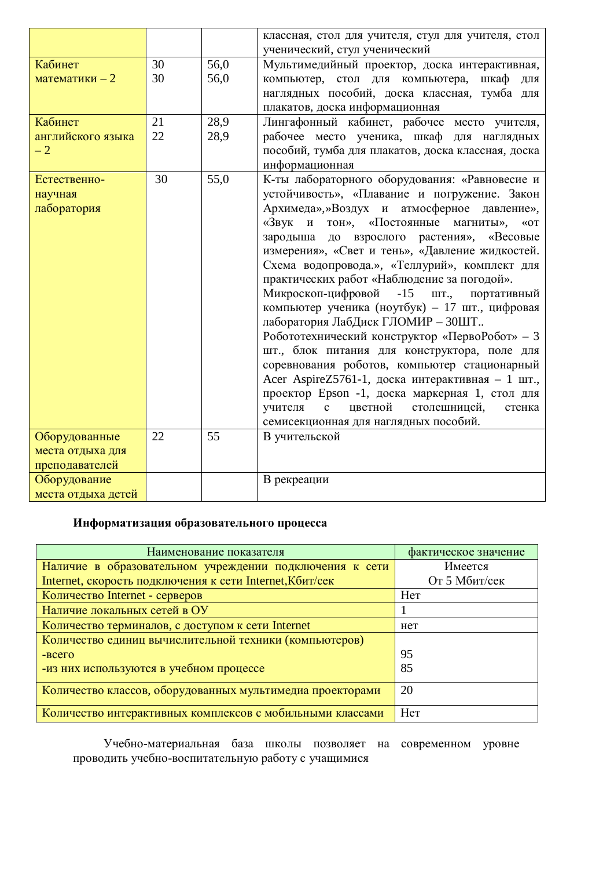|                    |    |      | классная, стол для учителя, стул для учителя, стол<br>ученический, стул ученический |  |
|--------------------|----|------|-------------------------------------------------------------------------------------|--|
| Кабинет            | 30 | 56,0 | Мультимедийный проектор, доска интерактивная,                                       |  |
| математики $-2$    | 30 | 56,0 | компьютер, стол для компьютера,<br>шкаф<br>ДЛЯ                                      |  |
|                    |    |      | наглядных пособий, доска классная, тумба для                                        |  |
|                    |    |      |                                                                                     |  |
|                    |    |      | плакатов, доска информационная                                                      |  |
| Кабинет            | 21 | 28,9 | Лингафонный кабинет, рабочее место учителя,                                         |  |
| английского языка  | 22 | 28,9 | рабочее место ученика, шкаф для наглядных                                           |  |
| $-2$               |    |      | пособий, тумба для плакатов, доска классная, доска                                  |  |
|                    |    |      | информационная                                                                      |  |
| Естественно-       | 30 | 55,0 | К-ты лабораторного оборудования: «Равновесие и                                      |  |
| научная            |    |      | устойчивость», «Плавание и погружение. Закон                                        |  |
| лаборатория        |    |      | Архимеда»,»Воздух и атмосферное давление»,                                          |  |
|                    |    |      | «Звук и тон», «Постоянные магниты»,<br>$\&$ OT                                      |  |
|                    |    |      | зародыша до взрослого растения», «Весовые                                           |  |
|                    |    |      | измерения», «Свет и тень», «Давление жидкостей.                                     |  |
|                    |    |      |                                                                                     |  |
|                    |    |      | Схема водопровода.», «Теллурий», комплект для                                       |  |
|                    |    |      | практических работ «Наблюдение за погодой».                                         |  |
|                    |    |      | Микроскоп-цифровой<br>$-15$<br>ШТ.,<br>портативный                                  |  |
|                    |    |      | компьютер ученика (ноутбук) - 17 шт., цифровая                                      |  |
|                    |    |      | лаборатория ЛабДиск ГЛОМИР - ЗОШТ                                                   |  |
|                    |    |      | Робототехнический конструктор «ПервоРобот» - 3                                      |  |
|                    |    |      | шт., блок питания для конструктора, поле для                                        |  |
|                    |    |      | соревнования роботов, компьютер стационарный                                        |  |
|                    |    |      | Acer AspireZ5761-1, доска интерактивная - 1 шт.,                                    |  |
|                    |    |      | проектор Epson -1, доска маркерная 1, стол для                                      |  |
|                    |    |      | цветной<br>столешницей,<br>учителя<br>$\mathbf{c}$<br>стенка                        |  |
|                    |    |      | семисекционная для наглядных пособий.                                               |  |
| Оборудованные      | 22 | 55   | В учительской                                                                       |  |
| места отдыха для   |    |      |                                                                                     |  |
| преподавателей     |    |      |                                                                                     |  |
| Оборудование       |    |      | В рекреации                                                                         |  |
|                    |    |      |                                                                                     |  |
| места отдыха детей |    |      |                                                                                     |  |

## **Информатизация образовательного процесса**

| Наименование показателя                                   | фактическое значение |
|-----------------------------------------------------------|----------------------|
| Наличие в образовательном учреждении подключения к сети   | Имеется              |
| Internet, скорость подключения к сети Internet, Кбит/сек  | От 5 Мбит/сек        |
| Количество Internet - серверов                            | Her                  |
| Наличие локальных сетей в ОУ                              |                      |
| Количество терминалов, с доступом к сети Internet         | Het                  |
| Количество единиц вычислительной техники (компьютеров)    |                      |
| $-BCETO$                                                  | 95                   |
| -из них используются в учебном процессе                   | 85                   |
| Количество классов, оборудованных мультимедиа проекторами | 20                   |
| Количество интерактивных комплексов с мобильными классами | Her                  |

Учебно-материальная база школы позволяет на современном уровне проводить учебно-воспитательную работу с учащимися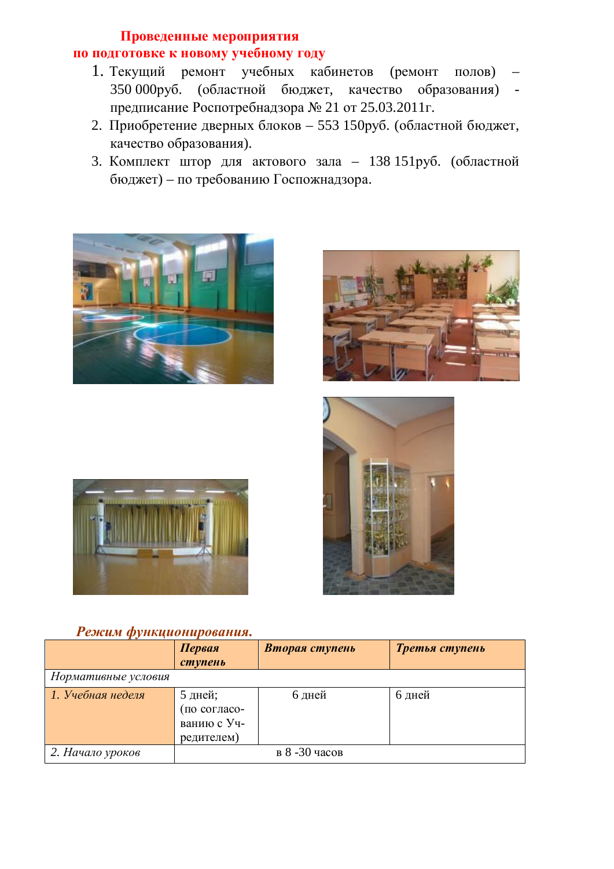## Проведенные мероприятия по подготовке к новому учебному году

- 1. Текущий ремонт учебных кабинетов (ремонт полов) 350 000руб. (областной бюджет, качество образования) предписание Роспотребнадзора № 21 от 25.03.2011г.
- 2. Приобретение дверных блоков 553 150руб. (областной бюджет, качество образования).
- 3. Комплект штор для актового зала 138 151руб. (областной  $\delta$ юджет) – по требованию Госпожнадзора.









## **Режим функционирования.**

|                     | Первая       | Вторая ступень | Третья ступень |
|---------------------|--------------|----------------|----------------|
|                     | ступень      |                |                |
| Нормативные условия |              |                |                |
| 1. Учебная неделя   | 5 дней;      | 6 дней         | 6 дней         |
|                     | (по согласо- |                |                |
|                     | ванию с Уч-  |                |                |
|                     | редителем)   |                |                |
| 2. Начало уроков    |              | в 8-30 часов   |                |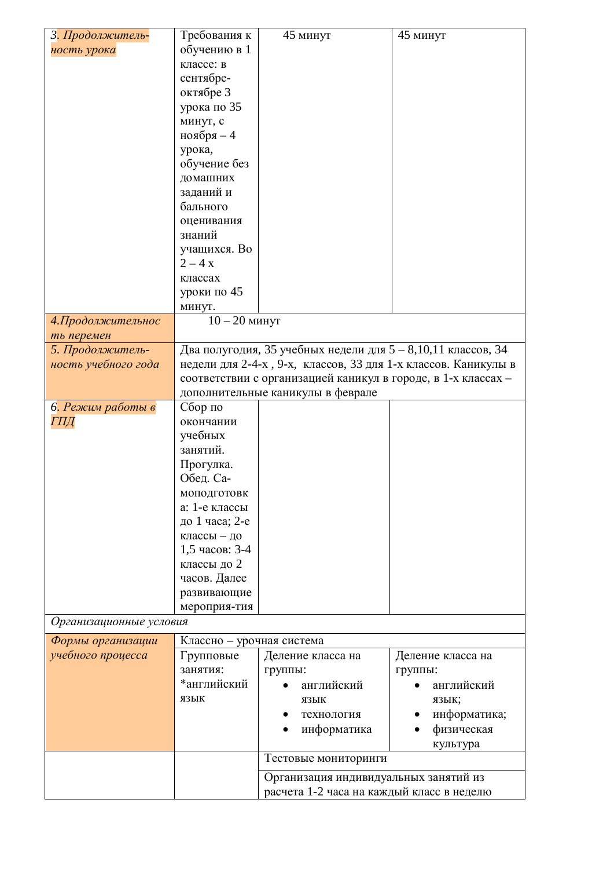| 3. Продолжитель-        | Требования к              | 45 минут                                                       | 45 минут          |
|-------------------------|---------------------------|----------------------------------------------------------------|-------------------|
| ность урока             | обучению в 1              |                                                                |                   |
|                         | классе: в                 |                                                                |                   |
|                         | сентябре-                 |                                                                |                   |
|                         | октябре 3                 |                                                                |                   |
|                         | урока по 35               |                                                                |                   |
|                         | минут, с                  |                                                                |                   |
|                         | ноября $-4$               |                                                                |                   |
|                         | урока,                    |                                                                |                   |
|                         | обучение без              |                                                                |                   |
|                         | домашних                  |                                                                |                   |
|                         | заданий и                 |                                                                |                   |
|                         | бального                  |                                                                |                   |
|                         |                           |                                                                |                   |
|                         | оценивания<br>знаний      |                                                                |                   |
|                         |                           |                                                                |                   |
|                         | учащихся. Во              |                                                                |                   |
|                         | $2 - 4x$                  |                                                                |                   |
|                         | классах                   |                                                                |                   |
|                         | уроки по 45               |                                                                |                   |
|                         | минут.                    |                                                                |                   |
| 4. Продолжительнос      | $10 - 20$ минут           |                                                                |                   |
| ть перемен              |                           |                                                                |                   |
| 5. Продолжитель-        |                           | Два полугодия, 35 учебных недели для 5 - 8,10,11 классов, 34   |                   |
| ность учебного года     |                           | недели для 2-4-х, 9-х, классов, 33 для 1-х классов. Каникулы в |                   |
|                         |                           | соответствии с организацией каникул в городе, в 1-х классах -  |                   |
|                         |                           | дополнительные каникулы в феврале                              |                   |
| 6. Режим работы в       | Сбор по                   |                                                                |                   |
| ГПД                     | окончании                 |                                                                |                   |
|                         | учебных                   |                                                                |                   |
|                         | занятий.                  |                                                                |                   |
|                         | Прогулка.                 |                                                                |                   |
|                         | Обед. Са-                 |                                                                |                   |
|                         | моподготовк               |                                                                |                   |
|                         | а: 1-е классы             |                                                                |                   |
|                         | до 1 часа; 2-е            |                                                                |                   |
|                         | классы - до               |                                                                |                   |
|                         | 1,5 часов: 3-4            |                                                                |                   |
|                         | классы до 2               |                                                                |                   |
|                         | часов. Далее              |                                                                |                   |
|                         | развивающие               |                                                                |                   |
|                         | мероприя-тия              |                                                                |                   |
| Организационные условия |                           |                                                                |                   |
| Формы организации       | Классно - урочная система |                                                                |                   |
| учебного процесса       | Групповые                 | Деление класса на                                              | Деление класса на |
|                         | занятия:                  | группы:                                                        | группы:           |
|                         | *английский               | английский                                                     | английский        |
|                         | ЯЗЫК                      | ЯЗЫК                                                           | язык;             |
|                         |                           | технология                                                     | информатика;      |
|                         |                           | информатика                                                    | физическая        |
|                         |                           |                                                                | культура          |
|                         |                           | Тестовые мониторинги                                           |                   |
|                         |                           | Организация индивидуальных занятий из                          |                   |
|                         |                           | расчета 1-2 часа на каждый класс в неделю                      |                   |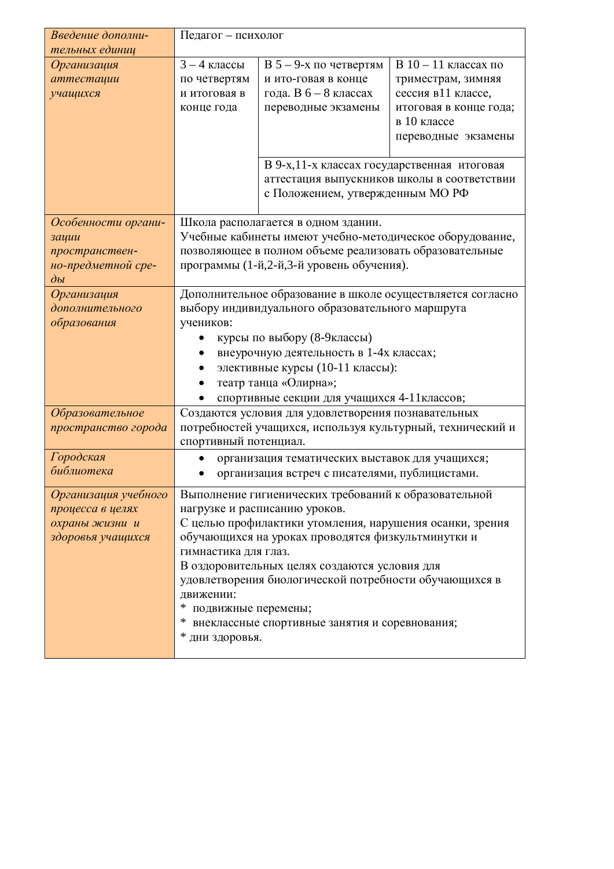| Введение дополни-    | Педагог - психолог    |                                                                         |                                             |
|----------------------|-----------------------|-------------------------------------------------------------------------|---------------------------------------------|
| тельных единиц       |                       |                                                                         |                                             |
| Организация          | $3 - 4$ классы        | В 5 - 9-х по четвертям                                                  | $B$ 10 - 11 классах по                      |
| аттестации           | по четвертям          | и ито-говая в конце                                                     | триместрам, зимняя                          |
| учащихся             | и итоговая в          | года. В $6-8$ классах                                                   | сессия в11 классе,                          |
|                      | конце года            | переводные экзамены                                                     | итоговая в конце года;                      |
|                      |                       |                                                                         | в 10 классе                                 |
|                      |                       |                                                                         | переводные экзамены                         |
|                      |                       | В 9-х, 11-х классах государственная итоговая                            |                                             |
|                      |                       |                                                                         | аттестация выпускников школы в соответствии |
|                      |                       | с Положением, утвержденным МО РФ                                        |                                             |
|                      |                       |                                                                         |                                             |
| Особенности органи-  |                       | Школа располагается в одном здании.                                     |                                             |
| зации                |                       | Учебные кабинеты имеют учебно-методическое оборудование,                |                                             |
| пространствен-       |                       | позволяющее в полном объеме реализовать образовательные                 |                                             |
| но-предметной сре-   |                       | программы (1-й, 2-й, 3-й уровень обучения).                             |                                             |
| $\partial b$         |                       |                                                                         |                                             |
| Организация          |                       | Дополнительное образование в школе осуществляется согласно              |                                             |
| дополнительного      |                       | выбору индивидуального образовательного маршрута                        |                                             |
| образования          | учеников:             |                                                                         |                                             |
|                      |                       | курсы по выбору (8-9 классы)<br>внеурочную деятельность в 1-4х классах; |                                             |
|                      |                       | элективные курсы (10-11 классы):                                        |                                             |
|                      |                       | театр танца «Олирна»;                                                   |                                             |
|                      |                       | спортивные секции для учащихся 4-11 классов;                            |                                             |
| Образовательное      |                       | Создаются условия для удовлетворения познавательных                     |                                             |
| пространство города  |                       | потребностей учащихся, используя культурный, технический и              |                                             |
|                      | спортивный потенциал. |                                                                         |                                             |
| Городская            | $\bullet$             | организация тематических выставок для учащихся;                         |                                             |
| библиотека           |                       | организация встреч с писателями, публицистами.                          |                                             |
| Организация учебного |                       | Выполнение гигиенических требований к образовательной                   |                                             |
| процесса в целях     |                       | нагрузке и расписанию уроков.                                           |                                             |
| охраны жизни и       |                       | С целью профилактики утомления, нарушения осанки, зрения                |                                             |
| здоровья учащихся    |                       | обучающихся на уроках проводятся физкультминутки и                      |                                             |
|                      | гимнастика для глаз.  |                                                                         |                                             |
|                      |                       | В оздоровительных целях создаются условия для                           |                                             |
|                      |                       | удовлетворения биологической потребности обучающихся в                  |                                             |
|                      | движении:             |                                                                         |                                             |
|                      | * подвижные перемены; |                                                                         |                                             |
|                      | ∗                     | внеклассные спортивные занятия и соревнования;                          |                                             |
|                      | * дни здоровья.       |                                                                         |                                             |
|                      |                       |                                                                         |                                             |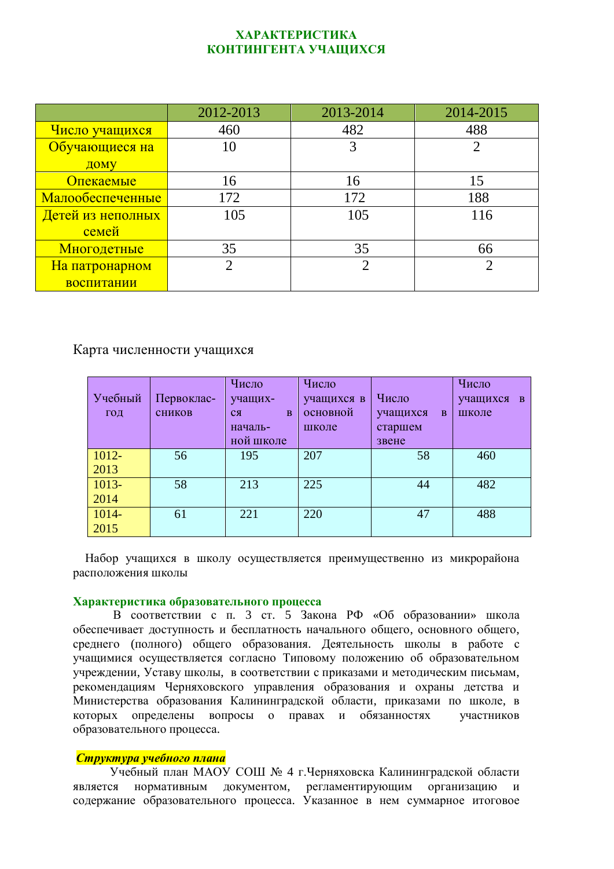#### **ɏȺɊȺɄɌȿɊɂɋɌɂɄȺ**  КОНТИНГЕНТА УЧАЩИХСЯ

|                   | 2012-2013 | 2013-2014 | 2014-2015      |
|-------------------|-----------|-----------|----------------|
| Число учащихся    | 460       | 482       | 488            |
| Обучающиеся на    | 10        |           | $\overline{2}$ |
| ДОМУ              |           |           |                |
| Опекаемые         | 16        | 16        | 15             |
| Малообеспеченные  | 172       | 172       | 188            |
| Детей из неполных | 105       | 105       | 116            |
| семей             |           |           |                |
| Многодетные       | 35        | 35        | 66             |
| На патронарном    | 2         |           | റ              |
| воспитании        |           |           |                |

#### Карта численности учащихся

| Учебный<br>ГОД | Первоклас-<br>сников | Число<br>учащих-<br>B<br>$c_{\mathcal{A}}$<br>началь- | Число<br>учащихся в<br>основной<br>школе | Число<br>учащихся<br>B<br>старшем | Число<br>учащихся в<br>школе |
|----------------|----------------------|-------------------------------------------------------|------------------------------------------|-----------------------------------|------------------------------|
| $1012 -$       | 56                   | ной школе<br>195                                      | 207                                      | звене<br>58                       | 460                          |
| 2013           |                      |                                                       |                                          |                                   |                              |
| 1013-          | 58                   | 213                                                   | 225                                      | 44                                | 482                          |
| 2014           |                      |                                                       |                                          |                                   |                              |
| 1014-          | 61                   | 221                                                   | 220                                      | 47                                | 488                          |
| 2015           |                      |                                                       |                                          |                                   |                              |

Набор учащихся в школу осуществляется преимущественно из микрорайона расположения школы

#### **Характеристика образовательного процесса**

В соответствии с п. 3 ст. 5 Закона РФ «Об образовании» школа обеспечивает доступность и бесплатность начального общего, основного общего, среднего (полного) общего образования. Деятельность школы в работе с учащимися осуществляется согласно Типовому положению об образовательном учреждении, Уставу школы, в соответствии с приказами и методическим письмам, рекомендациям Черняховского управления образования и охраны детства и Министерства образования Калининградской области, приказами по школе, в которых определены вопросы о правах и обязанностях участников образовательного процесса.

#### **Структура учебного плана**

Учебный план МАОУ СОШ № 4 г. Черняховска Калининградской области является нормативным документом, регламентирующим организацию и содержание образовательного процесса. Указанное в нем суммарное итоговое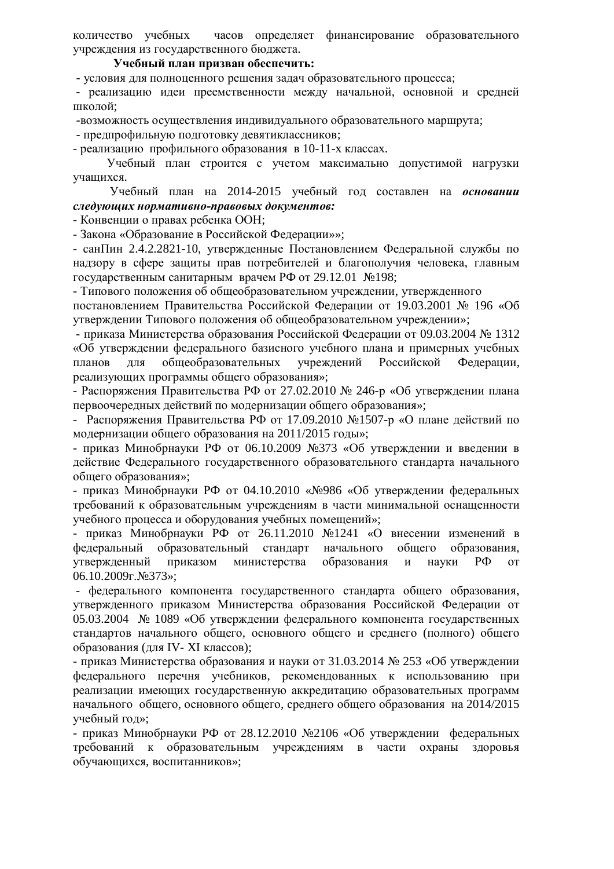количество учебных часов опрелеляет финансирование образовательного учреждения из государственного бюджета.

#### **ɍɱɟɛɧɵɣɩɥɚɧɩɪɢɡɜɚɧɨɛɟɫɩɟɱɢɬɶ:**

- условия для полноценного решения задач образовательного процесса;

- реализацию идеи преемственности между начальной, основной и средней школой;

-возможность осуществления индивидуального образовательного маршрута;

- предпрофильную подготовку девятиклассников:

- реализацию профильного образования в 10-11-х классах.

Учебный план строится с учетом максимально допустимой нагрузки учашихся.

Учебный план на 2014-2015 учебный год составлен на основании  $c$ ледующих нормативно-правовых документов:

- Конвенции о правах ребенка ООН;

- Закона «Образование в Российской Федерации»»;

- санПин 2.4.2.2821-10, утвержденные Постановлением Федеральной службы по надзору в сфере защиты прав потребителей и благополучия человека, главным государственным санитарным врачем РФ от 29.12.01  $\text{N}_2$ 198;

- Типового положения об общеобразовательном учреждении, утвержденного

постановлением Правительства Российской Федерации от 19.03.2001 № 196 «Об утверждении Типового положения об общеобразовательном учреждении»;

- приказа Министерства образования Российской Федерации от 09.03.2004 № 1312 «Об утверждении федерального базисного учебного плана и примерных учебных планов для общеобразовательных учреждений Российской Федерации, реализующих программы общего образования»;

- Распоряжения Правительства РФ от 27.02.2010 № 246-р «Об утверждении плана первоочередных действий по модернизации общего образования»;

- Распоряжения Правительства РФ от 17.09.2010 №1507-р «О плане действий по модернизации общего образования на 2011/2015 годы»;

- приказ Минобрнауки РФ от 06.10.2009 №373 «Об утверждении и введении в действие Федерального государственного образовательного стандарта начального общего образования»;

- приказ Минобрнауки РФ от 04.10.2010 «№986 «Об утверждении федеральных требований к образовательным учреждениям в части минимальной оснащенности учебного процесса и оборудования учебных помещений»;

- приказ Минобрнауки РФ от 26.11.2010 №1241 «О внесении изменений в федеральный образовательный стандарт начального общего образования, vтвержденный приказом министерства образования и науки РФ от 06.10.2009г. №373»;

- федерального компонента государственного стандарта общего образования, vтвержденного приказом Министерства образования Российской Федерации от 05.03.2004 № 1089 «Об утверждении федерального компонента государственных стандартов начального общего, основного общего и среднего (полного) общего образования (для IV- XI классов);

- приказ Министерства образования и науки от 31.03.2014  $\text{Ne } 253$  «Об утверждении федерального перечня учебников, рекомендованных к использованию при реализации имеющих государственную аккредитацию образовательных программ начального общего, основного общего, среднего общего образования на 2014/2015 учебный год»;

- приказ Минобрнауки РФ от 28.12.2010 №2106 «Об утверждении федеральных требований к образовательным учреждениям в части охраны здоровья обучающихся, воспитанников»;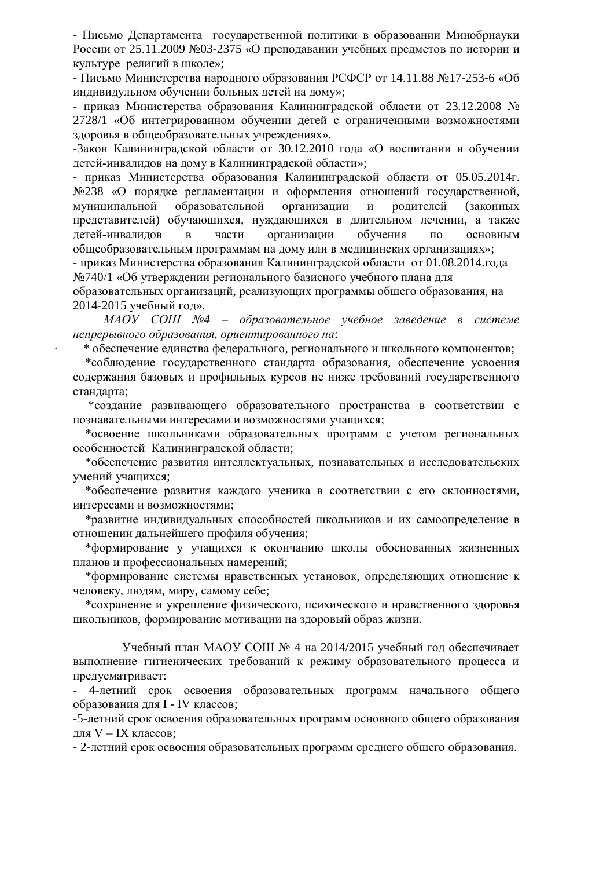- Письмо Лепартамента госуларственной политики в образовании Минобрнауки России от 25.11.2009 №03-2375 «О преподавании учебных предметов по истории и культуре религий в школе»;

- Письмо Министерства народного образования РСФСР от 14.11.88 №17-253-6 «Об индивидульном обучении больных детей на дому»;

- приказ Министерства образования Калининградской области от 23.12.2008 № 2728/1 «Об интегрированном обучении детей с ограниченными возможностями здоровья в общеобразовательных учреждениях».

-Закон Калининградской области от 30.12.2010 года «О воспитании и обучении детей-инвалидов на дому в Калининградской области»;

- приказ Министерства образования Калининградской области от 05.05.2014г. №238 «О порядке регламентации и оформления отношений государственной, муниципальной образовательной организации и родителей (законных представителей) обучающихся, нуждающихся в длительном лечении, а также детей-инвалидов в части организации обучения по основным общеобразовательным программам на дому или в медицинских организациях»;

- приказ Министерства образования Калининградской области от 01.08.2014. года №740/1 «Об утверждении регионального базисного учебного плана для

образовательных организаций, реализующих программы общего образования, на 2014-2015 учебный год».

*MAOУ СОШ №4 – образовательное учебное заведение в системе*  $h$ епрерывного образования, ориентированного на:

\* обеспечение единства федерального, регионального и школьного компонентов;

\*соблюдение государственного стандарта образования, обеспечение усвоения содержания базовых и профильных курсов не ниже требований государственного стандарта;

\*создание развивающего образовательного пространства в соответствии с познавательными интересами и возможностями учащихся;

\*освоение школьниками образовательных программ с учетом региональных особенностей Калининградской области;

\*обеспечение развития интеллектуальных, познавательных и исследовательских умений учащихся;

\*обеспечение развития каждого ученика в соответствии с его склонностями, интересами и возможностями;

\*развитие индивидуальных способностей школьников и их самоопределение в отношении дальнейшего профиля обучения;

\*формирование у учащихся к окончанию школы обоснованных жизненных планов и профессиональных намерений:

\*формирование системы нравственных установок, определяющих отношение к человеку, людям, миру, самому себе;

 $*$ сохранение и укрепление физического, психического и нравственного здоровья школьников, формирование мотивации на здоровый образ жизни.

Учебный план МАОУ СОШ № 4 на 2014/2015 учебный год обеспечивает выполнение гигиенических требований к режиму образовательного процесса и предусматривает:

- 4-летний срок освоения образовательных программ начального общего образования для I - IV классов;

-5-летний срок освоения образовательных программ основного общего образования иля  $V$  – IX классов:

- 2-летний срок освоения образовательных программ среднего общего образования.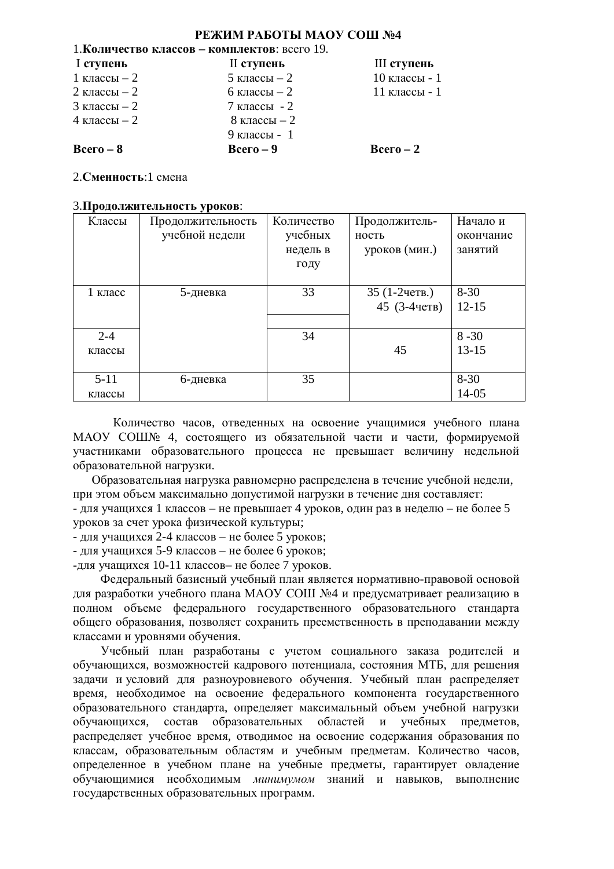#### РЕЖИМ РАБОТЫ МАОУ СОШ №4

### 1. **Количество классов – комплектов**: всего 19. I**ɫɬɭɩɟɧɶ** II**ɫɬɭɩɟɧɶ** III**ɫɬɭɩɟɧɶ**  $1 \text{ класы} - 2$  5 классы $-2$  10 классы - 1  $2 \text{ класен} - 2$  6  $\text{класен} - 2$  11  $\text{кracсы} - 1$  $3 \text{ класы} - 2$  7 классы - 2  $4 \text{ класы} - 2$  8 классы $-2$  $9$  классы - 1  $\text{Bcero} = 8$  **b**  $\text{Bcero} = 9$  **b**  $\text{Bcero} = 2$

#### 2. Сменность<sup>1</sup> смена

#### 3. Продолжительность уроков:

| Классы   | Продолжительность | Количество | Продолжитель- | Начало и  |
|----------|-------------------|------------|---------------|-----------|
|          | учебной недели    | учебных    | ность         | окончание |
|          |                   | недель в   | уроков (мин.) | занятий   |
|          |                   | году       |               |           |
|          |                   |            |               |           |
| 1 класс  | 5-дневка          | 33         | 35 (1-2четв.) | $8-30$    |
|          |                   |            | 45 (3-4четв)  | $12 - 15$ |
|          |                   |            |               |           |
| $2 - 4$  |                   | 34         |               | $8 - 30$  |
| классы   |                   |            | 45            | $13 - 15$ |
|          |                   |            |               |           |
| $5 - 11$ | 6-дневка          | 35         |               | $8 - 30$  |
| классы   |                   |            |               | $14 - 05$ |

Количество часов, отведенных на освоение учащимися учебного плана МАОУ СОШЉ 4, состоящего из обязательной части и части, формируемой участниками образовательного процесса не превышает величину недельной образовательной нагрузки.

Образовательная нагрузка равномерно распределена в течение учебной недели, при этом объем максимально допустимой нагрузки в течение дня составляет:

- для учащихся 1 классов – не превышает 4 уроков, один раз в неделю – не более 5 уроков за счет урока физической культуры;

 $-$  для учащихся 2-4 классов – не более 5 уроков;

- для учащихся 5-9 классов – не более 6 уроков;

-для учащихся 10-11 классов- не более 7 уроков.

Федеральный базисный учебный план является нормативно-правовой основой для разработки учебного плана МАОУ СОШ №4 и предусматривает реализацию в полном объеме федерального государственного образовательного стандарта общего образования, позволяет сохранить преемственность в преподавании между классами и уровнями обучения.

Учебный план разработаны с учетом социального заказа родителей и обучающихся, возможностей кадрового потенциала, состояния МТБ, для решения задачи и условий для разноуровневого обучения. Учебный план распределяет время, необходимое на освоение федерального компонента государственного образовательного стандарта, определяет максимальный объем учебной нагрузки обучающихся, состав образовательных областей и учебных предметов, распределяет учебное время, отводимое на освоение содержания образования по классам, образовательным областям и учебным предметам. Количество часов, определенное в учебном плане на учебные предметы, гарантирует овладение обучающимися необходимым минимумом знаний и навыков, выполнение государственных образовательных программ.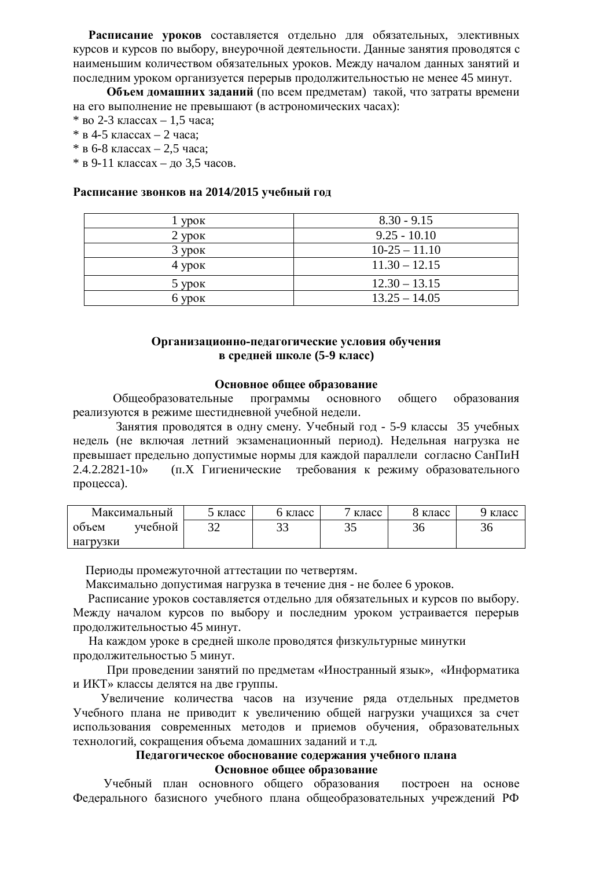Расписание уроков составляется отдельно для обязательных, элективных курсов и курсов по выбору, внеурочной деятельности. Данные занятия проводятся с наименьшим количеством обязательных уроков. Между началом данных занятий и последним уроком организуется перерыв продолжительностью не менее 45 минут.

Объем домашних заданий (по всем предметам) такой, что затраты времени на его выполнение не превышают (в астрономических часах):

- $*$  BO 2-3 KJaccax 1,5 часа;
- $*$  в 4-5 классах 2 часа;
- $*$  в 6-8 классах 2,5 часа;

 $*$  в 9-11 классах – до 3,5 часов.

#### Расписание звонков на 2014/2015 учебный год

| <b>VDOK</b> | $8.30 - 9.15$   |
|-------------|-----------------|
| $2$ ypok    | $9.25 - 10.10$  |
| $3$ ypok    | $10-25 - 11.10$ |
| $4$ ypok    | $11.30 - 12.15$ |
| $5$ ypok    | $12.30 - 13.15$ |
| $6$ ypok    | $13.25 - 14.05$ |

#### Организационно-педагогические условия обучения **в средней школе (5-9 класс)**

#### Основное общее образование

Общеобразовательные программы основного общего образования реализуются в режиме шестидневной учебной недели.

Занятия проводятся в одну смену. Учебный год - 5-9 классы 35 учебных недель (не включая летний экзаменационный период). Недельная нагрузка не превышает предельно допустимые нормы для каждой параллели согласно СанПиН 2.4.2.2821-10» (п.Х Гигиенические требования к режиму образовательного процесса).

| Максимальный |         | э класс | класс | класс | 8 класс | класс |
|--------------|---------|---------|-------|-------|---------|-------|
| объем        | учебной | ے ب     | ت ب   | ບປ    | ЭU      | 30    |
| нагрузки     |         |         |       |       |         |       |

Периоды промежуточной аттестации по четвертям.

Максимально допустимая нагрузка в течение дня - не более 6 уроков.

Расписание уроков составляется отдельно для обязательных и курсов по выбору. Между началом курсов по выбору и последним уроком устраивается перерыв продолжительностью 45 минут.

На каждом уроке в средней школе проводятся физкультурные минутки продолжительностью 5 минут.

При проведении занятий по предметам «Иностранный язык», «Информатика и ИКТ» классы лелятся на лве группы.

Увеличение количества часов на изучение ряда отдельных предметов Учебного плана не приводит к увеличению общей нагрузки учащихся за счет использования современных методов и приемов обучения, образовательных технологий, сокращения объема домашних заданий и т.д.

#### Пелагогическое обоснование солержания учебного плана Основное общее образование

Учебный план основного общего образования построен на основе Федерального базисного учебного плана общеобразовательных учреждений РФ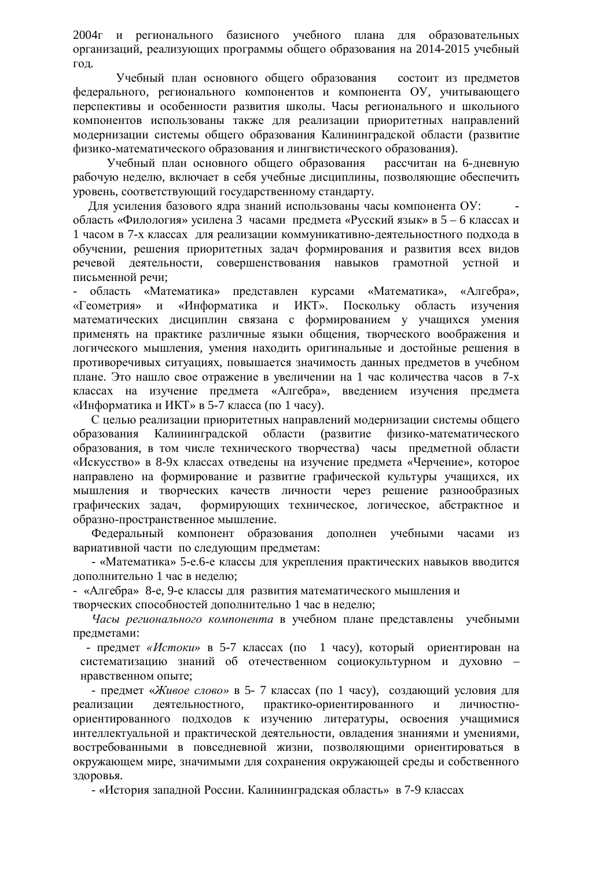2004г и регионального базисного учебного плана для образовательных организаций, реализующих программы общего образования на 2014-2015 учебный год.

Учебный план основного общего образования состоит из предметов федерального, регионального компонентов и компонента ОУ, учитывающего перспективы и особенности развития школы. Часы регионального и школьного компонентов использованы также для реализации приоритетных направлений молернизации системы общего образования Калинингралской области (развитие физико-математического образования и лингвистического образования).

Учебный план основного общего образования рассчитан на 6-дневную рабочую неделю, включает в себя учебные дисциплины, позволяющие обеспечить уровень, соответствующий государственному стандарту.

Для усиления базового ядра знаний использованы часы компонента ОУ: область «Филология» усилена 3 часами предмета «Русский язык» в 5 – 6 классах и 1 часом в 7-х классах для реализации коммуникативно-деятельностного подхода в обучении, решения приоритетных задач формирования и развития всех видов речевой деятельности, совершенствования навыков грамотной устной и письменной речи:

- область «Математика» представлен курсами «Математика», «Алгебра», «Геометрия» и «Информатика и ИКТ». Поскольку область изучения математических дисциплин связана с формированием у учащихся умения применять на практике различные языки общения, творческого воображения и логического мышления, умения находить оригинальные и достойные решения в противоречивых ситуациях, повышается значимость данных предметов в учебном плане. Это нашло свое отражение в увеличении на 1 час количества часов в 7-х классах на изучение предмета «Алгебра», введением изучения предмета «Информатика и ИКТ» в 5-7 класса (по 1 часу).

С целью реализации приоритетных направлений модернизации системы общего образования Калининградской области (развитие физико-математического образования, в том числе технического творчества) часы предметной области «Искусство» в 8-9х классах отведены на изучение предмета «Черчение», которое направлено на формирование и развитие графической культуры учащихся, их мышления и творческих качеств личности через решение разнообразных графических задач, формирующих техническое, логическое, абстрактное и образно-пространственное мышление.

Федеральный компонент образования дополнен учебными часами из вариативной части по следующим предметам:

- «Математика» 5-е.6-е классы для укрепления практических навыков вводится дополнительно 1 час в неделю;

- «Алгебра» 8-е, 9-е классы для развития математического мышления и творческих способностей дополнительно 1 час в неделю:

Часы регионального компонента в учебном плане представлены учебными предметами:

- предмет «Истоки» в 5-7 классах (по 1 часу), который ориентирован на систематизацию знаний об отечественном социокультурном и духовно нравственном опыте;

- предмет «Живое слово» в 5-7 классах (по 1 часу), создающий условия для реализации деятельностного, практико-ориентированного и личностноориентированного подходов к изучению литературы, освоения учащимися интеллектуальной и практической деятельности, овладения знаниями и умениями, востребованными в повседневной жизни, позволяющими ориентироваться в окружающем мире, значимыми для сохранения окружающей среды и собственного здоровья.

- «История западной России. Калининградская область» в 7-9 классах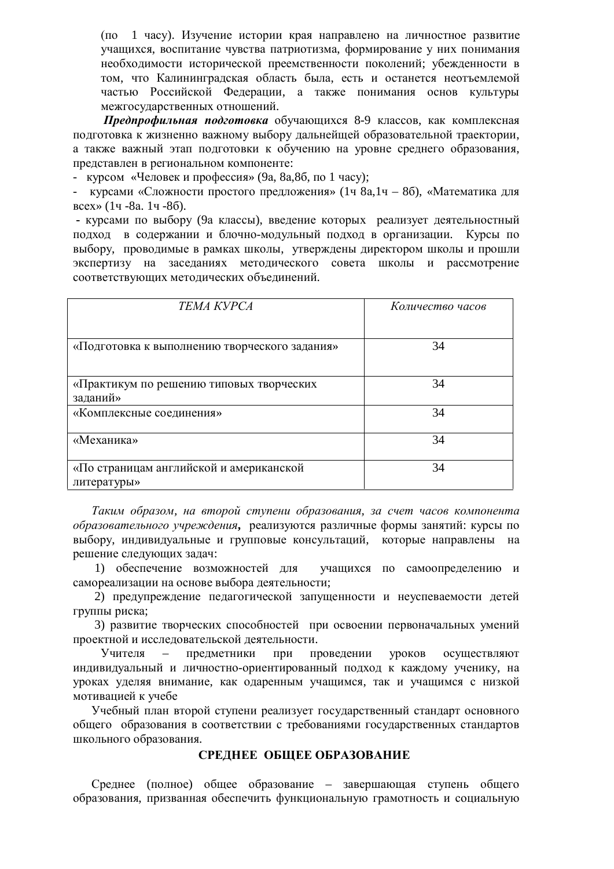(по 1 часу). Изучение истории края направлено на личностное развитие учащихся, воспитание чувства патриотизма, формирование у них понимания необходимости исторической преемственности поколений; убежденности в том, что Калининградская область была, есть и останется неотъемлемой частью Российской Федерации, а также понимания основ культуры межгосударственных отношений.

**Предпрофильная подготовка** обучающихся 8-9 классов, как комплексная подготовка к жизненно важному выбору дальнейщей образовательной траектории, а также важный этап подготовки к обучению на уровне среднего образования, представлен в региональном компоненте:

курсом «Человек и профессия» (9а, 8а,8б, по 1 часу);

курсами «Сложности простого предложения» (1ч 8а,1ч – 8б), «Математика для  $Bcex \rightarrow (14 - 8a. 14 - 86).$ 

• курсами по выбору (9а классы), введение которых реализует деятельностный подход в содержании и блочно-модульный подход в организации. Курсы по выбору, проводимые в рамках школы, утверждены директором школы и прошли экспертизу на заседаниях методического совета школы и рассмотрение соответствующих методических объединений.

| <b>TEMA KYPCA</b>                             | Количество часов |
|-----------------------------------------------|------------------|
|                                               |                  |
| «Подготовка к выполнению творческого задания» | 34               |
|                                               |                  |
| «Практикум по решению типовых творческих      | 34               |
| заданий»                                      |                  |
| «Комплексные соединения»                      | 34               |
| «Механика»                                    | 34               |
| «По страницам английской и американской       | 34               |
| литературы»                                   |                  |

Таким образом, на второй ступени образования, за счет часов компонента *образовательного учреждения*, реализуются различные формы занятий: курсы по выбору, индивидуальные и групповые консультаций, которые направлены на решение следующих задач:

1) обеспечение возможностей для учащихся по самоопределению и самореализации на основе выбора деятельности;

2) предупреждение педагогической запущенности и неуспеваемости детей группы риска;

3) развитие творческих способностей при освоении первоначальных умений проектной и исследовательской деятельности.

Учителя – предметники при проведении уроков осуществляют индивидуальный и личностно-ориентированный подход к каждому ученику, на уроках уделяя внимание, как одаренным учащимся, так и учащимся с низкой мотивацией к учебе

Учебный план второй ступени реализует государственный стандарт основного общего образования в соответствии с требованиями государственных стандартов школьного образования.

#### СРЕДНЕЕ ОБЩЕЕ ОБРАЗОВАНИЕ

Среднее (полное) общее образование – завершающая ступень общего образования, призванная обеспечить функциональную грамотность и социальную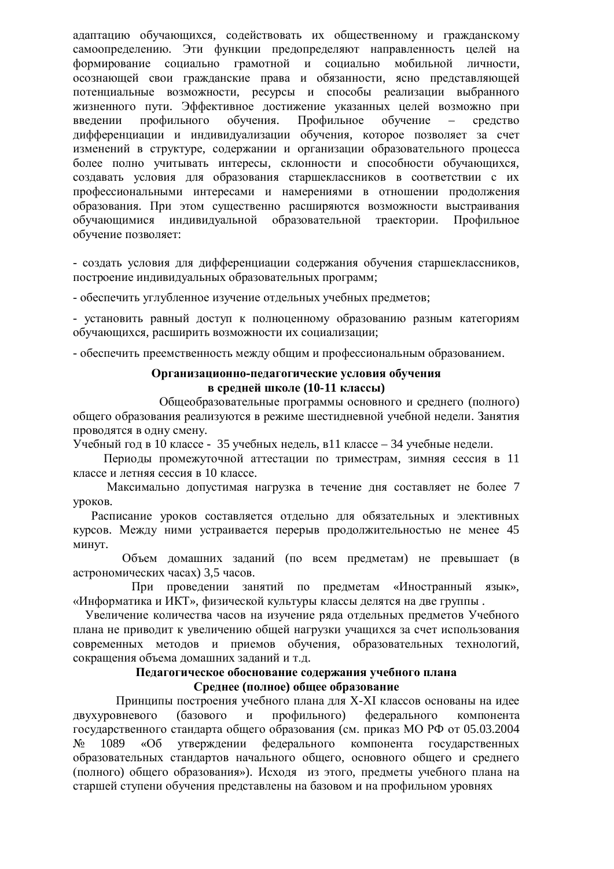адаптацию обучающихся, содействовать их общественному и гражданскому самоопределению. Эти функции предопределяют направленность целей на формирование социально грамотной и социально мобильной личности, осознающей свои гражданские права и обязанности, ясно представляющей потенциальные возможности, ресурсы и способы реализации выбранного жизненного пути. Эффективное достижение указанных целей возможно при введении профильного обучения. Профильное обучение – средство дифференциации и индивидуализации обучения, которое позволяет за счет изменений в структуре, содержании и организации образовательного процесса более полно учитывать интересы, склонности и способности обучающихся, создавать условия для образования старшеклассников в соответствии с их профессиональными интересами и намерениями в отношении продолжения образования. При этом существенно расширяются возможности выстраивания обучающимися индивидуальной образовательной траектории. Профильное обучение позволяет:

- создать условия для дифференциации содержания обучения старшеклассников, построение индивидуальных образовательных программ;

- обеспечить углубленное изучение отдельных учебных предметов;

- установить равный доступ к полноценному образованию разным категориям обучающихся, расширить возможности их социализации;

- обеспечить преемственность между обшим и профессиональным образованием.

#### Организационно-педагогические условия обучения **в средней школе (10-11 классы)**

Общеобразовательные программы основного и среднего (полного) общего образования реализуются в режиме шестидневной учебной недели. Занятия проводятся в одну смену.

Учебный год в 10 классе - 35 учебных недель, в 11 классе – 34 учебные недели.

Периоды промежуточной аттестации по триместрам, зимняя сессия в 11 классе и летняя сессия в 10 классе.

Максимально допустимая нагрузка в течение дня составляет не более 7 VDOKOB.

Расписание уроков составляется отдельно для обязательных и элективных курсов. Между ними устраивается перерыв продолжительностью не менее 45 MHHVT.

Объем домашних заданий (по всем предметам) не превышает (в астрономических часах) 3,5 часов.

При проведении занятий по предметам «Иностранный язык», «Информатика и ИКТ», физической культуры классы делятся на две группы.

Увеличение количества часов на изучение ряда отдельных предметов Учебного плана не приводит к увеличению общей нагрузки учащихся за счет использования современных методов и приемов обучения, образовательных технологий, сокращения объема домашних заданий и т.д.

#### Педагогическое обоснование содержания учебного плана  $C$ реднее (полное) общее образование

Принципы построения учебного плана для X-XI классов основаны на идее двухуровневого (базового и профильного) федерального компонента государственного стандарта общего образования (см. приказ МО РФ от 05.03.2004 № 1089 «Об утверждении федерального компонента государственных образовательных стандартов начального общего, основного общего и среднего (полного) общего образования»). Исходя из этого, предметы учебного плана на старшей ступени обучения представлены на базовом и на профильном уровнях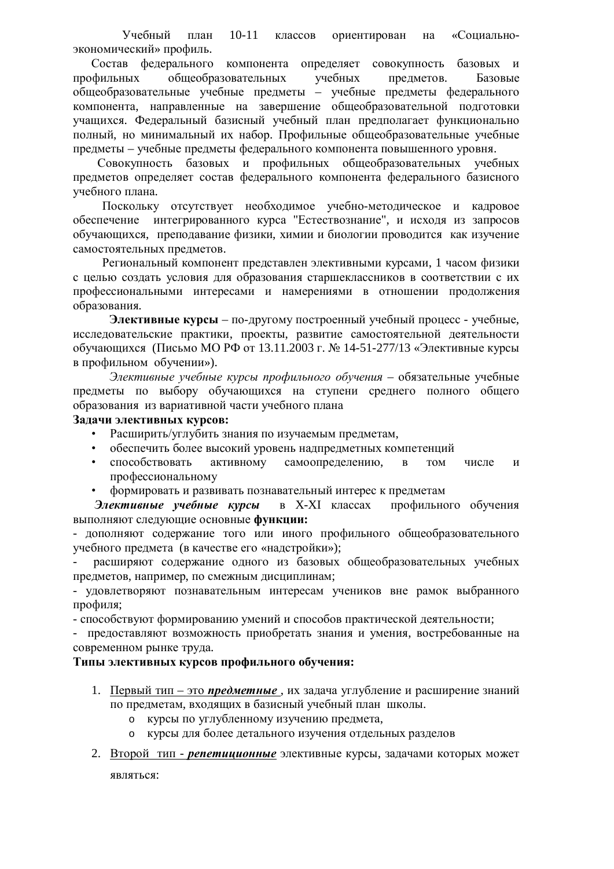Учебный план 10-11 классов ориентирован на «Социальноэкономический» профиль.

Состав федерального компонента определяет совокупность базовых и профильных общеобразовательных учебных предметов. Базовые общеобразовательные учебные предметы – учебные предметы федерального компонента, направленные на завершение общеобразовательной подготовки учащихся. Федеральный базисный учебный план предполагает функционально полный, но минимальный их набор. Профильные общеобразовательные учебные предметы – учебные предметы федерального компонента повышенного уровня.

Совокупность базовых и профильных общеобразовательных учебных предметов определяет состав федерального компонента федерального базисного учебного плана.

Поскольку отсутствует необходимое учебно-методическое и кадровое обеспечение интегрированного курса "Естествознание", и исходя из запросов обучающихся, преподавание физики, химии и биологии проводится как изучение самостоятельных предметов.

Региональный компонент представлен элективными курсами, 1 часом физики с целью создать условия для образования старшеклассников в соответствии с их профессиональными интересами и намерениями в отношении продолжения образования.

Элективные курсы – по-другому построенный учебный процесс - учебные, исследовательские практики, проекты, развитие самостоятельной деятельности обучающихся (Письмо МО РФ от 13.11.2003 г. № 14-51-277/13 «Элективные курсы в профильном обучении»).

Элективные учебные курсы профильного обучения – обязательные учебные предметы по выбору обучающихся на ступени среднего полного общего образования из вариативной части учебного плана

#### Задачи элективных курсов:

- Расширить/углубить знания по изучаемым предметам,
- обеспечить более высокий уровень надпредметных компетенций
- способствовать активному самоопределению, в том числе и профессиональному
- формировать и развивать познавательный интерес к предметам

Элективные учебные курсы в X-XI классах профильного обучения выполняют следующие основные функции:

- дополняют содержание того или иного профильного общеобразовательного учебного предмета (в качестве его «надстройки»);

расширяют содержание одного из базовых общеобразовательных учебных предметов, например, по смежным дисциплинам;

- удовлетворяют познавательным интересам учеников вне рамок выбранного профиля:

- способствуют формированию умений и способов практической деятельности;

- предоставляют возможность приобретать знания и умения, востребованные на современном рынке труда.

#### **Ɍɢɩɵɷɥɟɤɬɢɜɧɵɯɤɭɪɫɨɜɩɪɨɮɢɥɶɧɨɝɨɨɛɭɱɟɧɢɹ:**

- 1. Первый тип это *предметные*, их задача углубление и расширение знаний по предметам, входящих в базисный учебный план школы.
	- o курсы по углубленному изучению предмета,
	- **курсы для более детального изучения отдельных разделов**
- 2. Второй тип *репетиционные* элективные курсы, задачами которых может

являться: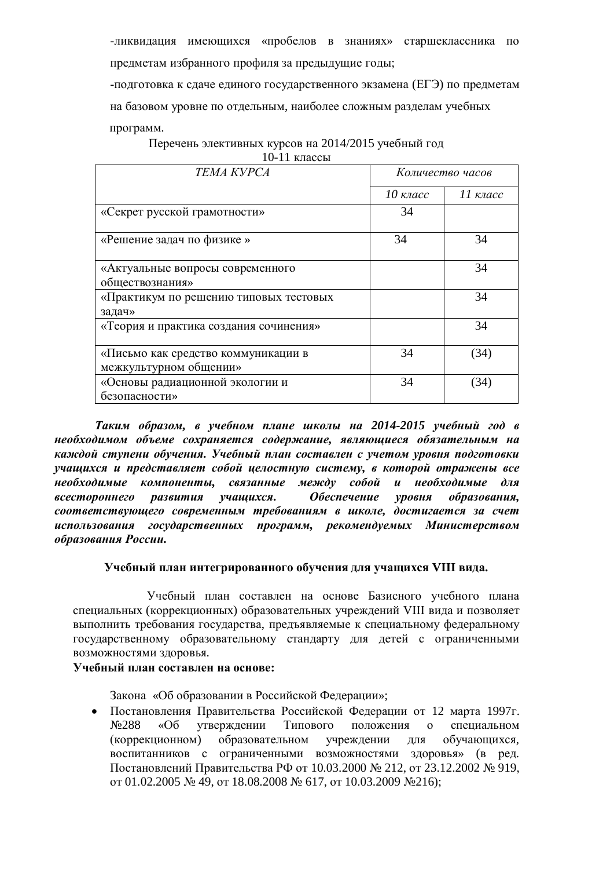-ликвилация имеющихся «пробелов в знаниях» старшеклассника по предметам избранного профиля за предыдущие годы;

-подготовка к сдаче единого государственного экзамена (ЕГЭ) по предметам на базовом уровне по отдельным, наиболее сложным разделам учебных программ.

Перечень элективных курсов на 2014/2015 учебный год 10-11 классы

| <b>TEMA KYPCA</b>                      | Количество часов |                    |  |  |
|----------------------------------------|------------------|--------------------|--|--|
|                                        | $10$ класс       | $II$ $\kappa$ nacc |  |  |
| «Секрет русской грамотности»           | 34               |                    |  |  |
| «Решение задач по физике»              | 34               | 34                 |  |  |
| «Актуальные вопросы современного       |                  | 34                 |  |  |
| обществознания»                        |                  |                    |  |  |
| «Практикум по решению типовых тестовых |                  | 34                 |  |  |
| задач»                                 |                  |                    |  |  |
| «Теория и практика создания сочинения» |                  | 34                 |  |  |
| «Письмо как средство коммуникации в    | 34               | (34)               |  |  |
| межкультурном общении»                 |                  |                    |  |  |
| «Основы радиационной экологии и        | 34               | 34                 |  |  |
| безопасности»                          |                  |                    |  |  |

*Ɍɚɤɢɦ ɨɛɪɚɡɨɦ, ɜ ɭɱɟɛɧɨɦ ɩɥɚɧɟ ɲɤɨɥɵ ɧɚ 2014-2015 ɭɱɟɛɧɵɣ ɝɨɞ ɜ* необходимом объеме сохраняется содержание, являющиеся обязательным на каждой ступени обучения. Учебный план составлен с учетом уровня подготовки учащихся и представляет собой целостную систему, в которой отражены все необходимые компоненты, связанные между собой и необходимые для *всестороннего развития учашихся. Обеспечение уровня образования,*  $coomsemcmey\ou\neq oo\ copenen\to b\neq mpe\bar{b}o\bar{e}an\iota\bar{e}a\rightarrow a\bar{e}a\bar{e}a\bar{e}a$  *иколе, достигается за счет* использования государственных программ, рекомендуемых Министерством *образования России.* 

#### **ɍɱɟɛɧɵɣɩɥɚɧɢɧɬɟɝɪɢɪɨɜɚɧɧɨɝɨɨɛɭɱɟɧɢɹɞɥɹɭɱɚɳɢɯɫɹ VIII ɜɢɞɚ.**

Учебный план составлен на основе Базисного учебного плана специальных (коррекционных) образовательных учреждений VIII вида и позволяет выполнить требования государства, предъявляемые к специальному федеральному государственному образовательному стандарту для детей с ограниченными возможностями здоровья.

### **ɍɱɟɛɧɵɣɩɥɚɧɫɨɫɬɚɜɥɟɧɧɚɨɫɧɨɜɟ:**

Закона «Об образовании в Российской Федерации»;

• Постановления Правительства Российской Федерации от 12 марта 1997г. №288 «Об утверждении Типового положения о специальном (коррекционном) образовательном учреждении для обучающихся, воспитанников с ограниченными возможностями здоровья» (в ред. Постановлений Правительства РФ от 10.03.2000 № 212, от 23.12.2002 № 919,  $\sigma$ T 01.02.2005  $\mathcal{N}$  49,  $\sigma$ T 18.08.2008  $\mathcal{N}$  617,  $\sigma$ T 10.03.2009  $\mathcal{N}$  216);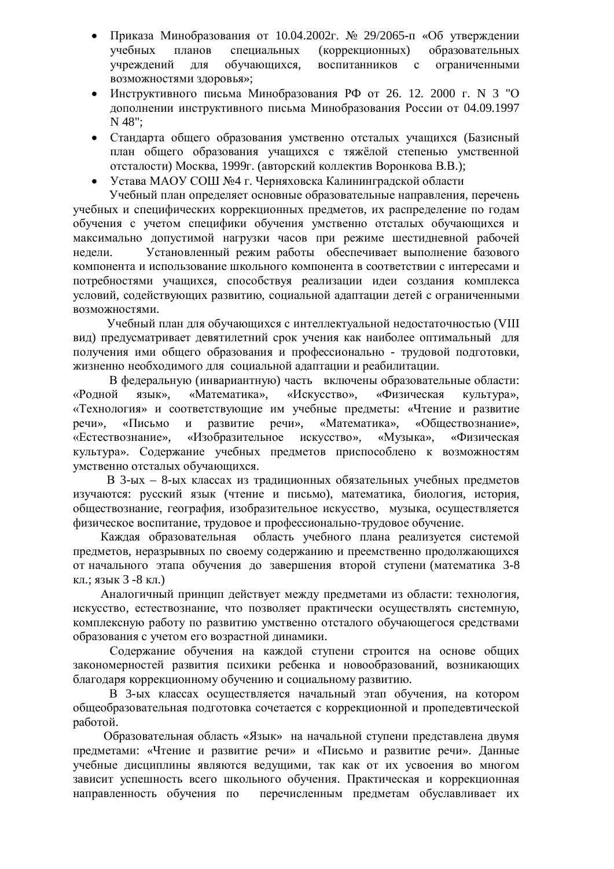- Приказа Минобразования от 10.04.2002г. № 29/2065- п«Об утверждении учебных планов специальных (коррекционных) образовательных vчреждений для обучающихся, воспитанников с ограниченными возможностями здоровья»;
- Инструктивного письма Минобразования РФ от 26. 12. 2000 г. N 3 "О дополнении инструктивного письма Минобразования России от 04.09.1997 N 48";
- Стандарта общего образования умственно отсталых учащихся (Базисный план общего образования учащихся с тяжёлой степенью умственной отсталости) Москва, 1999г. (авторский коллектив Воронкова В.В.);
- Устава МАОУ СОШ №4 г. Черняховска Калининградской области

Учебный план определяет основные образовательные направления, перечень учебных и специфических коррекционных предметов, их распределение по годам обучения с учетом специфики обучения умственно отсталых обучающихся и максимально допустимой нагрузки часов при режиме шестидневной рабочей недели. Установленный режим работы обеспечивает выполнение базового компонента и использование школьного компонента в соответствии с интересами и потребностями учащихся, способствуя реализации идеи создания комплекса условий, содействующих развитию, социальной адаптации детей с ограниченными возможностями.

Учебный план для обучающихся с интеллектуальной недостаточностью (VIII вид) предусматривает девятилетний срок учения как наиболее оптимальный для получения ими общего образования и профессионально - трудовой подготовки, жизненно необходимого для социальной адаптации и реабилитации.

В федеральную (инвариантную) часть включены образовательные области: «Родной язык», «Математика», «Искусство», «Физическая культура», «Технология» и соответствующие им учебные предметы: «Чтение и развитие речи», «Письмо и развитие речи», «Математика», «Обществознание», «Естествознание», «Изобразительное искусство», «Музыка», «Физическая культура». Содержание учебных предметов приспособлено к возможностям умственно отсталых обучающихся.

В 3-ых – 8-ых классах из традиционных обязательных учебных предметов изучаются: русский язык (чтение и письмо), математика, биология, история, обществознание, география, изобразительное искусство, музыка, осуществляется физическое воспитание, трудовое и профессионально-трудовое обучение.

Каждая образовательная область учебного плана реализуется системой предметов, неразрывных по своему содержанию и преемственно продолжающихся от начального этапа обучения до завершения второй ступени (математика 3-8 кл.; язык 3 -8 кл.)

Аналогичный принцип действует между предметами из области: технология, искусство, естествознание, что позволяет практически осуществлять системную, комплексную работу по развитию умственно отсталого обучающегося средствами образования с учетом его возрастной динамики.

Содержание обучения на каждой ступени строится на основе общих закономерностей развития психики ребенка и новообразований, возникающих благодаря коррекционному обучению и социальному развитию.

В 3-ых классах осуществляется начальный этап обучения, на котором общеобразовательная подготовка сочетается с коррекционной и пропедевтической работой.

Образовательная область «Язык» на начальной ступени представлена двумя предметами: «Чтение и развитие речи» и «Письмо и развитие речи». Данные учебные дисциплины являются ведущими, так как от их усвоения во многом зависит успешность всего школьного обучения. Практическая и коррекционная направленность обучения по перечисленным предметам обуславливает их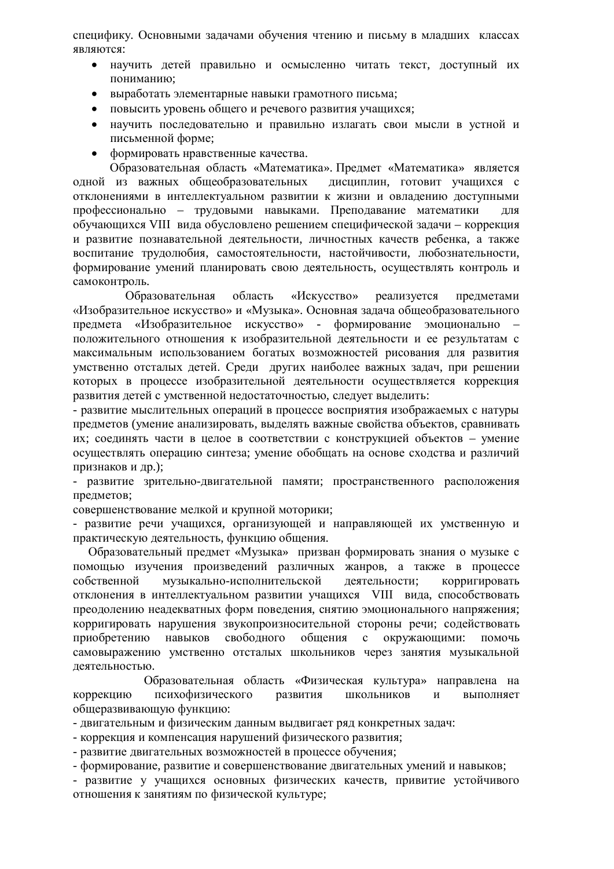специфику. Основными залачами обучения чтению и письму в млалших классах являются:

- научить летей правильно и осмысленно читать текст, лоступный их пониманию;
- выработать элементарные навыки грамотного письма;
- повысить уровень общего и речевого развития учащихся;
- научить последовательно и правильно излагать свои мысли в устной и письменной форме;
- формировать нравственные качества.

Образовательная область «Математика». Предмет «Математика» является одной из важных общеобразовательных дисциплин, готовит учащихся с отклонениями в интеллектуальном развитии к жизни и овладению доступными профессионально – трудовыми навыками. Преподавание математики для обучающихся VIII вида обусловлено решением специфической задачи – коррекция и развитие познавательной деятельности, личностных качеств ребенка, а также воспитание трудолюбия, самостоятельности, настойчивости, любознательности, формирование умений планировать свою деятельность, осуществлять контроль и самоконтроль.

Образовательная область «Искусство» реализуется предметами «Изобразительное искусство» и «Музыка». Основная задача общеобразовательного предмета «Изобразительное искусство» - формирование эмоционально положительного отношения к изобразительной деятельности и ее результатам с максимальным использованием богатых возможностей рисования для развития умственно отсталых детей. Среди других наиболее важных задач, при решении которых в процессе изобразительной деятельности осуществляется коррекция развития детей с умственной недостаточностью, следует выделить:

- развитие мыслительных операций в процессе восприятия изображаемых с натуры предметов (умение анализировать, выделять важные свойства объектов, сравнивать их; соединять части в целое в соответствии с конструкцией объектов – умение осуществлять операцию синтеза; умение обобщать на основе сходства и различий признаков и др.);

- развитие зрительно-двигательной памяти; пространственного расположения предметов;

совершенствование мелкой и крупной моторики;

- развитие речи учащихся, организующей и направляющей их умственную и практическую деятельность, функцию общения.

Образовательный предмет «Музыка» призван формировать знания о музыке с помощью изучения произведений различных жанров, а также в процессе собственной музыкально-исполнительской деятельности; корригировать отклонения в интеллектуальном развитии учащихся VIII вида, способствовать преодолению неадекватных форм поведения, снятию эмоционального напряжения; корригировать нарушения звукопроизносительной стороны речи; содействовать приобретению навыков свободного общения с окружающими: помочь самовыражению умственно отсталых школьников через занятия музыкальной деятельностью.

Образовательная область «Физическая культура» направлена на коррекцию психофизического развития школьников и выполняет общеразвивающую функцию:

- двигательным и физическим данным выдвигает ряд конкретных задач:

- коррекция и компенсация нарушений физического развития;

- развитие лвигательных возможностей в процессе обучения:

- формирование, развитие и совершенствование двигательных умений и навыков;

- развитие у учащихся основных физических качеств, привитие устойчивого отношения к занятиям по физической культуре;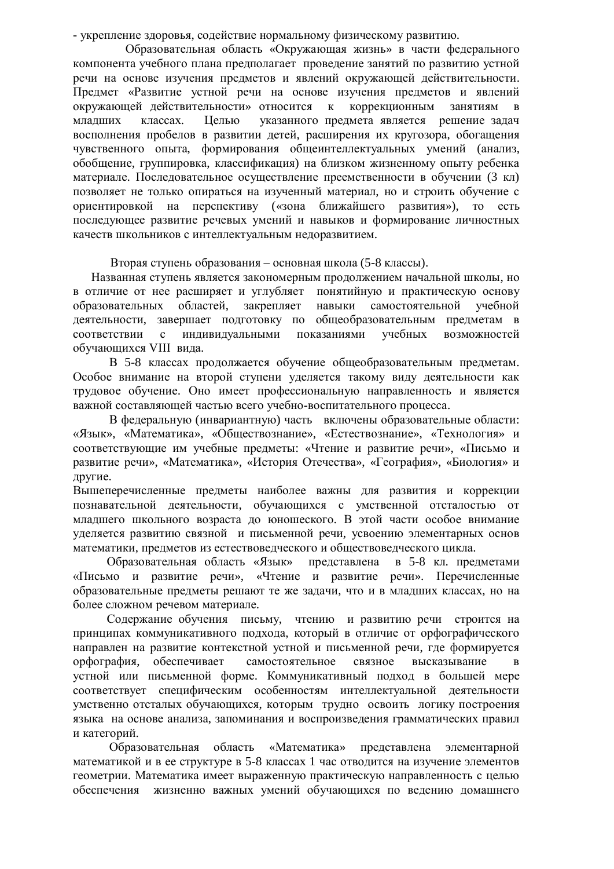- укрепление здоровья, содействие нормальному физическому развитию.

Образовательная область «Окружающая жизнь» в части федерального компонента учебного плана предполагает проведение занятий по развитию устной речи на основе изучения предметов и явлений окружающей действительности. Предмет «Развитие устной речи на основе изучения предметов и явлений окружающей действительности» относится к коррекционным занятиям в младших классах. Целью указанного предмета является решение задач восполнения пробелов в развитии детей, расширения их кругозора, обогащения чувственного опыта, формирования общеинтеллектуальных умений (анализ, обобщение, группировка, классификация) на близком жизненному опыту ребенка материале. Последовательное осуществление преемственности в обучении (3 кл) позволяет не только опираться на изученный материал, но и строить обучение с ориентировкой на перспективу («зона ближайшего развития»), то есть последующее развитие речевых умений и навыков и формирование личностных качеств школьников с интеллектуальным недоразвитием.

Вторая ступень образования – основная школа (5-8 классы).

Названная ступень является закономерным продолжением начальной школы, но в отличие от нее расширяет и углубляет понятийную и практическую основу образовательных областей, закрепляет навыки самостоятельной учебной деятельности, завершает подготовку по общеобразовательным предметам в соответствии с индивидуальными показаниями учебных возможностей обучающихся VIII вида.

В 5-8 классах продолжается обучение общеобразовательным предметам. Особое внимание на второй ступени уделяется такому виду деятельности как трудовое обучение. Оно имеет профессиональную направленность и является важной составляющей частью всего учебно-воспитательного процесса.

В федеральную (инвариантную) часть включены образовательные области: «Язык», «Математика», «Обществознание», «Естествознание», «Технология» и соответствующие им учебные предметы: «Чтение и развитие речи», «Письмо и развитие речи», «Математика», «История Отечества», «География», «Биология» и другие.

Вышеперечисленные предметы наиболее важны для развития и коррекции познавательной деятельности, обучающихся с умственной отсталостью от младшего школьного возраста до юношеского. В этой части особое внимание уделяется развитию связной и письменной речи, усвоению элементарных основ математики, предметов из естествоведческого и обществоведческого цикла.

Образовательная область «Язык» представлена в 5-8 кл. предметами «Письмо и развитие речи», «Чтение и развитие речи». Перечисленные образовательные предметы решают те же задачи, что и в младших классах, но на более сложном речевом материале.

Содержание обучения письму, чтению и развитию речи строится на принципах коммуникативного подхода, который в отличие от орфографического направлен на развитие контекстной устной и письменной речи, где формируется орфография, обеспечивает самостоятельное связное высказывание в устной или письменной форме. Коммуникативный подход в большей мере соответствует специфическим особенностям интеллектуальной деятельности умственно отсталых обучающихся, которым трудно освоить логику построения языка на основе анализа, запоминания и воспроизведения грамматических правил и категорий.

Образовательная область «Математика» представлена элементарной математикой и в ее структуре в 5-8 классах 1 час отводится на изучение элементов геометрии. Математика имеет выраженную практическую направленность с целью обеспечения жизненно важных умений обучающихся по ведению домашнего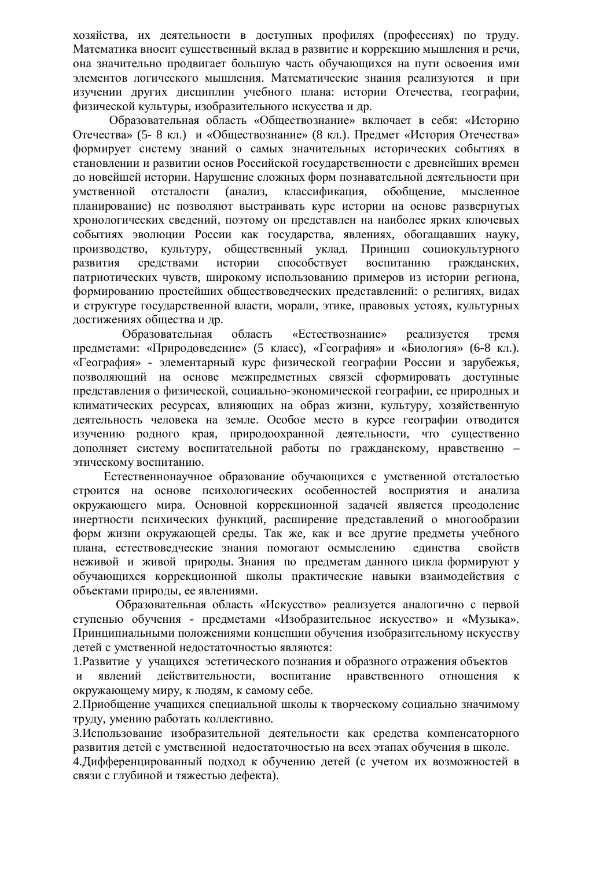хозяйства, их деятельности в доступных профилях (профессиях) по труду. Математика вносит существенный вклад в развитие и коррекцию мышления и речи, она значительно продвигает большую часть обучающихся на пути освоения ими элементов логического мышления. Математические знания реализуются и при изучении других дисциплин учебного плана: истории Отечества, географии, физической культуры, изобразительного искусства и др.

Образовательная область «Обществознание» включает в себя: «Историю Отечества» (5- 8 кл.) и «Обществознание» (8 кл.). Предмет «История Отечества» формирует систему знаний о самых значительных исторических событиях в становлении и развитии основ Российской государственности с древнейших времен до новейшей истории. Нарушение сложных форм познавательной леятельности при умственной отсталости (анализ, классификация, обобщение, мысленное планирование) не позволяют выстраивать курс истории на основе развернутых хронологических сведений, поэтому он представлен на наиболее ярких ключевых событиях эволюции России как государства, явлениях, обогащавших науку, производство, культуру, общественный уклад. Принцип социокультурного развития средствами истории способствует воспитанию гражданских, патриотических чувств, широкому использованию примеров из истории региона, формированию простейших обществоведческих представлений: о религиях, видах и структуре государственной власти, морали, этике, правовых устоях, культурных достижениях общества и др.

Образовательная область «Естествознание» реализуется тремя предметами: «Природоведение» (5 класс), «География» и «Биология» (6-8 кл.). «География» - элементарный курс физической географии России и зарубежья, позволяющий на основе межпредметных связей сформировать доступные представления о физической, социально-экономической географии, ее природных и климатических ресурсах, влияющих на образ жизни, культуру, хозяйственную деятельность человека на земле. Особое место в курсе географии отводится изучению родного края, природоохранной деятельности, что существенно дополняет систему воспитательной работы по гражданскому, нравственно – этическому воспитанию.

Естественнонаучное образование обучающихся с умственной отсталостью строится на основе психологических особенностей восприятия и анализа окружающего мира. Основной коррекционной задачей является преодоление инертности психических функций, расширение представлений о многообразии форм жизни окружающей среды. Так же, как и все другие предметы учебного плана, естествоведческие знания помогают осмыслению единства свойств неживой и живой приролы. Знания по прелметам ланного цикла формируют у обучающихся коррекционной школы практические навыки взаимодействия с объектами природы, ее явлениями.

Образовательная область «Искусство» реализуется аналогично с первой ступенью обучения - предметами «Изобразительное искусство» и «Музыка». Принципиальными положениями концепции обучения изобразительному искусству детей с умственной недостаточностью являются:

1. Развитие у учащихся эстетического познания и образного отражения объектов

и явлений действительности, воспитание нравственного отношения к окружающему миру, к людям, к самому себе.

2. Приобщение учащихся специальной школы к творческому социально значимому труду, умению работать коллективно.

3.Использование изобразительной леятельности как средства компенсаторного развития детей с умственной недостаточностью на всех этапах обучения в школе.

4. Дифференцированный подход к обучению детей (с учетом их возможностей в связи с глубиной и тяжестью дефекта).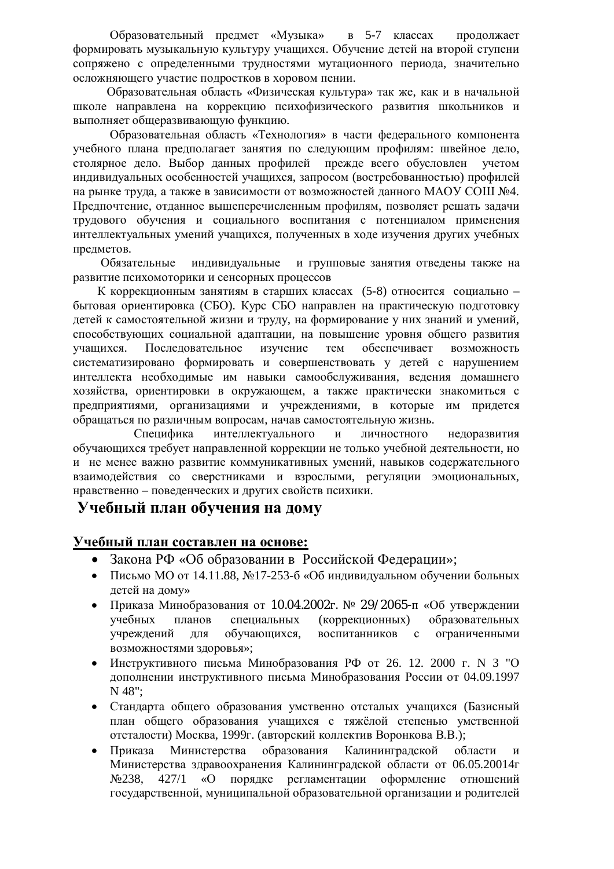Образовательный предмет «Музыка» в 5-7 классах продолжает формировать музыкальную культуру учащихся. Обучение детей на второй ступени сопряжено с определенными трудностями мутационного периода, значительно осложняющего участие подростков в хоровом пении.

Образовательная область «Физическая культура» так же, как и в начальной школе направлена на коррекцию психофизического развития школьников и выполняет общеразвивающую функцию.

Образовательная область «Технология» в части федерального компонента учебного плана предполагает занятия по следующим профилям: швейное дело, столярное дело. Выбор данных профилей прежде всего обусловлен учетом индивидуальных особенностей учащихся, запросом (востребованностью) профилей на рынке труда, а также в зависимости от возможностей данного МАОУ СОШ №4. Предпочтение, отданное вышеперечисленным профилям, позволяет решать задачи трудового обучения и социального воспитания с потенциалом применения интеллектуальных умений учащихся, полученных в ходе изучения других учебных предметов.

Обязательные индивидуальные и групповые занятия отведены также на развитие психомоторики и сенсорных процессов

К коррекционным занятиям в старших классах (5-8) относится социально – бытовая ориентировка (СБО). Курс СБО направлен на практическую подготовку детей к самостоятельной жизни и труду, на формирование у них знаний и умений, способствующих социальной адаптации, на повышение уровня общего развития үчащихся. Последовательное изучение тем обеспечивает возможность систематизировано формировать и совершенствовать у детей с нарушением интеллекта необходимые им навыки самообслуживания, ведения домашнего хозяйства, ориентировки в окружающем, а также практически знакомиться с предприятиями, организациями и учреждениями, в которые им придется обращаться по различным вопросам, начав самостоятельную жизнь.

Специфика интеллектуального и личностного недоразвития обучающихся требует направленной коррекции не только учебной деятельности, но и не менее важно развитие коммуникативных умений, навыков содержательного взаимодействия со сверстниками и взрослыми, регуляции эмоциональных, нравственно – поведенческих и других свойств психики.

## Учебный план обучения на дому

### **ɍɱɟɛɧɵɣɩɥɚɧɫɨɫɬɚɜɥɟɧɧɚɨɫɧɨɜɟ:**

- Закона РФ «Об образовании в Российской Федерации»;
- Письмо МО от 14.11.88, №17-253-6 «Об индивидуальном обучении больных детей на дому»
- Приказа Минобразования от 10.04.2002 г. № 29/2065- п «Об утверждении үчебных планов специальных (коррекционных) образовательных учреждений для обучающихся, воспитанников с ограниченными возможностями здоровья»;
- Инструктивного письма Минобразования РФ от 26. 12. 2000 г. N 3 "О дополнении инструктивного письма Минобразования России от 04.09.1997 N 48";
- Стандарта общего образования умственно отсталых учащихся (Базисный план общего образования учащихся с тяжёлой степенью умственной отсталости) Москва, 1999г. (авторский коллектив Воронкова В.В.);
- Приказа Министерства образования Калининградской области и Министерства здравоохранения Калининградской области от 06.05.20014г №238, 427/1 «О порядке регламентации оформление отношений государственной, муниципальной образовательной организации и родителей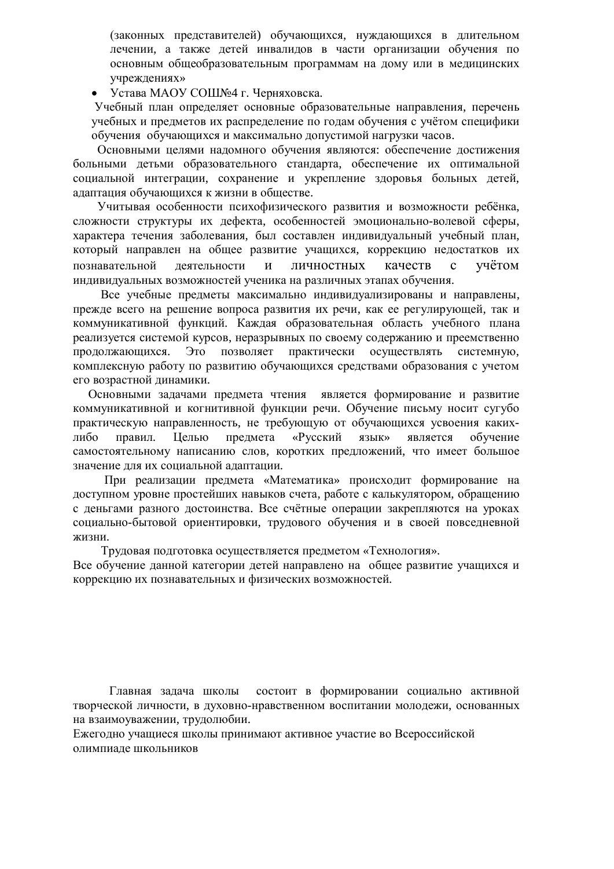(законных представителей) обучающихся, нуждающихся в длительном лечении, а также детей инвалидов в части организации обучения по основным общеобразовательным программам на дому или в медицинских vчреждениях»

Устава МАОУ СОШЉ∘4 г. Черняховска.

Учебный план определяет основные образовательные направления, перечень учебных и предметов их распределение по годам обучения с учётом специфики обучения обучающихся и максимально допустимой нагрузки часов.

Основными целями надомного обучения являются: обеспечение достижения больными детьми образовательного стандарта, обеспечение их оптимальной социальной интеграции, сохранение и укрепление здоровья больных детей, адаптация обучающихся к жизни в обществе.

Учитывая особенности психофизического развития и возможности ребёнка, сложности структуры их дефекта, особенностей эмоционально-волевой сферы, характера течения заболевания, был составлен индивидуальный учебный план, который направлен на общее развитие учащихся, коррекцию недостатков их познавательной деятельности и личностных качеств с учётом индивидуальных возможностей ученика на различных этапах обучения.

Все учебные предметы максимально индивидуализированы и направлены, прежде всего на решение вопроса развития их речи, как ее регулирующей, так и коммуникативной функций. Каждая образовательная область учебного плана реализуется системой курсов, неразрывных по своему содержанию и преемственно продолжающихся. Это позволяет практически осуществлять системную, комплексную работу по развитию обучающихся средствами образования с учетом его возрастной динамики.

Основными задачами предмета чтения является формирование и развитие коммуникативной и когнитивной функции речи. Обучение письму носит сугубо практическую направленность, не требующую от обучающихся усвоения какихлибо правил. Целью предмета «Русский язык» является обучение самостоятельному написанию слов, коротких предложений, что имеет большое значение для их социальной адаптации.

При реализации предмета «Математика» происходит формирование на доступном уровне простейших навыков счета, работе с калькулятором, обращению с деньгами разного достоинства. Все счётные операции закрепляются на уроках социально-бытовой ориентировки, трудового обучения и в своей повседневной жизни.

Трудовая подготовка осуществляется предметом «Технология».

Все обучение данной категории детей направлено на общее развитие учащихся и коррекцию их познавательных и физических возможностей.

Главная задача школы состоит в формировании социально активной творческой личности, в духовно-нравственном воспитании молодежи, основанных на взаимоуважении, трудолюбии.

Ежегодно учащиеся школы принимают активное участие во Всероссийской олимпиаде школьников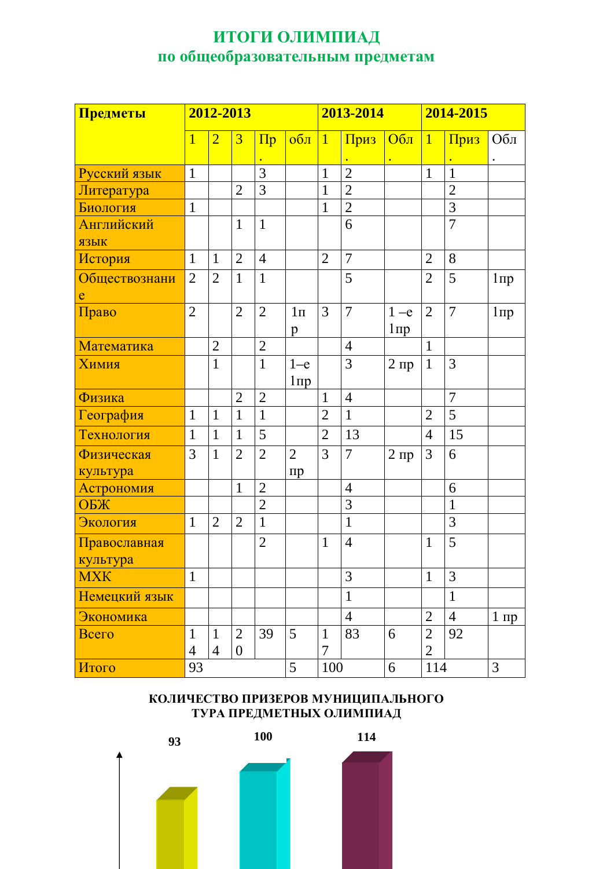# ИТОГИ ОЛИМПИАД по общеобразовательным предметам

| Предметы      | 2012-2013      |                |                | 2013-2014      |                    |                | 2014-2015      |           |                |                |                        |
|---------------|----------------|----------------|----------------|----------------|--------------------|----------------|----------------|-----------|----------------|----------------|------------------------|
|               | $\overline{1}$ | $\overline{2}$ | $\overline{3}$ | $\Pi$ p        | $06\pi$            | $\overline{1}$ | Приз           | $O6\pi$   | $\mathbf{1}$   | Приз           | Обл                    |
|               |                |                |                |                |                    |                |                |           |                |                | $\bullet$              |
| Русский язык  | $\mathbf{1}$   |                |                | 3              |                    | $\mathbf{1}$   | $\overline{2}$ |           | $\mathbf{1}$   | $\mathbf{1}$   |                        |
| Литература    |                |                | $\overline{2}$ | 3              |                    | $\mathbf{1}$   | $\overline{2}$ |           |                | $\overline{2}$ |                        |
| Биология      | $\mathbf{1}$   |                |                |                |                    | $\mathbf{1}$   | $\overline{2}$ |           |                | $\overline{3}$ |                        |
| Английский    |                |                | $\mathbf{1}$   | $\mathbf{1}$   |                    |                | 6              |           |                | $\overline{7}$ |                        |
| ЯЗЫК          |                |                |                |                |                    |                |                |           |                |                |                        |
| История       | $\mathbf{1}$   | $\mathbf{1}$   | $\overline{2}$ | $\overline{4}$ |                    | $\overline{2}$ | 7              |           | $\overline{2}$ | 8              |                        |
| Обществознани | $\overline{2}$ | $\overline{2}$ | $\mathbf{1}$   | $\mathbf{1}$   |                    |                | 5              |           | $\overline{2}$ | 5              | $1 \pi p$              |
| e             |                |                |                |                |                    |                |                |           |                |                |                        |
| Право         | $\overline{2}$ |                | $\overline{2}$ | $\overline{2}$ | $1\pi$             | $\overline{3}$ | $\overline{7}$ | $1 - e$   | $\overline{2}$ | $\overline{7}$ | $1 \pi p$              |
|               |                |                |                |                | $\mathbf{p}$       |                |                | $1 \pi p$ |                |                |                        |
| Математика    |                | $\overline{2}$ |                | $\overline{2}$ |                    |                | $\overline{4}$ |           | $\mathbf{1}$   |                |                        |
| Химия         |                | 1              |                | $\mathbf{1}$   | $1-e$<br>$1 \pi p$ |                | 3              | $2 \pi p$ | $\mathbf{1}$   | 3              |                        |
| Физика        |                |                | $\overline{2}$ | $\overline{2}$ |                    | $\mathbf{1}$   | $\overline{4}$ |           |                | $\overline{7}$ |                        |
| География     | $\mathbf{1}$   | $\mathbf{1}$   | $\mathbf{1}$   | $\mathbf{1}$   |                    | $\overline{2}$ | $\mathbf{1}$   |           | $\overline{2}$ | 5              |                        |
| Технология    | $\mathbf{1}$   | $\mathbf{1}$   | $\mathbf{1}$   | 5              |                    | $\overline{2}$ | 13             |           | $\overline{4}$ | 15             |                        |
| Физическая    | 3              | $\mathbf{1}$   | $\overline{2}$ | $\overline{2}$ | $\overline{2}$     | 3              | $\overline{7}$ | $2 \pi p$ | 3              | 6              |                        |
| культура      |                |                |                |                | $\pi p$            |                |                |           |                |                |                        |
| Астрономия    |                |                | $\mathbf{1}$   | $\overline{2}$ |                    |                | $\overline{4}$ |           |                | 6              |                        |
| ОБЖ           |                |                |                | $\overline{2}$ |                    |                | 3              |           |                | $\mathbf{1}$   |                        |
| Экология      | $\mathbf{1}$   | $\overline{2}$ | $\overline{2}$ | $\mathbf{1}$   |                    |                | $\mathbf{1}$   |           |                | 3              |                        |
| Православная  |                |                |                | $\overline{2}$ |                    | $\mathbf{1}$   | $\overline{4}$ |           | $\mathbf{1}$   | 5              |                        |
| культура      |                |                |                |                |                    |                |                |           |                |                |                        |
| <b>MXK</b>    | $\mathbf{1}$   |                |                |                |                    |                | 3              |           | $\mathbf{1}$   | 3              |                        |
| Немецкий язык |                |                |                |                |                    |                | $\mathbf{1}$   |           |                | $\mathbf{1}$   |                        |
| Экономика     |                |                |                |                |                    |                | $\overline{4}$ |           | $\overline{2}$ | $\overline{4}$ | $1 \text{ } \text{np}$ |
| Всего         | $\mathbf{1}$   | $\mathbf{1}$   | $\overline{2}$ | 39             | 5                  | $\mathbf{1}$   | 83             | 6         | $\overline{2}$ | 92             |                        |
|               | $\overline{4}$ | $\overline{4}$ | $\overline{0}$ |                |                    | 7              |                |           | $\overline{2}$ |                |                        |
| Итого         | 93             |                |                |                | 5                  | 100            |                | 6         | 114            |                | 3                      |

## КОЛИЧЕСТВО ПРИЗЕРОВ МУНИЦИПАЛЬНОГО ТУРА ПРЕДМЕТНЫХ ОЛИМПИАД

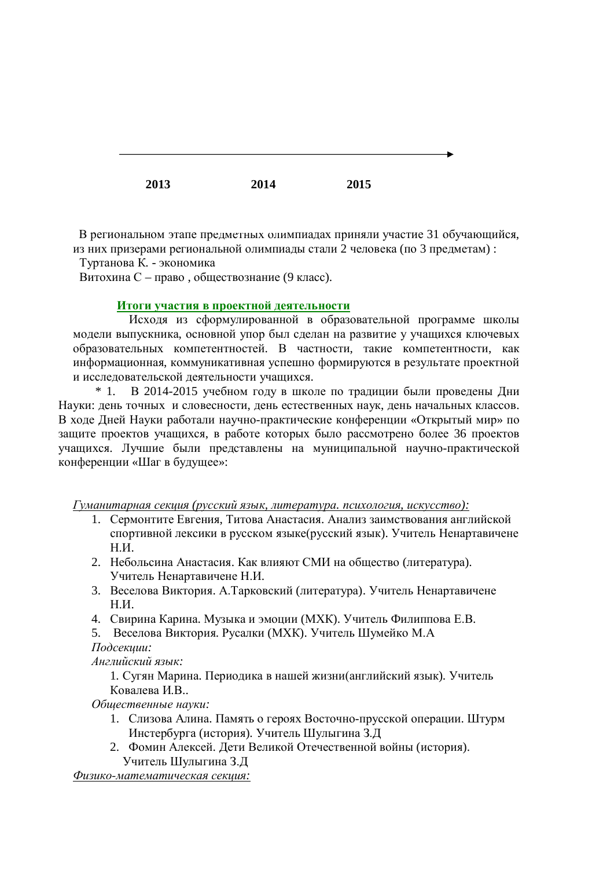**2013 2014 2015** 

В региональном этапе предметных олимпиадах приняли участие 31 обучающийся, из них призерами региональной олимпиады стали 2 человека (по 3 предметам) :

Туртанова К. - экономика

Витохина С – право, обществознание (9 класс).

#### **Итоги участия в проектной деятельности**

Исходя из сформулированной в образовательной программе школы модели выпускника, основной упор был сделан на развитие у учащихся ключевых образовательных компетентностей. В частности, такие компетентности, как информационная, коммуникативная успешно формируются в результате проектной и исследовательской деятельности учащихся.

 $*$  1. В 2014-2015 учебном году в школе по традиции были проведены Дни Науки: день точных и словесности, день естественных наук, день начальных классов. В ходе Дней Науки работали научно-практические конференции «Открытый мир» по защите проектов учащихся, в работе которых было рассмотрено более 36 проектов учащихся. Лучшие были представлены на муниципальной научно-практической конференции «Шаг в будущее»:

 $\Gamma$ уманитарная секция (русский язык, литература. психология, искусство):

- 1. Сермонтите Евгения, Титова Анастасия. Анализ заимствования английской спортивной лексики в русском языке(русский язык). Учитель Ненартавичене  $H.M.$
- 2. Небольсина Анастасия. Как влияют СМИ на общество (литература). Учитель Ненартавичене Н.И.
- 3. Веселова Виктория. А.Тарковский (литература). Учитель Ненартавичене **Н.И.**
- 4. Свирина Карина. Музыка и эмоции (МХК). Учитель Филиппова Е.В.
- 5. Веселова Виктория. Русалки (МХК). Учитель Шумейко М.А

*Подсекиии:* 

 $A$ нглийский язык:

1. Сугян Марина. Периодика в нашей жизни(английский язык). Учитель Ковалева И.В..

Общественные науки:

- 1. Слизова Алина. Память о героях Восточно-прусской операции. Штурм Инстербурга (история). Учитель Шулыгина З.Д
- 2. Фомин Алексей. Дети Великой Отечественной войны (история). Учитель Шулыгина З.Д

*Ɏɢɡɢɤɨɦɚɬɟɦɚɬɢɱɟɫɤɚɹɫɟɤɰɢɹ:*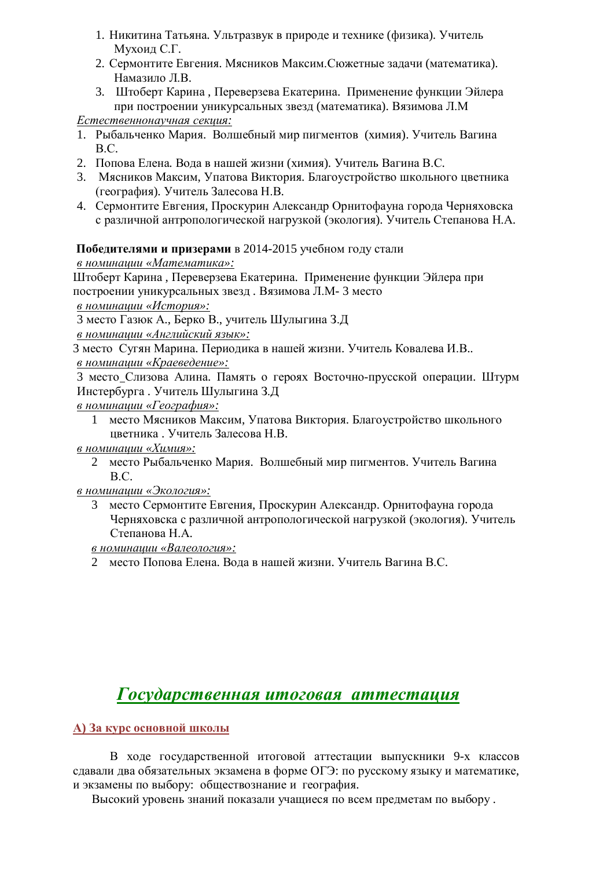- 1. Никитина Татьяна. Ультразвук в природе и технике (физика). Учитель Мухоид С.Г.
- 2. Сермонтите Евгения. Мясников Максим. Сюжетные задачи (математика). Намазило Л.В.
- 3. Штоберт Карина, Переверзева Екатерина. Применение функции Эйлера при построении уникурсальных звезд (математика). Вязимова Л.М

 $E$ *стественнонаучная секция:* 

- 1. Рыбальченко Мария. Волшебный мир пигментов (химия). Учитель Вагина B.C.
- 2. Попова Елена. Вода в нашей жизни (химия). Учитель Вагина В.С.
- 3. Мясников Максим, Упатова Виктория, Благоустройство школьного цветника (география). Учитель Залесова Н.В.
- 4. Сермонтите Евгения, Проскурин Александр Орнитофауна города Черняховска с различной антропологической нагрузкой (экология). Учитель Степанова Н.А.

## Победителями и призерами в 2014-2015 учебном году стали

 $\boldsymbol{\theta}$  номинации «Математика»:

Штоберт Карина, Переверзева Екатерина. Применение функции Эйлера при построении уникурсальных звезд. Вязимова Л.М-3 место

 $\theta$  номинашии «История»:

3 место Газюк А., Берко В., учитель Шулыгина З.Д

*ɜɧɨɦɢɧɚɰɢɢ «Ⱥɧɝɥɢɣɫɤɢɣɹɡɵɤ»:* 

3 место Сугян Марина. Периодика в нашей жизни. Учитель Ковалева И.В..

 $\theta$  номинации «Краеведение»:

3 место Слизова Алина. Память о героях Восточно-прусской операции. Штурм Инстербурга. Учитель Шулыгина 3.Д

- $\boldsymbol{\theta}$  номинации «География»:
	- 1 место Мясников Максим, Упатова Виктория. Благоустройство школьного цветника. Учитель Залесова Н.В.
- $\boldsymbol{\beta}$  номинашии «Химия»:
	- 2 место Рыбальченко Мария. Волшебный мир пигментов. Учитель Вагина B.C.

 $\boldsymbol{\theta}$  номинации «Экология»:

3 место Сермонтите Евгения, Проскурин Александр. Орнитофауна города Черняховска с различной антропологической нагрузкой (экология). Учитель Степанова Н.А.

 $\boldsymbol{\theta}$  номинашии «Валеология»:

2 место Попова Елена. Вода в нашей жизни. Учитель Вагина В.С.

# $I$ *ocvдарственная итоговая аттестация*

## **A**) За курс основной школы

В ходе государственной итоговой аттестации выпускники 9-х классов сдавали два обязательных экзамена в форме ОГЭ: по русскому языку и математике, и экзамены по выбору: обществознание и география.

Высокий уровень знаний показали учащиеся по всем предметам по выбору.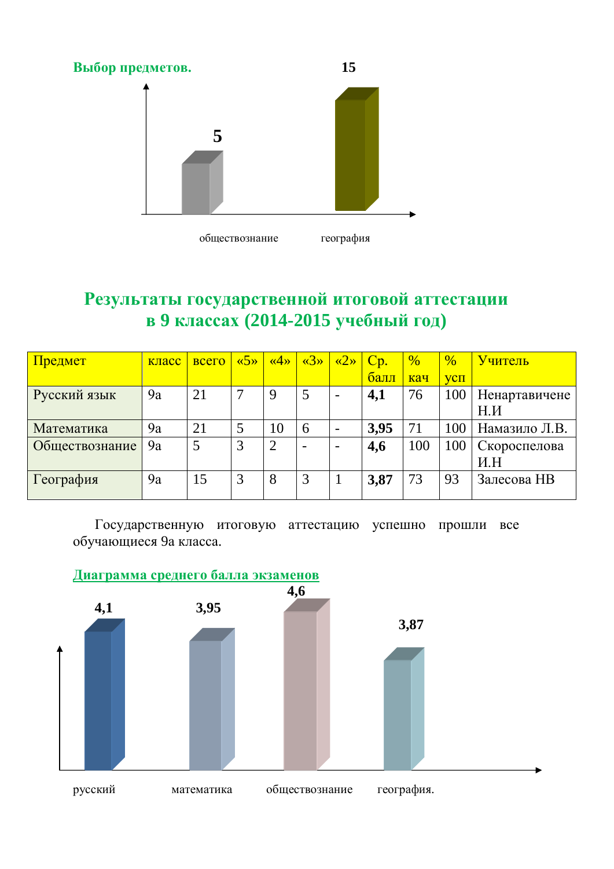

# Результаты государственной итоговой аттестации **в 9 классах (2014-2015 учебный год)**

| Предмет        | класс | всего | $\langle \langle 5 \rangle \rangle$ | $\langle 4 \rangle$ | $\langle 3 \rangle$ | $\langle 2 \rangle$ | Cp.     | $\frac{0}{6}$ | $\%$ | Учитель              |
|----------------|-------|-------|-------------------------------------|---------------------|---------------------|---------------------|---------|---------------|------|----------------------|
|                |       |       |                                     |                     |                     |                     | $6a$ лл | кач           | VCI  |                      |
| Русский язык   | 9a    | 21    |                                     | 9                   | 5                   |                     | 4,1     | 76            | 100  | <b>Ненартавичене</b> |
|                |       |       |                                     |                     |                     |                     |         |               |      | H.H                  |
| Математика     | 9a    | 21    |                                     | 10                  | 6                   |                     | 3,95    | 71            | 100  | Намазило Л.В.        |
| Обществознание | 9a    |       | 3                                   |                     |                     |                     | 4,6     | 100           | 100  | Скороспелова         |
|                |       |       |                                     |                     |                     |                     |         |               |      | H.H                  |
| География      | 9a    | 15    |                                     | 8                   | 3                   |                     | 3,87    | 73            | 93   | Залесова НВ          |
|                |       |       |                                     |                     |                     |                     |         |               |      |                      |

Государственную итоговую аттестацию успешно прошли все обучающиеся 9а класса.

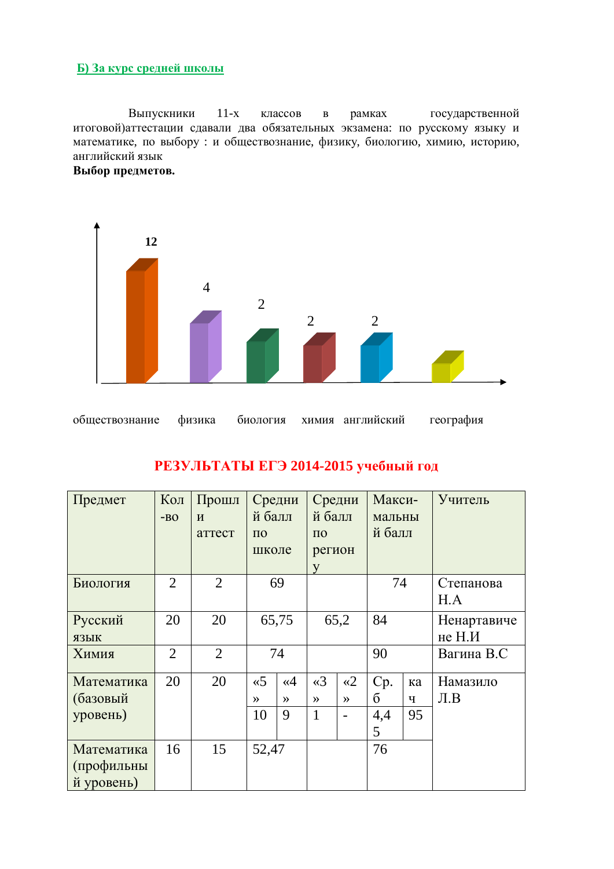#### **[b**) За курс средней школы

Выпускники 11-х классов в рамках государственной итоговой) аттестации сдавали два обязательных экзамена: по русскому языку и математике, по выбору : и обществознание, физику, биологию, химию, историю, английский язык





# РЕЗУЛЬТАТЫ ЕГЭ 2014-2015 учебный год

| Предмет                                | Кол<br>$-BO$   | Прошл<br>$\boldsymbol{M}$<br>аттест | Средни<br>й балл<br>$\Pi$ <sup>O</sup> |               | Средни<br>й балл<br>$\Pi$ <sup>O</sup> |               | Макси-<br>мальны<br>й балл |    | Учитель                  |  |  |  |  |
|----------------------------------------|----------------|-------------------------------------|----------------------------------------|---------------|----------------------------------------|---------------|----------------------------|----|--------------------------|--|--|--|--|
|                                        |                |                                     | школе                                  |               | регион<br>V                            |               |                            |    |                          |  |  |  |  |
| Биология                               | $\overline{2}$ | $\overline{2}$                      |                                        | 69            |                                        |               |                            | 74 | Степанова<br>H.A         |  |  |  |  |
| Русский<br>ЯЗЫК                        | 20             | 20                                  |                                        | 65,75         | 65,2                                   |               | 84                         |    | Ненартавиче<br>не $H.M$  |  |  |  |  |
| Химия                                  | $\overline{2}$ | $\overline{2}$                      |                                        | 74            |                                        |               | 90                         |    | Вагина В.С               |  |  |  |  |
| Математика                             | 20             | 20                                  | $\ltimes$ 5                            | $\ll 4$       | $\triangleleft$ 3                      | $\ll 2$       | Cp.                        | ка | Намазило                 |  |  |  |  |
| (базовый                               |                |                                     | $\rightarrow$                          | $\rightarrow$ | $\rightarrow$                          | $\rightarrow$ | б                          | ч  | $J\mathbf{I}.\mathbf{B}$ |  |  |  |  |
| уровень)                               |                |                                     | 10                                     | 9             | $\mathbf{1}$                           |               | 4,4<br>5                   | 95 |                          |  |  |  |  |
| Математика<br>(профильны<br>й уровень) | 16             | 15                                  | 52,47                                  |               |                                        |               | 76                         |    |                          |  |  |  |  |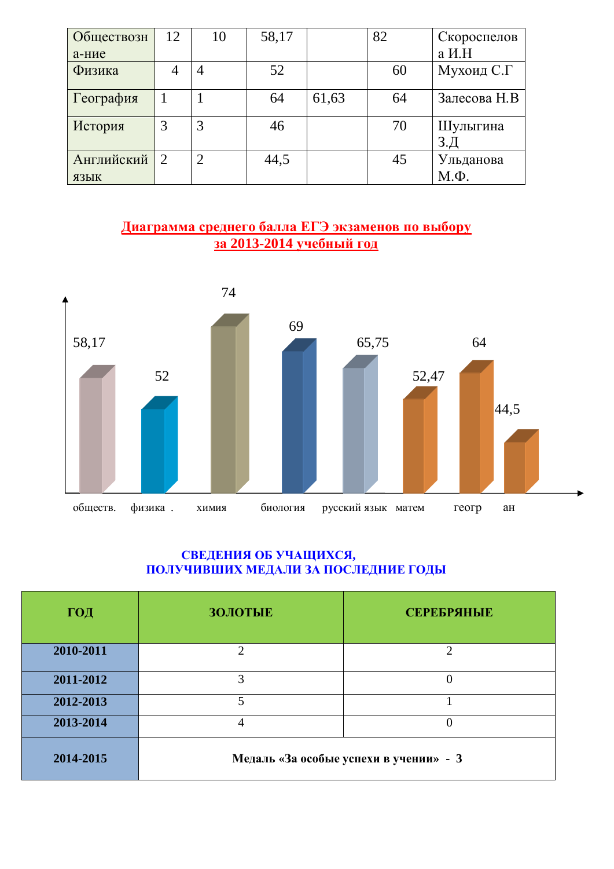| Обществозн | 12                          | 10             | 58,17 |       | 82 | Скороспелов  |
|------------|-----------------------------|----------------|-------|-------|----|--------------|
| а-ние      |                             |                |       |       |    | а И.Н        |
| Физика     |                             |                | 52    |       | 60 | Мухоид С.Г   |
| География  |                             |                | 64    | 61,63 | 64 | Залесова Н.В |
| История    | 3                           | 3              | 46    |       | 70 | Шулыгина     |
| Английский | $\mathcal{D}_{\mathcal{L}}$ | $\overline{2}$ | 44,5  |       | 45 | Ульданова    |
| ЯЗЫК       |                             |                |       |       |    | $M.\Phi.$    |

## <u>Диаграмма среднего балла ЕГЭ экзаменов по выбору</u> <u>за 2013-2014 учебный год</u>



## **СВЕДЕНИЯ ОБ УЧАЩИХСЯ,** ПОЛУЧИВШИХ МЕДАЛИ ЗА ПОСЛЕДНИЕ ГОДЫ

| ГОД       | <b>ЗОЛОТЫЕ</b> | <b>СЕРЕБРЯНЫЕ</b>                      |
|-----------|----------------|----------------------------------------|
| 2010-2011 | റ              |                                        |
| 2011-2012 | 3              |                                        |
| 2012-2013 |                |                                        |
| 2013-2014 | 4              |                                        |
| 2014-2015 |                | Медаль «За особые успехи в учении» - 3 |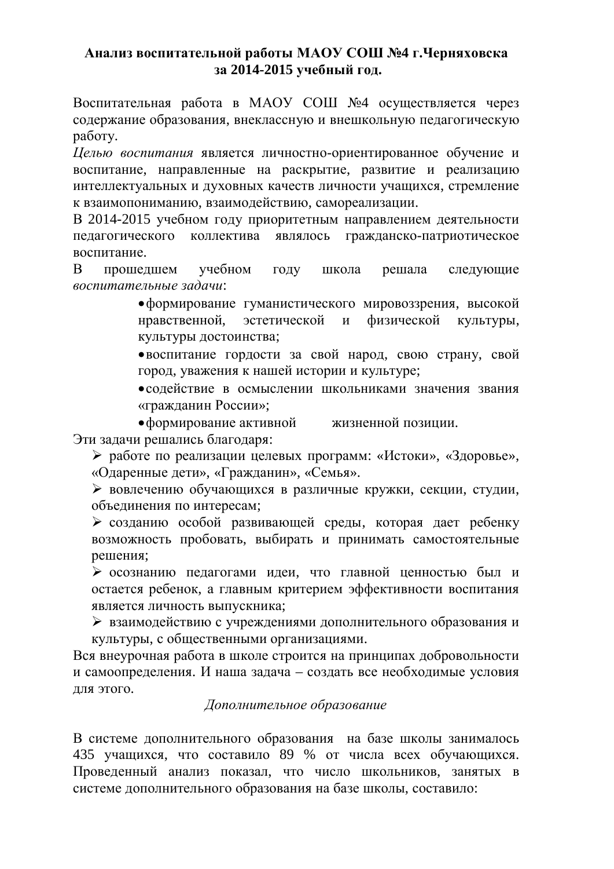## **ȺɧɚɥɢɡɜɨɫɩɢɬɚɬɟɥɶɧɨɣɪɚɛɨɬɵɆȺɈɍɋɈɒʋ4 ɝɑɟɪɧɹɯɨɜɫɤɚ**  за 2014-2015 учебный год.

Воспитательная работа в МАОУ СОШ №4 осуществляется через содержание образования, внеклассную и внешкольную педагогическую работу.

**Иелью воспитания является личностно-ориентированное обучение и** воспитание, направленные на раскрытие, развитие и реализацию интеллектуальных и духовных качеств личности учащихся, стремление к взаимопониманию, взаимодействию, самореализации.

В 2014-2015 учебном году приоритетным направлением деятельности педагогического коллектива являлось гражданско-патриотическое воспитание.

В прошедшем учебном году школа решала следующие воспитательные задачи:

> • формирование гуманистического мировоззрения, высокой нравственной, эстетической и физической культуры, культуры достоинства;

> • воспитание гордости за свой народ, свою страну, свой город, уважения к нашей истории и культуре;

> • содействие в осмыслении школьниками значения звания «гражданин России»;

• формирование активной жизненной позиции. Эти задачи решались благодаря:

≻ работе по реализации целевых программ: «Истоки», «Здоровье», «Одаренные дети», «Гражданин», «Семья».

≽ вовлечению обучающихся в различные кружки, секции, студии, объелинения по интересам:

≽ созданию особой развивающей среды, которая дает ребенку возможность пробовать, выбирать и принимать самостоятельные решения;

≽ осознанию педагогами идеи, что главной ценностью был и остается ребенок, а главным критерием эффективности воспитания является личность выпускника;

→ взаимодействию с учреждениями дополнительного образования и культуры, с общественными организациями.

Вся внеурочная работа в школе строится на принципах добровольности и самоопределения. И наша задача – создать все необходимые условия для этого.

## $\Lambda$ *Иополнительное образование*

В системе дополнительного образования на базе школы занималось 435 учащихся, что составило 89 % от числа всех обучающихся. Проведенный анализ показал, что число школьников, занятых в системе дополнительного образования на базе школы, составило: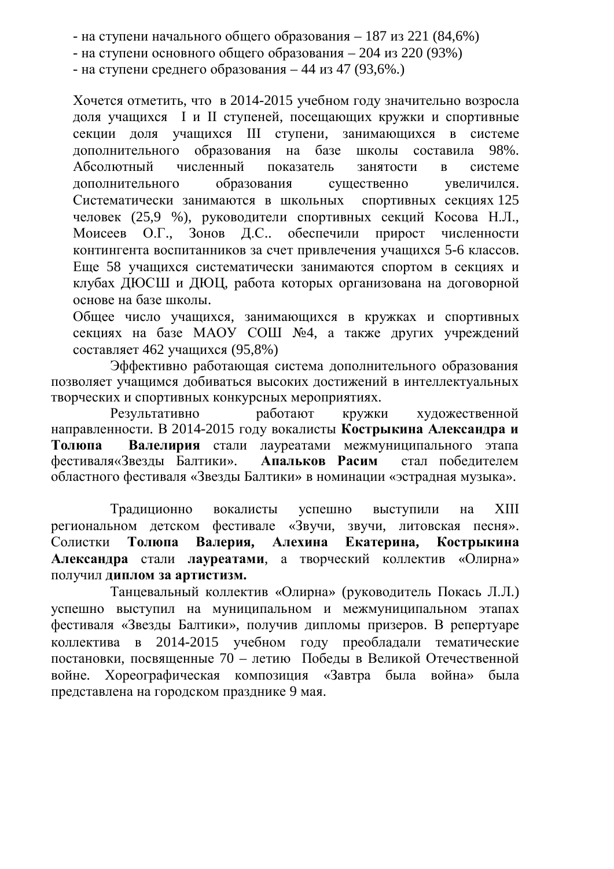- на ступени начального общего образования – 187 из 221 (84,6%)

- на ступени основного общего образования – 204 из 220 (93%).

- на ступени среднего образования – 44 из 47 (93,6%.)

Хочется отметить, что в 2014-2015 учебном году значительно возросла доля учащихся І и II ступеней, посещающих кружки и спортивные секции доля учащихся III ступени, занимающихся в системе дополнительного образования на базе школы составила 98%. Абсолютный численный показатель занятости в системе дополнительного образования существенно увеличился. Систематически занимаются в школьных спортивных секциях 125 человек (25,9 %), руководители спортивных секций Косова Н.Л., Моисеев О.Г., Зонов Д.С.. обеспечили прирост численности контингента воспитанников за счет привлечения учащихся 5-6 классов. Еще 58 учащихся систематически занимаются спортом в секциях и клубах ДЮСШ и ДЮЦ, работа которых организована на договорной основе на базе школы.

Общее число учащихся, занимающихся в кружках и спортивных секциях на базе МАОУ СОШ №4, а также других учреждений составляет 462 учащихся (95,8%)

Эффективно работающая система дополнительного образования позволяет учащимся добиваться высоких достижений в интеллектуальных творческих и спортивных конкурсных мероприятиях.

Результативно работают кружки художественной направленности. В 2014-2015 году вокалисты **Кострыкина Александра и** Толюпа Валелирия стали лауреатами межмуниципального этапа фестиваля«Звезды Балтики». Апальков Расим стал победителем областного фестиваля «Звезды Балтики» в номинации «эстрадная музыка».

Традиционно вокалисты успешно выступили на XIII региональном детском фестивале «Звучи, звучи, литовская песня». Солистки Толюпа Валерия, Алехина Екатерина, Кострыкина **Александра стали лауреатами, а творческий коллектив «Олирна»** ПОЛУЧИЛ ДИПЛОМ ЗА АРТИСТИЗМ.

Танцевальный коллектив «Олирна» (руководитель Покась Л.Л.) успешно выступил на муниципальном и межмуниципальном этапах фестиваля «Звезды Балтики», получив дипломы призеров. В репертуаре коллектива в 2014-2015 учебном году преобладали тематические постановки, посвященные 70 – летию Победы в Великой Отечественной войне. Хореографическая композиция «Завтра была война» была представлена на городском празднике 9 мая.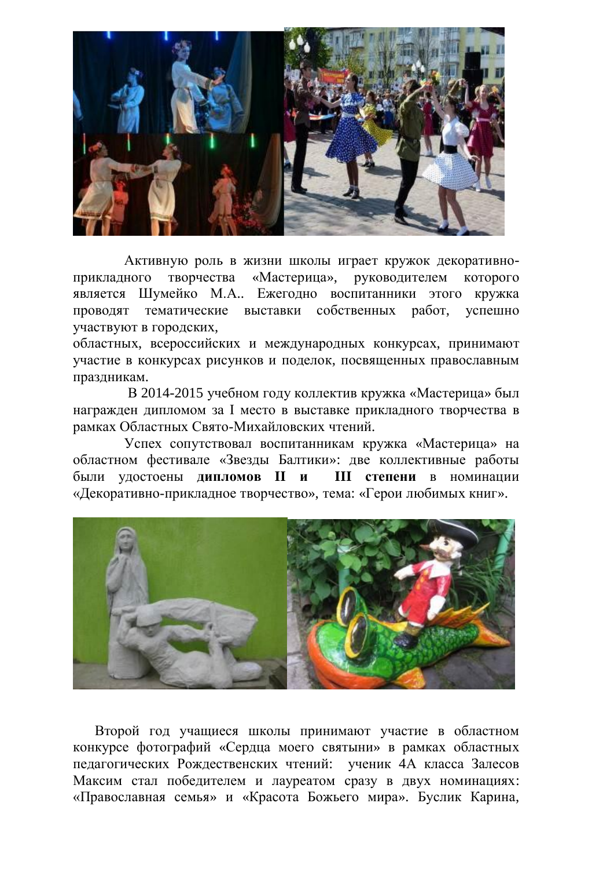

Активную роль в жизни школы играет кружок декоративноприкладного творчества «Мастерица», руководителем которого является Шумейко М.А.. Ежегодно воспитанники этого кружка проводят тематические выставки собственных работ, успешно участвуют в городских,

областных, всероссийских и международных конкурсах, принимают участие в конкурсах рисунков и поделок, посвященных православным праздникам.

В 2014-2015 учебном году коллектив кружка «Мастерица» был награжден дипломом за I место в выставке прикладного творчества в рамках Областных Свято-Михайловских чтений.

Успех сопутствовал воспитанникам кружка «Мастерица» на областном фестивале «Звезды Балтики»: две коллективные работы были удостоены дипломов II и III степени в номинации «Декоративно-прикладное творчество», тема: «Герои любимых книг».



Второй год учащиеся школы принимают участие в областном конкурсе фотографий «Сердца моего святыни» в рамках областных педагогических Рождественских чтений: ученик 4А класса Залесов Максим стал победителем и лауреатом сразу в двух номинациях: «Православная семья» и «Красота Божьего мира». Буслик Карина,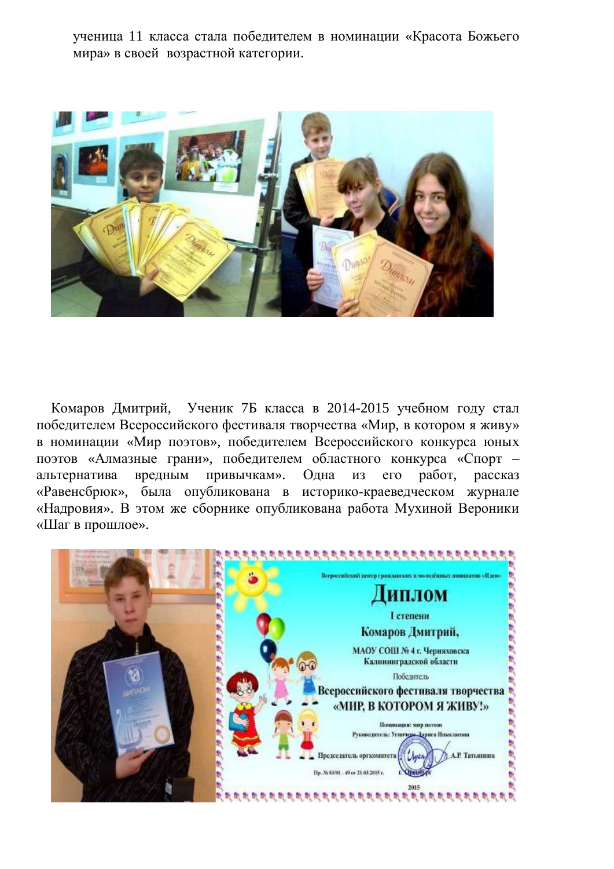ученица 11 класса стала победителем в номинации «Красота Божьего мира» в своей возрастной категории.



Комаров Дмитрий, Ученик 7Б класса в 2014-2015 учебном году стал победителем Всероссийского фестиваля творчества «Мир, в котором я живу» в номинации «Мир поэтов», победителем Всероссийского конкурса юных поэтов «Алмазные грани», победителем областного конкурса «Спорт – альтернатива вредным привычкам». Одна из его работ, рассказ «Равенсбрюк», была опубликована в историко-краеведческом журнале «Надровия». В этом же сборнике опубликована работа Мухиной Вероники «Шаг в прошлое».

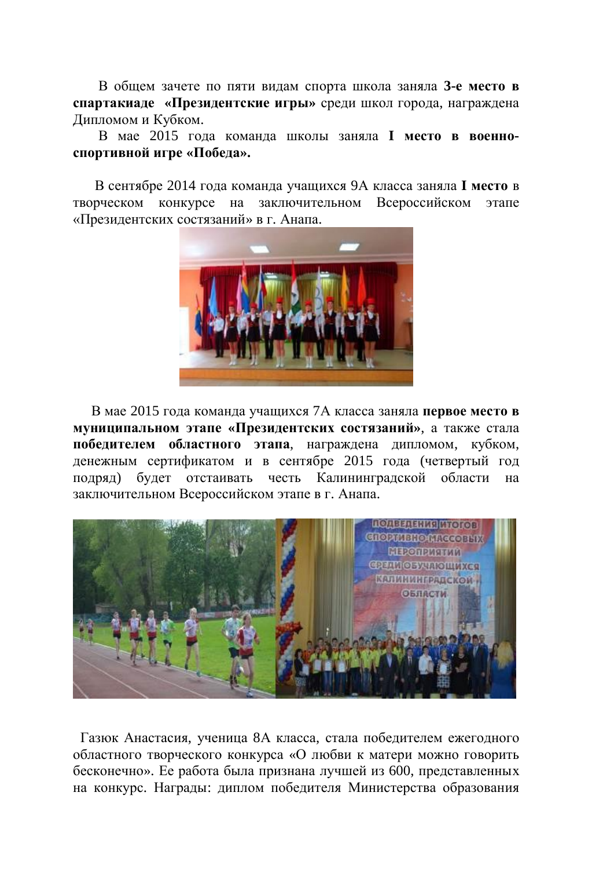В обшем зачете по пяти видам спорта школа заняла 3-е место в **спартакиаде «Президентские игры» среди школ города, награждена** Дипломом и Кубком.

В мае 2015 года команда школы заняла **I место в военно**спортивной игре «Победа».

В сентябре 2014 года команда учащихся 9А класса заняла I место в творческом конкурсе на заключительном Всероссийском этапе «Президентских состязаний» в г. Анапа.



В мае 2015 года команда учащихся 7А класса заняла **первое место в муниципальном этапе «Президентских состязаний», а также стала** победителем областного этапа, награждена дипломом, кубком, денежным сертификатом и в сентябре 2015 года (четвертый год подряд) будет отстаивать честь Калининградской области на заключительном Всероссийском этапе в г. Анапа.



Газюк Анастасия, ученица 8А класса, стала победителем ежегодного областного творческого конкурса «О любви к матери можно говорить бесконечно». Ее работа была признана лучшей из 600, представленных на конкурс. Награды: диплом победителя Министерства образования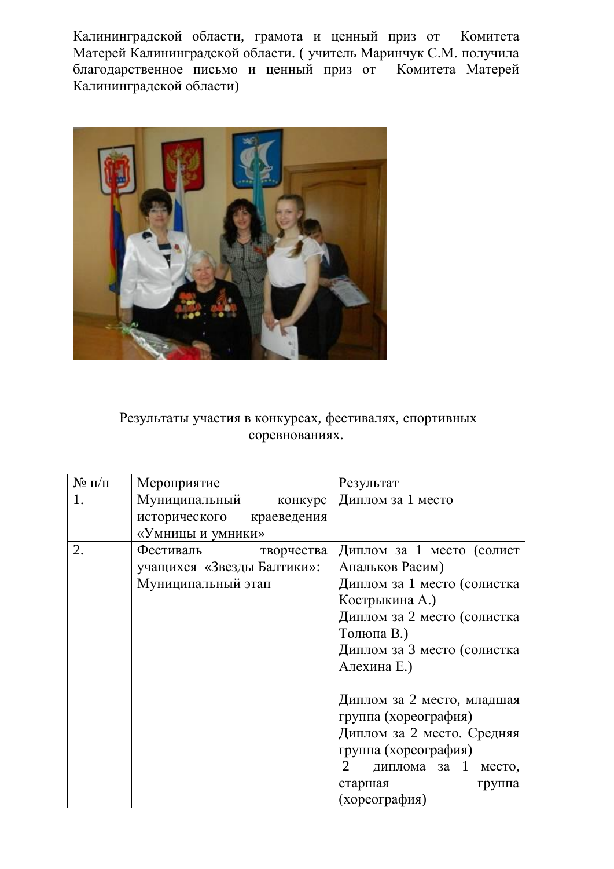Калининградской области, грамота и ценный приз от Комитета Матерей Калининградской области. ( учитель Маринчук С.М. получила благодарственное письмо и ценный приз от Комитета Матерей Калининградской области)



# Результаты участия в конкурсах, фестивалях, спортивных соревнованиях.

| $N$ <sup>o</sup> п/п | Мероприятие                | Результат                             |
|----------------------|----------------------------|---------------------------------------|
|                      | Муниципальный<br>конкурс   | Диплом за 1 место                     |
|                      | исторического краеведения  |                                       |
|                      | «Умницы и умники»          |                                       |
| 2.                   | Фестиваль<br>творчества    | Диплом за 1 место (солист             |
|                      | учащихся «Звезды Балтики»: | Апальков Расим)                       |
|                      | Муниципальный этап         | Диплом за 1 место (солистка           |
|                      |                            | Кострыкина А.)                        |
|                      |                            | Диплом за 2 место (солистка           |
|                      |                            | Толюпа В.)                            |
|                      |                            | Диплом за 3 место (солистка           |
|                      |                            | Алехина Е.)                           |
|                      |                            |                                       |
|                      |                            | Диплом за 2 место, младшая            |
|                      |                            | группа (хореография)                  |
|                      |                            | Диплом за 2 место. Средняя            |
|                      |                            | группа (хореография)                  |
|                      |                            | диплома за 1 место,<br>$\overline{2}$ |
|                      |                            | старшая<br>группа                     |
|                      |                            | (хореография)                         |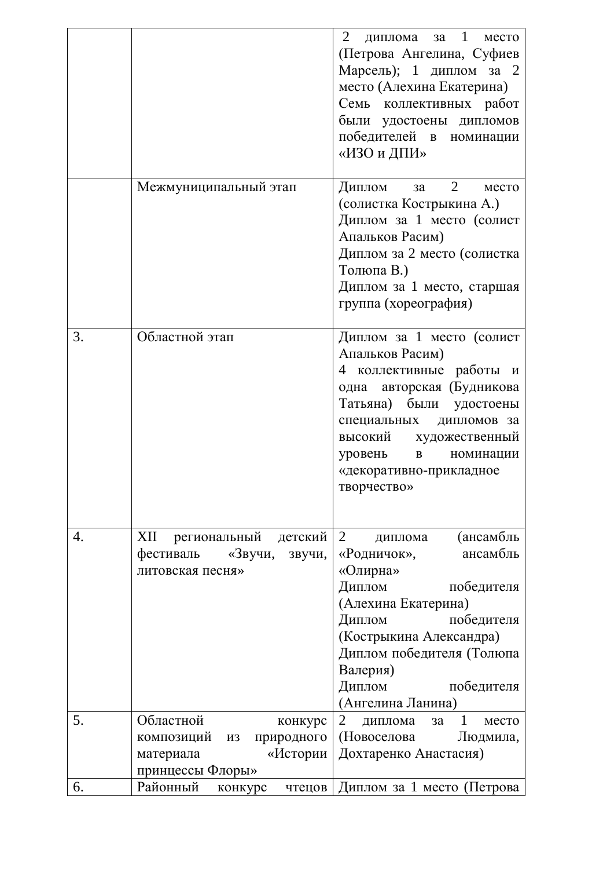|    |                                                                             | $\overline{2}$<br>диплома за 1<br>место<br>(Петрова Ангелина, Суфиев<br>Марсель); 1 диплом за 2<br>место (Алехина Екатерина)<br>Семь коллективных работ<br>были удостоены дипломов<br>победителей в номинации<br>«ИЗО и ДПИ»                             |
|----|-----------------------------------------------------------------------------|----------------------------------------------------------------------------------------------------------------------------------------------------------------------------------------------------------------------------------------------------------|
|    | Межмуниципальный этап                                                       | $3a \quad 2$<br>Диплом<br>место<br>(солистка Кострыкина А.)<br>Диплом за 1 место (солист<br>Апальков Расим)<br>Диплом за 2 место (солистка<br>Толюпа В.)<br>Диплом за 1 место, старшая<br>группа (хореография)                                           |
| 3. | Областной этап                                                              | Диплом за 1 место (солист<br>Апальков Расим)<br>4 коллективные работы и<br>одна авторская (Будникова<br>Татьяна) были удостоены<br>специальных<br>дипломов за<br>высокий художественный<br>уровень в номинации<br>«декоративно-прикладное<br>творчество» |
| 4. | XII региональный детский<br>фестиваль «Звучи,<br>звучи,<br>литовская песня» | 2<br>(ансамбль<br>диплома<br>ансамбль<br>«Родничок»,<br>«Олирна»<br>Диплом<br>победителя<br>(Алехина Екатерина)<br>Диплом<br>победителя<br>(Кострыкина Александра)<br>Диплом победителя (Толюпа<br>Валерия)<br>Диплом<br>победителя<br>(Ангелина Ланина) |
| 5. | Областной<br>конкурс<br>композиций из природного<br>«Истории<br>материала   | 2 диплома за 1<br>место<br>(Новоселова<br>Людмила,<br>Дохтаренко Анастасия)                                                                                                                                                                              |
| 6. | принцессы Флоры»<br>Районный<br>конкурс                                     | чтецов   Диплом за 1 место (Петрова                                                                                                                                                                                                                      |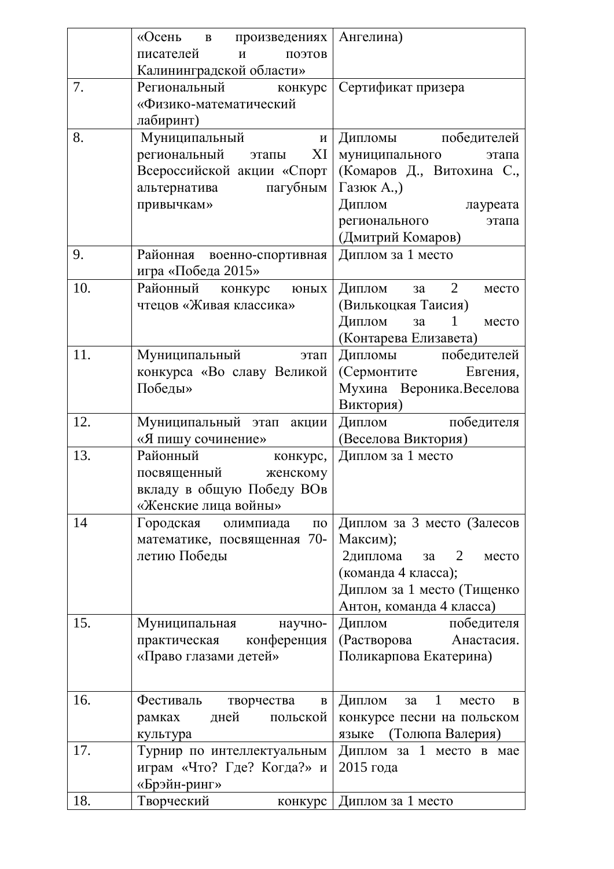|     | «Осень в произведениях   Ангелина)  |                                            |
|-----|-------------------------------------|--------------------------------------------|
|     | писателей<br>поэтов<br>$\mathbf{M}$ |                                            |
|     | Калининградской области»            |                                            |
| 7.  | Региональный конкурс                | Сертификат призера                         |
|     | «Физико-математический              |                                            |
|     | лабиринт)                           |                                            |
| 8.  | Муниципальный<br>$\mathbf{M}$       | Дипломы победителей                        |
|     | региональный этапы<br>XI            | муниципального<br>этапа                    |
|     | Всероссийской акции «Спорт          | (Комаров Д., Витохина С.,                  |
|     | альтернатива пагубным   Газюк А.,   |                                            |
|     | привычкам»                          | Диплом<br>лауреата                         |
|     |                                     | регионального<br>этапа                     |
|     |                                     | (Дмитрий Комаров)                          |
| 9.  | Районная военно-спортивная          | Диплом за 1 место                          |
|     | игра «Победа 2015»                  |                                            |
| 10. | Районный конкурс юных               | Диплом за 2<br>место                       |
|     | чтецов «Живая классика»             | (Вилькоцкая Таисия)                        |
|     |                                     | Диплом<br>$\mathbf{1}$<br>3a<br>место      |
|     |                                     | (Контарева Елизавета)                      |
| 11. | Муниципальный<br>этап               | Дипломы победителей                        |
|     | конкурса «Во славу Великой          | (Сермонтите Евгения,                       |
|     | Победы»                             | Мухина Вероника. Веселова                  |
| 12. | Муниципальный этап акции            | Виктория)                                  |
|     | «Я пишу сочинение»                  | Диплом победителя                          |
| 13. | Районный                            | (Веселова Виктория)<br>Диплом за 1 место   |
|     | конкурс,<br>посвященный женскому    |                                            |
|     | вкладу в общую Победу ВОв           |                                            |
|     | «Женские лица войны»                |                                            |
| 14  | Городская олимпиада<br>$\Pi 0$      | Диплом за 3 место (Залесов                 |
|     | математике, посвященная 70-         | Максим);                                   |
|     | летию Победы                        | 2диплома<br>$3a \quad 2$<br>место          |
|     |                                     | (команда 4 класса);                        |
|     |                                     | Диплом за 1 место (Тищенко                 |
|     |                                     | Антон, команда 4 класса)                   |
| 15. | Муниципальная<br>научно-            | Диплом<br>победителя                       |
|     | практическая конференция            | (Растворова Анастасия.                     |
|     | «Право глазами детей»               | Поликарпова Екатерина)                     |
|     |                                     |                                            |
| 16. | Фестиваль творчества<br>$\bf{B}$    | Диплом<br>$\mathbf{1}$<br>3a<br>место<br>B |
|     | дней<br>польской<br>рамках          | конкурсе песни на польском                 |
|     | культура                            | языке (Толюпа Валерия)                     |
| 17. | Турнир по интеллектуальным          | Диплом за 1 место в мае                    |
|     | играм «Что? Где? Когда?» и          | 2015 года                                  |
|     | «Брэйн-ринг»                        |                                            |
| 18. | Творческий<br>конкурс               | Диплом за 1 место                          |
|     |                                     |                                            |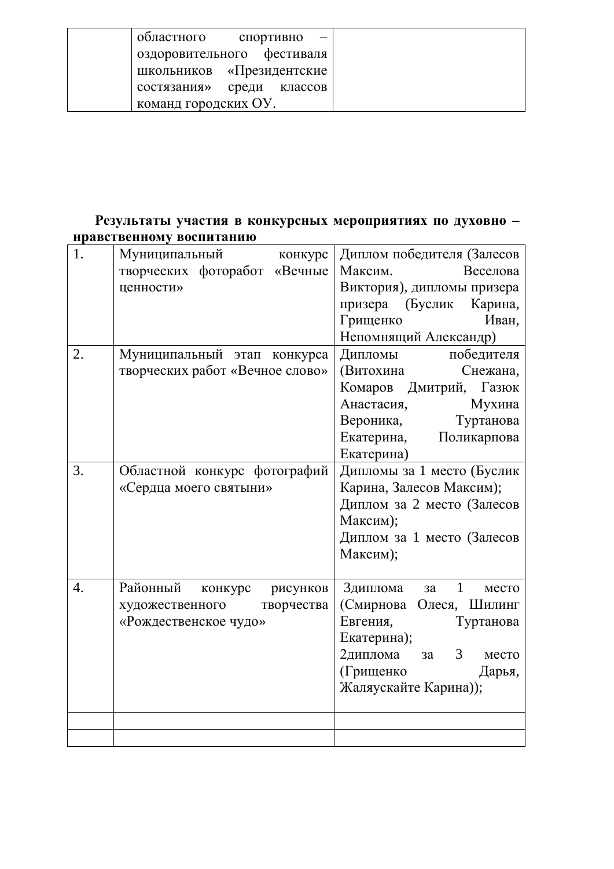| областного<br>спортивно    |
|----------------------------|
| оздоровительного фестиваля |
| школьников «Президентские  |
| состязания» среди классов  |
| команд городских ОУ.       |

## **Результаты участия в конкурсных мероприятиях по духовно – Нравственному воспитанию**

| 1. | Муниципальный<br>конкурс<br>творческих фоторабот «Вечные<br>ценности» | Диплом победителя (Залесов<br>Максим.<br>Веселова<br>Виктория), дипломы призера |
|----|-----------------------------------------------------------------------|---------------------------------------------------------------------------------|
|    |                                                                       | призера (Буслик<br>Карина,<br>Грищенко<br>Иван,                                 |
|    |                                                                       | Непомнящий Александр)                                                           |
| 2. | Муниципальный этап конкурса                                           | Дипломы<br>победителя                                                           |
|    | творческих работ «Вечное слово»                                       | (Витохина<br>Снежана,                                                           |
|    |                                                                       | Комаров<br>Дмитрий, Газюк                                                       |
|    |                                                                       | Анастасия,<br>Мухина                                                            |
|    |                                                                       | Вероника,<br>Туртанова                                                          |
|    |                                                                       | Екатерина,<br>Поликарпова                                                       |
|    |                                                                       | Екатерина)                                                                      |
| 3. | Областной конкурс фотографий                                          | Дипломы за 1 место (Буслик                                                      |
|    | «Сердца моего святыни»                                                | Карина, Залесов Максим);                                                        |
|    |                                                                       | Диплом за 2 место (Залесов                                                      |
|    |                                                                       | Максим);                                                                        |
|    |                                                                       | Диплом за 1 место (Залесов                                                      |
|    |                                                                       | Максим);                                                                        |
|    |                                                                       |                                                                                 |
| 4. | Районный<br>конкурс рисунков                                          | $\mathbf{1}$<br>Здиплома<br>за<br>место                                         |
|    | художественного<br>творчества                                         | (Смирнова Олеся, Шилинг                                                         |
|    | «Рождественское чудо»                                                 | Евгения,<br>Туртанова                                                           |
|    |                                                                       | Екатерина);                                                                     |
|    |                                                                       | 2диплома<br>3 <sup>7</sup><br>место<br>3a                                       |
|    |                                                                       | (Грищенко<br>Дарья,                                                             |
|    |                                                                       | Жаляускайте Карина));                                                           |
|    |                                                                       |                                                                                 |
|    |                                                                       |                                                                                 |
|    |                                                                       |                                                                                 |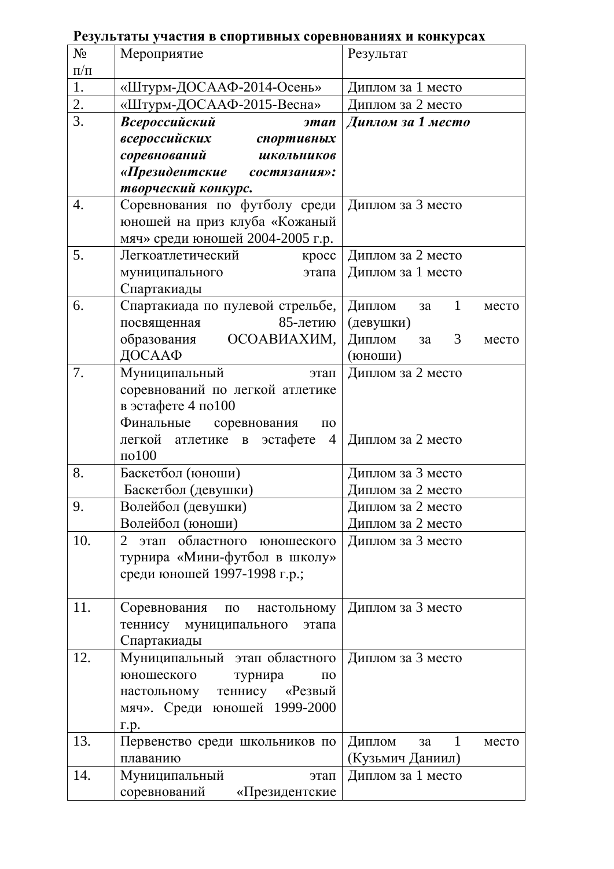| $N_2$     | Мероприятие                                                   | Результат                             |
|-----------|---------------------------------------------------------------|---------------------------------------|
| $\Pi/\Pi$ |                                                               |                                       |
| 1.        | «Штурм-ДОСААФ-2014-Осень»                                     | Диплом за 1 место                     |
| 2.        | «Штурм-ДОСААФ-2015-Весна»                                     | Диплом за 2 место                     |
| 3.        | Всероссийский<br>этап                                         | Диплом за 1 место                     |
|           | всероссийских<br>спортивных                                   |                                       |
|           | соревнований<br><b>ШКОЛЬНИКОВ</b>                             |                                       |
|           | «Президентские<br>состязания»:                                |                                       |
|           | творческий конкурс.                                           |                                       |
| 4.        | Соревнования по футболу среди                                 | Диплом за 3 место                     |
|           | юношей на приз клуба «Кожаный                                 |                                       |
|           | мяч» среди юношей 2004-2005 г.р.                              |                                       |
| 5.        | Легкоатлетический<br>kpcc                                     | Диплом за 2 место                     |
|           | муниципального<br>этапа                                       | Диплом за 1 место                     |
|           | Спартакиады                                                   |                                       |
| 6.        | Спартакиада по пулевой стрельбе,                              | Диплом<br>1<br>3a<br>место            |
|           | 85-летию<br>посвященная                                       | (девушки)                             |
|           | ОСОАВИАХИМ,<br>образования                                    | Диплом<br>3<br>3a<br>место            |
|           | ДОСААФ                                                        | (юноши)                               |
| 7.        | Муниципальный<br>этап                                         | Диплом за 2 место                     |
|           | соревнований по легкой атлетике                               |                                       |
|           | в эстафете 4 по100                                            |                                       |
|           | Финальные соревнования<br>$\Pi 0$                             |                                       |
|           | легкой атлетике<br>эстафете<br>$\overline{4}$<br>$\mathbf{B}$ | Диплом за 2 место                     |
|           | $\text{m}0100$                                                |                                       |
| 8.        | Баскетбол (юноши)                                             | Диплом за 3 место                     |
|           | Баскетбол (девушки)                                           | Диплом за 2 место                     |
| 9         | Волейбол (девушки)                                            | Диплом за 2 место                     |
|           | Волейбол (юноши)                                              | Диплом за 2 место                     |
| 10.       | этап областного юношеского<br>2                               | Диплом за 3 место                     |
|           | турнира «Мини-футбол в школу»                                 |                                       |
|           | среди юношей 1997-1998 г.р.;                                  |                                       |
|           |                                                               |                                       |
| 11.       | Соревнования по настольному                                   | Диплом за 3 место                     |
|           | теннису муниципального<br>этапа                               |                                       |
|           | Спартакиады                                                   |                                       |
| 12.       | Муниципальный этап областного                                 | Диплом за 3 место                     |
|           | юношеского<br>турнира<br>$\Pi$ <sup>O</sup>                   |                                       |
|           | настольному теннису «Резвый                                   |                                       |
|           | мяч». Среди юношей 1999-2000                                  |                                       |
|           | $\Gamma$ .p.                                                  |                                       |
| 13.       | Первенство среди школьников по                                | Диплом<br>$\mathbf{1}$<br>3a<br>место |
|           | плаванию                                                      | (Кузьмич Даниил)                      |
| 14.       | Муниципальный<br>этап                                         | Диплом за 1 место                     |
|           | соревнований<br>«Президентские                                |                                       |

# **Результаты участия в спортивных соревнованиях и конкурсах**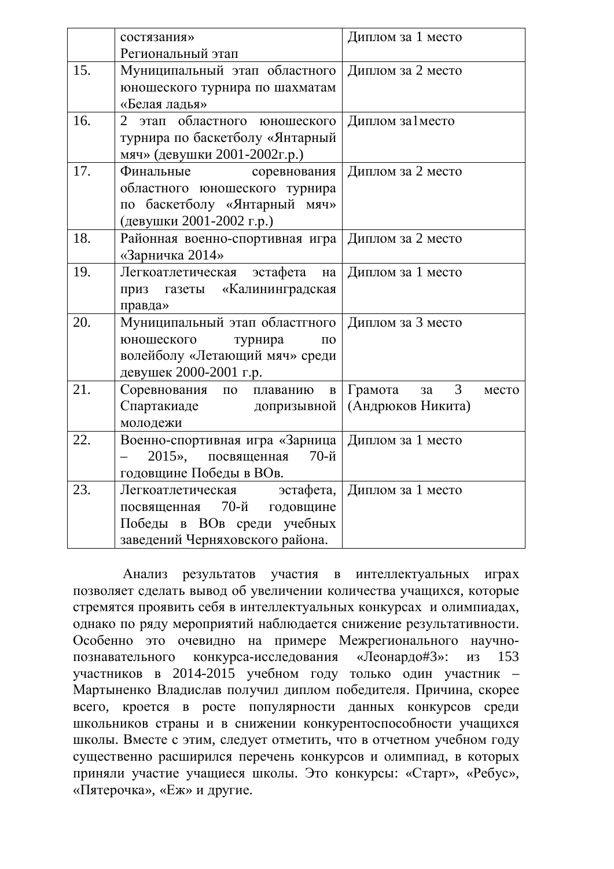|     | состязания»                                      | Диплом за 1 место                        |
|-----|--------------------------------------------------|------------------------------------------|
|     | Региональный этап                                |                                          |
| 15. | Муниципальный этап областного Диплом за 2 место  |                                          |
|     | юношеского турнира по шахматам                   |                                          |
|     | «Белая ладья»                                    |                                          |
| 16. | 2 этап областного юношеского                     | Диплом за1место                          |
|     | турнира по баскетболу «Янтарный                  |                                          |
|     | мяч» (девушки 2001-2002г.р.)                     |                                          |
| 17. | Финальные<br>соревнования                        | Диплом за 2 место                        |
|     | областного юношеского турнира                    |                                          |
|     | по баскетболу «Янтарный мяч»                     |                                          |
|     | (девушки 2001-2002 г.р.)                         |                                          |
| 18. | Районная военно-спортивная игра                  | Диплом за 2 место                        |
|     | «Зарничка 2014»                                  |                                          |
| 19. | Легкоатлетическая эстафета<br>на                 | Диплом за 1 место                        |
|     | приз газеты «Калининградская                     |                                          |
|     | правда»                                          |                                          |
| 20. | Муниципальный этап областгного Диплом за 3 место |                                          |
|     | юношеского<br>турнира<br>$\Pi$ <sup>O</sup>      |                                          |
|     | волейболу «Летающий мяч» среди                   |                                          |
|     | девушек 2000-2001 г.р.                           |                                          |
| 21. | Соревнования по плаванию<br>$\, {\bf B}$         | Грамота<br>3 <sup>7</sup><br>3a<br>место |
|     | Спартакиаде<br>допризывной                       | (Андрюков Никита)                        |
|     | молодежи                                         |                                          |
| 22. | Военно-спортивная игра «Зарница                  | Диплом за 1 место                        |
|     | $20152$ ,<br>посвященная 70-й                    |                                          |
|     | годовщине Победы в ВОв.                          |                                          |
| 23. | Легкоатлетическая эстафета,                      | Диплом за 1 место                        |
|     | посвященная 70-й годовщине                       |                                          |
|     | Победы в ВОв среди учебных                       |                                          |
|     | заведений Черняховского района.                  |                                          |

Анализ результатов участия в интеллектуальных играх позволяет сделать вывод об увеличении количества учащихся, которые стремятся проявить себя в интеллектуальных конкурсах и олимпиадах, однако по ряду мероприятий наблюдается снижение результативности. Особенно это очевидно на примере Межрегионального научнопознавательного конкурса-исследования «Леонардо#3»: из 153 үчастников в 2014-2015 учебном году только один участник -Мартыненко Владислав получил диплом победителя. Причина, скорее всего, кроется в росте популярности данных конкурсов среди школьников страны и в снижении конкурентоспособности учащихся школы. Вместе с этим, следует отметить, что в отчетном учебном году существенно расширился перечень конкурсов и олимпиад, в которых приняли участие учащиеся школы. Это конкурсы: «Старт», «Ребус», «Пятерочка», «Еж» и другие.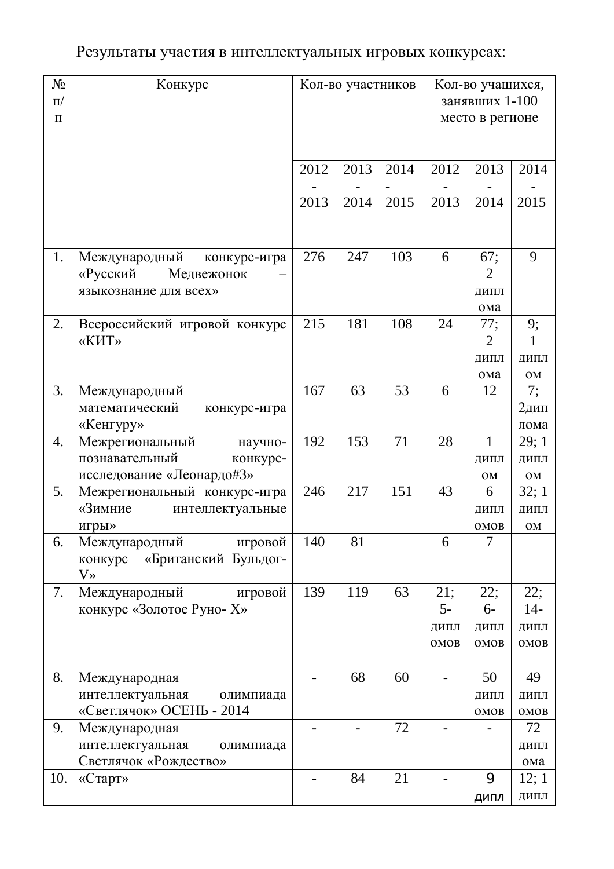# Результаты участия в интеллектуальных игровых конкурсах:

| $N_{\Omega}$<br>$\Pi$<br>$\Pi$ | Конкурс                                                                               |      | Кол-во участников |      | Кол-во учащихся,<br>занявших 1-100<br>место в регионе |                             |                              |
|--------------------------------|---------------------------------------------------------------------------------------|------|-------------------|------|-------------------------------------------------------|-----------------------------|------------------------------|
|                                |                                                                                       | 2012 | 2013              | 2014 | 2012                                                  | 2013                        | 2014                         |
|                                |                                                                                       | 2013 | 2014              | 2015 | 2013                                                  | 2014                        | 2015                         |
| 1.                             | Международный<br>конкурс-игра<br>«Русский<br>Медвежонок<br>языкознание для всех»      | 276  | 247               | 103  | 6                                                     | 67;<br>2<br>ДИПЛ<br>ома     | 9                            |
| 2.                             | Всероссийский игровой конкурс<br>«КИТ»                                                | 215  | 181               | 108  | 24                                                    | 77;<br>2<br>ДИПЛ<br>ома     | 9;<br>1<br>ДИПЛ<br>OM        |
| 3.                             | Международный<br>математический<br>конкурс-игра<br>«Кенгуру»                          | 167  | 63                | 53   | 6                                                     | 12                          | 7;<br>2дип<br>лома           |
| 4.                             | Межрегиональный<br>научно-<br>познавательный<br>конкурс-<br>исследование «Леонардо#3» | 192  | 153               | 71   | 28                                                    | 1<br>ДИПЛ<br>OM             | 29;1<br>ДИПЛ<br>OM           |
| 5.                             | Межрегиональный конкурс-игра<br>«Зимние<br>интеллектуальные<br>игры»                  | 246  | 217               | 151  | 43                                                    | 6<br>ДИПЛ<br>OMOB           | 32;1<br>ДИПЛ<br><b>OM</b>    |
| 6.                             | Международный<br>игровой<br>«Британский Бульдог-<br>конкурс<br>$V_{\lambda}$          | 140  | 81                |      | 6                                                     | $\overline{7}$              |                              |
| 7.                             | Международный<br>игровой<br>конкурс «Золотое Руно- Х»                                 | 139  | 119               | 63   | 21;<br>$5-$<br>ДИПЛ<br>OMOB                           | 22;<br>$6-$<br>ДИПЛ<br>OMOB | 22;<br>$14-$<br>ДИПЛ<br>OMOB |
| 8.                             | Международная<br>интеллектуальная<br>олимпиада<br>«Светлячок» ОСЕНЬ - 2014            |      | 68                | 60   |                                                       | 50<br>ДИПЛ<br>OMOB          | 49<br>ДИПЛ<br>OMOB           |
| 9.                             | Международная<br>интеллектуальная<br>олимпиада<br>Светлячок «Рождество»               |      |                   | 72   |                                                       |                             | 72<br>ДИПЛ<br>ома            |
| 10.                            | $\langle C \text{rapr} \rangle$                                                       |      | 84                | 21   |                                                       | 9<br>ДИПЛ                   | 12; 1<br>ДИПЛ                |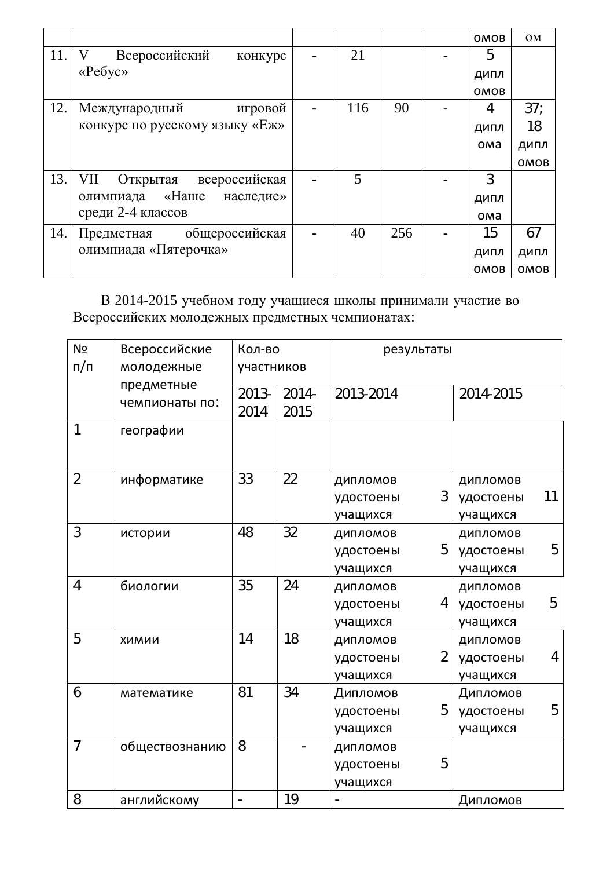|     |                                        |     |     | <b>OMOB</b> | <b>OM</b>       |
|-----|----------------------------------------|-----|-----|-------------|-----------------|
| 11. | V<br>Всероссийский<br>конкурс          | 21  |     | 5           |                 |
|     | $\langle \langle Pe6y \rangle \rangle$ |     |     | ДИПЛ        |                 |
|     |                                        |     |     | <b>OMOB</b> |                 |
| 12. | Международный<br>игровой               | 116 | 90  | 4           | 37 <sub>1</sub> |
|     | конкурс по русскому языку «Еж»         |     |     | ДИПЛ        | 18              |
|     |                                        |     |     | ома         | ДИПЛ            |
|     |                                        |     |     |             | OMOB            |
| 13. | VII<br>всероссийская<br>Открытая       | 5   |     | 3           |                 |
|     | олимпиада «Наше<br>наследие»           |     |     | ДИПЛ        |                 |
|     | среди 2-4 классов                      |     |     | ома         |                 |
| 14. | Предметная общероссийская              | 40  | 256 | 15          | 67              |
|     | олимпиада «Пятерочка»                  |     |     | ДИПЛ        | ДИПЛ            |
|     |                                        |     |     | OMOB        | OMOB            |

В 2014-2015 учебном году учащиеся школы принимали участие во Всероссийских молодежных предметных чемпионатах:

| N <sub>2</sub><br>Всероссийские<br>п/п<br>молодежные |                              | Кол-во<br>участников     |                  | результаты |   |           |    |
|------------------------------------------------------|------------------------------|--------------------------|------------------|------------|---|-----------|----|
|                                                      | предметные<br>чемпионаты по: | 2013-<br>2014            | $2014 -$<br>2015 | 2013-2014  |   | 2014-2015 |    |
| 1                                                    | географии                    |                          |                  |            |   |           |    |
| $\overline{2}$                                       | информатике                  | 33                       | 22               | ДИПЛОМОВ   |   | ДИПЛОМОВ  |    |
|                                                      |                              |                          |                  | удостоены  | 3 | удостоены | 11 |
|                                                      |                              |                          |                  | учащихся   |   | учащихся  |    |
| 3                                                    | истории                      | 48                       | 32               | ДИПЛОМОВ   |   | ДИПЛОМОВ  |    |
|                                                      |                              |                          |                  | удостоены  | 5 | удостоены | 5  |
|                                                      |                              |                          |                  | учащихся   |   | учащихся  |    |
| 4                                                    | биологии                     | 35                       | 24               | ДИПЛОМОВ   |   | ДИПЛОМОВ  |    |
|                                                      |                              |                          |                  | удостоены  | 4 | удостоены | 5  |
|                                                      |                              |                          |                  | учащихся   |   | учащихся  |    |
| 5                                                    | ХИМИИ                        | 14                       | 18               | ДИПЛОМОВ   |   | ДИПЛОМОВ  |    |
|                                                      |                              |                          |                  | удостоены  | 2 | удостоены | 4  |
|                                                      |                              |                          |                  | учащихся   |   | учащихся  |    |
| 6                                                    | математике                   | 81                       | 34               | Дипломов   |   | Дипломов  |    |
|                                                      |                              |                          |                  | удостоены  | 5 | удостоены | 5  |
|                                                      |                              |                          |                  | учащихся   |   | учащихся  |    |
| $\overline{7}$                                       | обществознанию               | 8                        |                  | ДИПЛОМОВ   |   |           |    |
|                                                      |                              |                          |                  | удостоены  | 5 |           |    |
|                                                      |                              |                          |                  | учащихся   |   |           |    |
| 8                                                    | английскому                  | $\overline{\phantom{0}}$ | 19               |            |   | Дипломов  |    |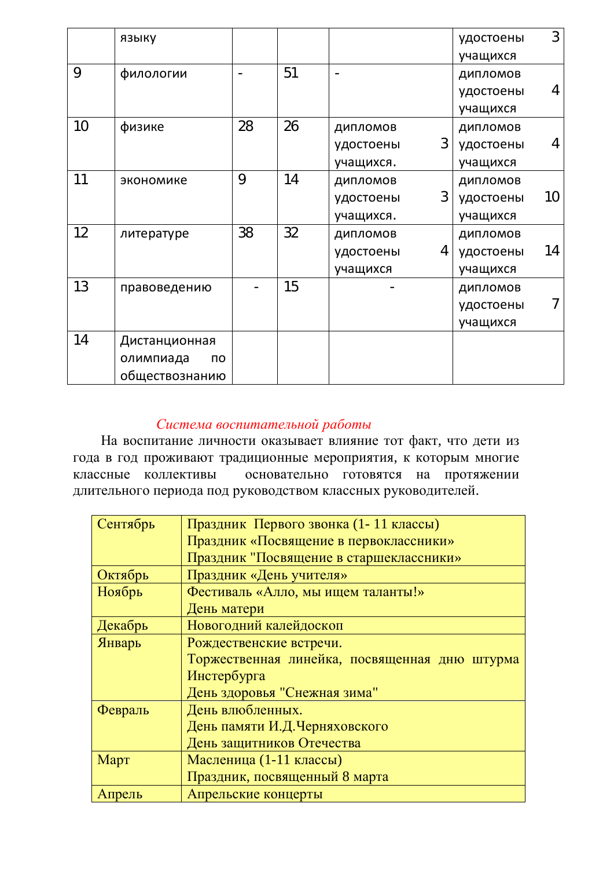|                   | языку           |    |    |                | удостоены | 3  |
|-------------------|-----------------|----|----|----------------|-----------|----|
|                   |                 |    |    |                | учащихся  |    |
| 9                 | филологии       |    | 51 |                | дипломов  |    |
|                   |                 |    |    |                | удостоены | 4  |
|                   |                 |    |    |                | учащихся  |    |
| 10                | физике          | 28 | 26 | ДИПЛОМОВ       | ДИПЛОМОВ  |    |
|                   |                 |    |    | 3<br>удостоены | удостоены | 4  |
|                   |                 |    |    | учащихся.      | учащихся  |    |
| 11                | экономике       | 9  | 14 | ДИПЛОМОВ       | ДИПЛОМОВ  |    |
|                   |                 |    |    | 3<br>удостоены | удостоены | 10 |
|                   |                 |    |    | учащихся.      | учащихся  |    |
| $12 \overline{ }$ | литературе      | 38 | 32 | ДИПЛОМОВ       | ДИПЛОМОВ  |    |
|                   |                 |    |    | 4<br>удостоены | удостоены | 14 |
|                   |                 |    |    | учащихся       | учащихся  |    |
| 13                | правоведению    |    | 15 |                | ДИПЛОМОВ  |    |
|                   |                 |    |    |                | удостоены | 7  |
|                   |                 |    |    |                | учащихся  |    |
| 14                | Дистанционная   |    |    |                |           |    |
|                   | олимпиада<br>по |    |    |                |           |    |
|                   | обществознанию  |    |    |                |           |    |

## Система воспитательной работы

На воспитание личности оказывает влияние тот факт, что дети из года в год проживают традиционные мероприятия, к которым многие классные коллективы основательно готовятся на протяжении длительного периода под руководством классных руководителей.

| Сентябрь | Праздник Первого звонка (1-11 классы)         |  |  |  |  |  |
|----------|-----------------------------------------------|--|--|--|--|--|
|          | Праздник «Посвящение в первоклассники»        |  |  |  |  |  |
|          | Праздник "Посвящение в старшеклассники»       |  |  |  |  |  |
| Октябрь  | Праздник «День учителя»                       |  |  |  |  |  |
| Ноябрь   | Фестиваль «Алло, мы ищем таланты!»            |  |  |  |  |  |
|          | День матери                                   |  |  |  |  |  |
| Декабрь  | Новогодний калейдоскоп                        |  |  |  |  |  |
| Январь   | Рождественские встречи.                       |  |  |  |  |  |
|          | Торжественная линейка, посвященная дню штурма |  |  |  |  |  |
|          | Инстербурга                                   |  |  |  |  |  |
|          | День здоровья "Снежная зима"                  |  |  |  |  |  |
| Февраль  | День влюбленных.                              |  |  |  |  |  |
|          | День памяти И.Д.Черняховского                 |  |  |  |  |  |
|          | День защитников Отечества                     |  |  |  |  |  |
| Март     | Масленица (1-11 классы)                       |  |  |  |  |  |
|          | Праздник, посвященный 8 марта                 |  |  |  |  |  |
| Апрель   | Апрельские концерты                           |  |  |  |  |  |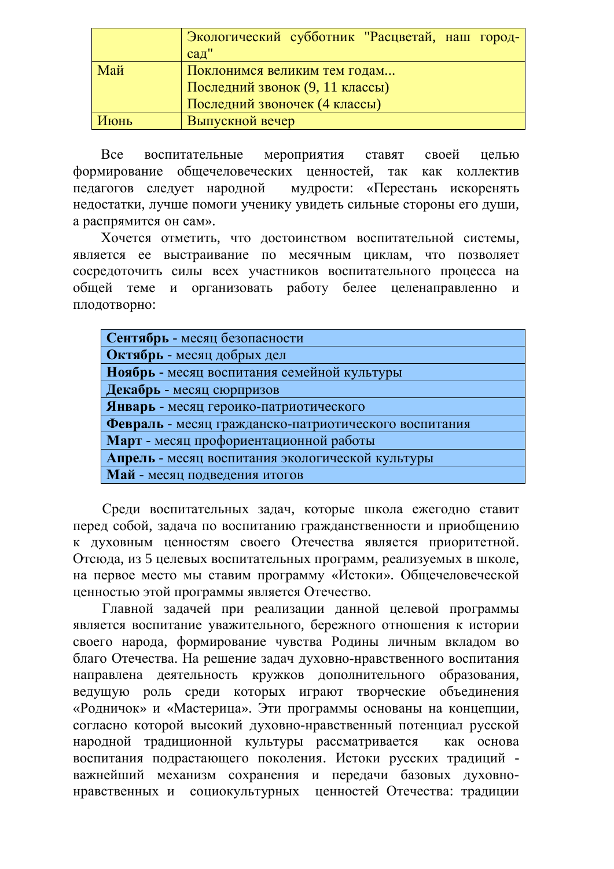|      | Экологический субботник "Расцветай, наш город- |  |  |  |  |  |
|------|------------------------------------------------|--|--|--|--|--|
|      | $caµ$ "                                        |  |  |  |  |  |
| Май  | Поклонимся великим тем годам                   |  |  |  |  |  |
|      | Последний звонок (9, 11 классы)                |  |  |  |  |  |
|      | Последний звоночек (4 классы)                  |  |  |  |  |  |
| Июнь | Выпускной вечер                                |  |  |  |  |  |

Все воспитательные мероприятия ставят своей целью формирование общечеловеческих ценностей, так как коллектив педагогов следует народной мудрости: «Перестань искоренять недостатки, лучше помоги ученику увидеть сильные стороны его души, а распрямится он сам».

Хочется отметить, что достоинством воспитательной системы, является ее выстраивание по месячным циклам, что позволяет сосредоточить силы всех участников воспитательного процесса на общей теме и организовать работу белее целенаправленно и плодотворно:

| Сентябрь - месяц безопасности                         |
|-------------------------------------------------------|
| Октябрь - месяц добрых дел                            |
| Ноябрь - месяц воспитания семейной культуры           |
| Декабрь - месяц сюрпризов                             |
| Январь - месяц героико-патриотического                |
| Февраль - месяц гражданско-патриотического воспитания |
| Март - месяц профориентационной работы                |
| Апрель - месяц воспитания экологической культуры      |
| Май - месяц подведения итогов                         |
|                                                       |

Среди воспитательных задач, которые школа ежегодно ставит перед собой, задача по воспитанию гражданственности и приобщению к духовным ценностям своего Отечества является приоритетной. Отсюда, из 5 целевых воспитательных программ, реализуемых в школе, на первое место мы ставим программу «Истоки». Общечеловеческой ценностью этой программы является Отечество.

Главной задачей при реализации данной целевой программы является воспитание уважительного, бережного отношения к истории своего народа, формирование чувства Родины личным вкладом во благо Отечества. На решение задач духовно-нравственного воспитания направлена деятельность кружков дополнительного образования, ведущую роль среди которых играют творческие объединения «Родничок» и «Мастерица». Эти программы основаны на концепции, согласно которой высокий духовно-нравственный потенциал русской народной традиционной культуры рассматривается как основа воспитания подрастающего поколения. Истоки русских традиций важнейший механизм сохранения и передачи базовых духовнонравственных и социокультурных ценностей Отечества: традиции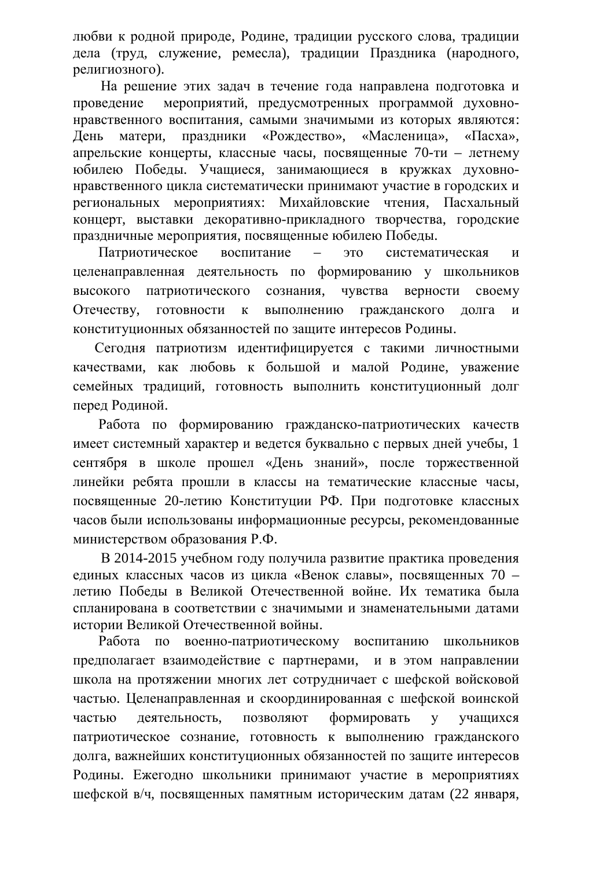любви к родной природе, Родине, традиции русского слова, традиции дела (труд, служение, ремесла), традиции Праздника (народного. религиозного).

На решение этих залач в течение гола направлена полготовка и проведение мероприятий, предусмотренных программой духовнонравственного воспитания, самыми значимыми из которых являются: День матери, праздники «Рождество», «Масленица», «Пасха», апрельские концерты, классные часы, посвященные 70-ти – летнему юбилею Победы. Учащиеся, занимающиеся в кружках духовнонравственного цикла систематически принимают участие в городских и региональных мероприятиях: Михайловские чтения, Пасхальный концерт, выставки декоративно-прикладного творчества, городские праздничные мероприятия, посвященные юбилею Победы.

Патриотическое воспитание – это систематическая и целенаправленная деятельность по формированию у школьников высокого патриотического сознания, чувства верности своему Отечеству, готовности к выполнению гражданского долга и конституционных обязанностей по защите интересов Родины.

Сегодня патриотизм идентифицируется с такими личностными качествами, как любовь к большой и малой Родине, уважение семейных традиций, готовность выполнить конституционный долг перед Родиной.

Работа по формированию гражданско-патриотических качеств имеет системный характер и ведется буквально с первых дней учебы, 1 сентября в школе прошел «День знаний», после торжественной линейки ребята прошли в классы на тематические классные часы, посвященные 20-летию Конституции РФ. При подготовке классных часов были использованы информационные ресурсы, рекомендованные министерством образования Р.Ф.

В 2014-2015 учебном году получила развитие практика проведения единых классных часов из цикла «Венок славы», посвященных 70 – летию Победы в Великой Отечественной войне. Их тематика была спланирована в соответствии с значимыми и знаменательными датами истории Великой Отечественной войны.

Работа по военно-патриотическому воспитанию школьников предполагает взаимодействие с партнерами, и в этом направлении школа на протяжении многих лет сотрудничает с шефской войсковой частью. Целенаправленная и скоординированная с шефской воинской частью деятельность, позволяют формировать у учащихся патриотическое сознание, готовность к выполнению гражданского долга, важнейших конституционных обязанностей по защите интересов Родины. Ежегодно школьники принимают участие в мероприятиях шефской в/ч, посвященных памятным историческим датам (22 января,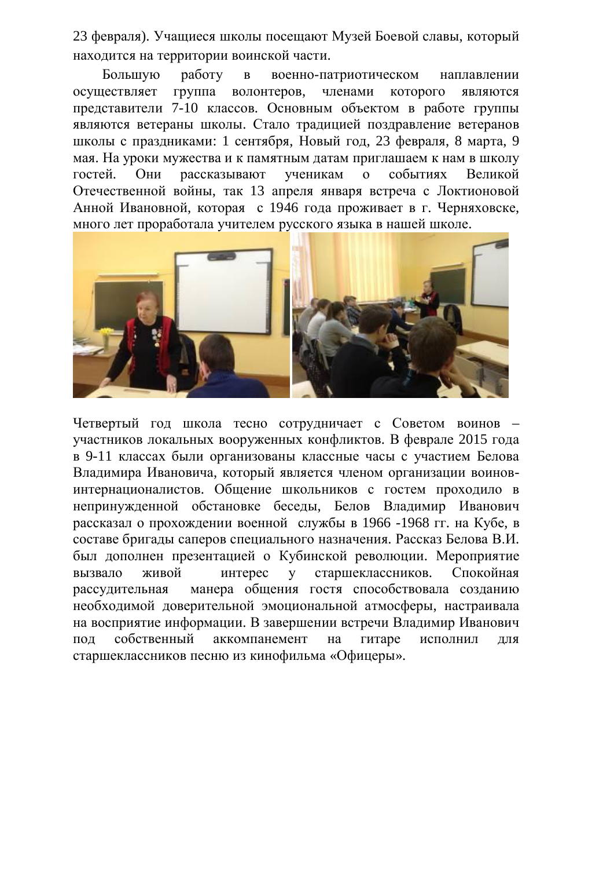23 февраля). Учащиеся школы посещают Музей Боевой славы, который находится на территории воинской части.

Большую работу в военно-патриотическом наплавлении осуществляет группа волонтеров, членами которого являются представители 7-10 классов. Основным объектом в работе группы являются ветераны школы. Стало традицией поздравление ветеранов школы с праздниками: 1 сентября, Новый год, 23 февраля, 8 марта, 9 мая. На уроки мужества и к памятным датам приглашаем к нам в школу гостей. Они рассказывают ученикам о событиях Великой Отечественной войны, так 13 апреля января встреча с Локтионовой Анной Ивановной, которая с 1946 года проживает в г. Черняховске, много лет проработала учителем русского языка в нашей школе.



Четвертый год школа тесно сотрудничает с Советом воинов – участников локальных вооруженных конфликтов. В феврале 2015 года в 9-11 классах были организованы классные часы с участием Белова Владимира Ивановича, который является членом организации воиновинтернационалистов. Общение школьников с гостем проходило в непринужденной обстановке беседы, Белов Владимир Иванович рассказал о прохождении военной службы в 1966 -1968 гг. на Кубе, в составе бригады саперов специального назначения. Рассказ Белова В.И. был дополнен презентацией о Кубинской революции. Мероприятие вызвало живой интерес у старшеклассников. Спокойная рассудительная манера общения гостя способствовала созданию необходимой доверительной эмоциональной атмосферы, настраивала на восприятие информации. В завершении встречи Владимир Иванович пол собственный аккомпанемент на гитаре исполнил лля старшеклассников песню из кинофильма «Офицеры».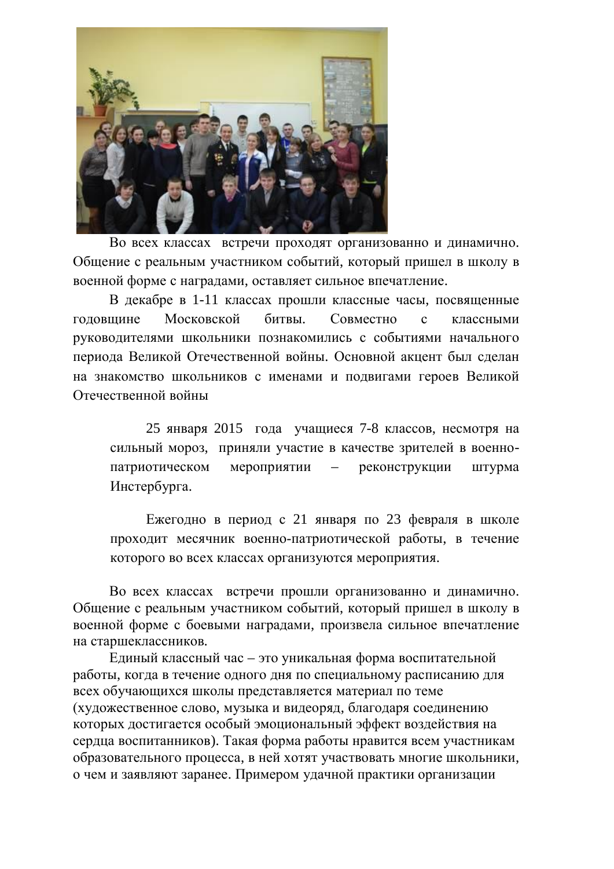

Во всех классах встречи проходят организованно и динамично. Общение с реальным участником событий, который пришел в школу в военной форме с наградами, оставляет сильное впечатление.

В декабре в 1-11 классах прошли классные часы, посвященные годовщине Московской битвы. Совместно с классными руководителями школьники познакомились с событиями начального периода Великой Отечественной войны. Основной акцент был сделан на знакомство школьников с именами и подвигами героев Великой Отечественной войны

25 января 2015 года учащиеся 7-8 классов, несмотря на сильный мороз, приняли участие в качестве зрителей в военнопатриотическом мероприятии – реконструкции штурма Инстербурга.

Ежегодно в период с 21 января по 23 февраля в школе проходит месячник военно-патриотической работы, в течение которого во всех классах организуются мероприятия.

Во всех классах встречи прошли организованно и динамично. Общение с реальным участником событий, который пришел в школу в военной форме с боевыми наградами, произвела сильное впечатление на старшеклассников.

Единый классный час – это уникальная форма воспитательной работы, когда в течение одного дня по специальному расписанию для всех обучающихся школы представляется материал по теме (художественное слово, музыка и видеоряд, благодаря соединению которых достигается особый эмоциональный эффект воздействия на сердца воспитанников). Такая форма работы нравится всем участникам образовательного процесса, в ней хотят участвовать многие школьники, о чем и заявляют заранее. Примером удачной практики организации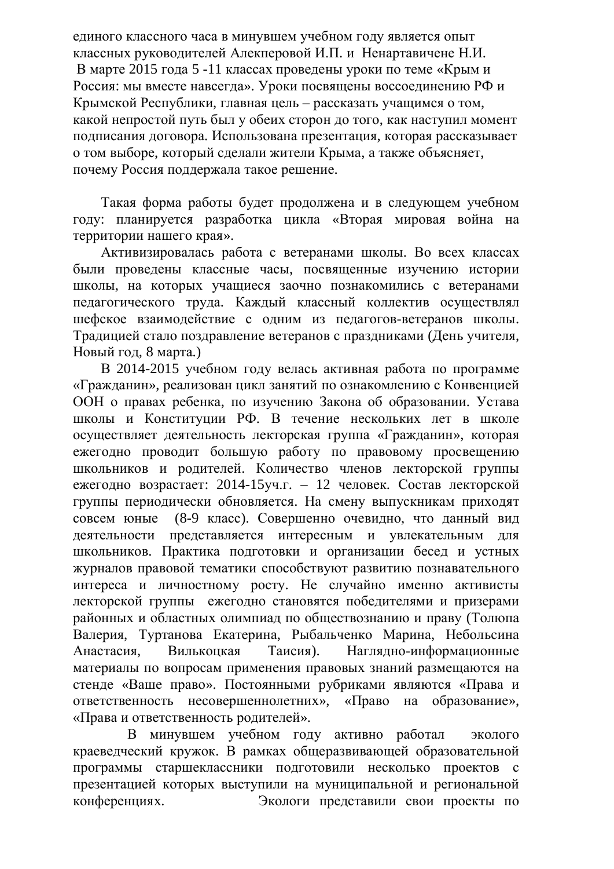единого классного часа в минувшем учебном году является опыт классных руководителей Алекперовой И.П. и Ненартавичене Н.И. В марте 2015 года 5 -11 классах проведены уроки по теме «Крым и Россия: мы вместе навсегда». Уроки посвящены воссоединению РФ и Крымской Республики, главная цель – рассказать учащимся о том, какой непростой путь был у обеих сторон до того, как наступил момент подписания договора. Использована презентация, которая рассказывает о том выборе, который слелали жители Крыма, а также объясняет, почему Россия поддержала такое решение.

Такая форма работы будет продолжена и в следующем учебном году: планируется разработка цикла «Вторая мировая война на территории нашего края».

Активизировалась работа с ветеранами школы. Во всех классах были проведены классные часы, посвященные изучению истории школы, на которых учащиеся заочно познакомились с ветеранами педагогического труда. Каждый классный коллектив осуществлял шефское взаимодействие с одним из педагогов-ветеранов школы. Традицией стало поздравление ветеранов с праздниками (День учителя, Новый год. 8 марта.)

В 2014-2015 учебном году велась активная работа по программе «Гражданин», реализован цикл занятий по ознакомлению с Конвенцией ООН о правах ребенка, по изучению Закона об образовании. Устава школы и Конституции РФ. В течение нескольких лет в школе осуществляет деятельность лекторская группа «Гражданин», которая ежегодно проводит большую работу по правовому просвещению школьников и родителей. Количество членов лекторской группы ежегодно возрастает: 2014-15уч.г. – 12 человек. Состав лекторской группы периодически обновляется. На смену выпускникам приходят совсем юные (8-9 класс). Совершенно очевидно, что данный вид деятельности представляется интересным и увлекательным для школьников. Практика подготовки и организации бесед и устных журналов правовой тематики способствуют развитию познавательного интереса и личностному росту. Не случайно именно активисты лекторской группы ежегодно становятся победителями и призерами районных и областных олимпиад по обществознанию и праву (Толюпа Валерия, Туртанова Екатерина, Рыбальченко Марина, Небольсина Анастасия. Вилькоцкая Таисия). Наглядно-информационные материалы по вопросам применения правовых знаний размещаются на стенде «Ваше право». Постоянными рубриками являются «Права и ответственность несовершеннолетних», «Право на образование», «Права и ответственность родителей».

В минувшем учебном году активно работал эколого краеведческий кружок. В рамках общеразвивающей образовательной программы старшеклассники подготовили несколько проектов с презентацией которых выступили на муниципальной и региональной конференциях. Экологи представили свои проекты по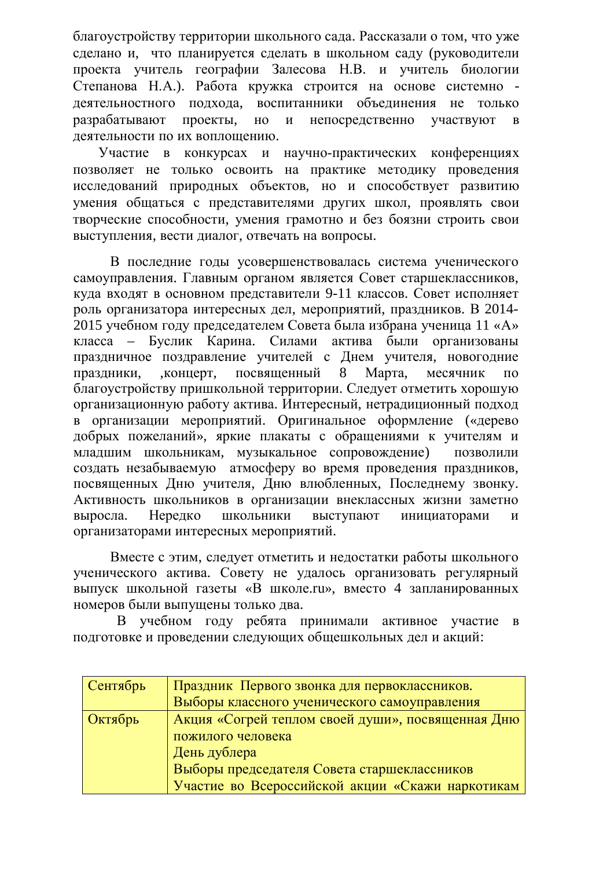благоустройству территории школьного сада. Рассказали о том, что уже сделано и, что планируется сделать в школьном саду (руководители проекта учитель географии Залесова Н.В. и учитель биологии Степанова Н.А.). Работа кружка строится на основе системно деятельностного подхода, воспитанники объединения не только разрабатывают проекты, но и непосредственно участвуют в деятельности по их воплощению.

Участие в конкурсах и научно-практических конференциях позволяет не только освоить на практике методику проведения исследований природных объектов, но и способствует развитию умения общаться с представителями других школ, проявлять свои творческие способности, умения грамотно и без боязни строить свои выступления, вести диалог, отвечать на вопросы.

В последние годы усовершенствовалась система ученического самоуправления. Главным органом является Совет старшеклассников. куда входят в основном представители 9-11 классов. Совет исполняет роль организатора интересных дел, мероприятий, праздников. В 2014-2015 учебном году председателем Совета была избрана ученица 11 «А» класса – Буслик Карина. Силами актива были организованы праздничное поздравление учителей с Днем учителя, новогодние праздники, , концерт, посвященный 8 Марта, месячник по благоустройству пришкольной территории. Следует отметить хорошую организационную работу актива. Интересный, нетрадиционный подход в организации мероприятий. Оригинальное оформление («дерево добрых пожеланий», яркие плакаты с обращениями к учителям и младшим школьникам, музыкальное сопровождение) позволили создать незабываемую атмосферу во время проведения праздников, посвященных Дню учителя, Дню влюбленных, Последнему звонку. Активность школьников в организации внеклассных жизни заметно выросла. Нередко школьники выступают инициаторами и организаторами интересных мероприятий.

Вместе с этим, следует отметить и недостатки работы школьного ученического актива. Совету не удалось организовать регулярный выпуск школьной газеты «В школе.ru», вместо 4 запланированных номеров были выпущены только два.

В учебном году ребята принимали активное участие в подготовке и проведении следующих общешкольных дел и акций:

| Сентябрь | Праздник Первого звонка для первоклассников.      |  |  |  |  |  |
|----------|---------------------------------------------------|--|--|--|--|--|
|          | Выборы классного ученического самоуправления      |  |  |  |  |  |
| Октябрь  | Акция «Согрей теплом своей души», посвященная Дню |  |  |  |  |  |
|          | пожилого человека                                 |  |  |  |  |  |
|          | День дублера                                      |  |  |  |  |  |
|          | Выборы председателя Совета старшеклассников       |  |  |  |  |  |
|          | Участие во Всероссийской акции «Скажи наркотикам  |  |  |  |  |  |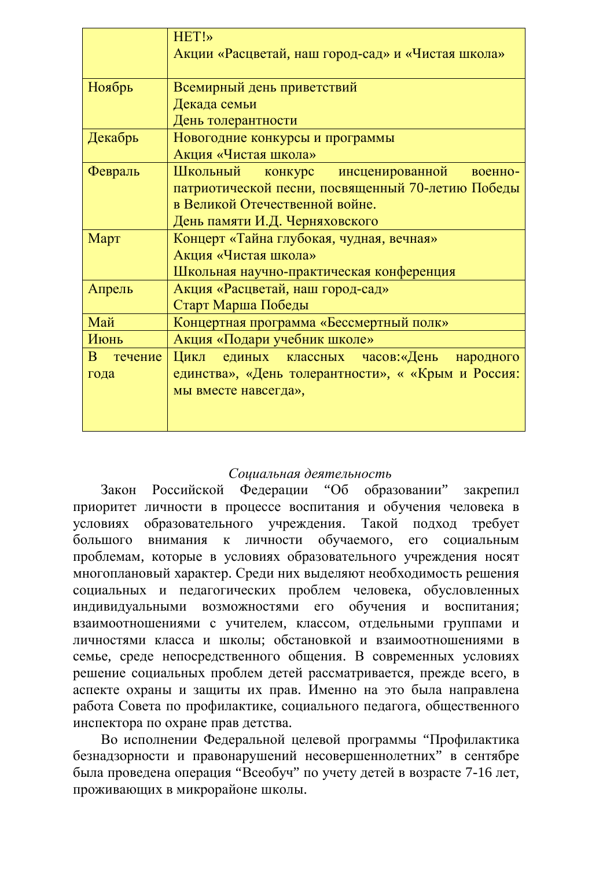|                         | HET!»                                              |  |  |  |  |  |  |
|-------------------------|----------------------------------------------------|--|--|--|--|--|--|
|                         | Акции «Расцветай, наш город-сад» и «Чистая школа»  |  |  |  |  |  |  |
| Ноябрь                  | Всемирный день приветствий                         |  |  |  |  |  |  |
|                         | Декада семьи                                       |  |  |  |  |  |  |
|                         | День толерантности                                 |  |  |  |  |  |  |
| Декабрь                 | Новогодние конкурсы и программы                    |  |  |  |  |  |  |
|                         | Акция «Чистая школа»                               |  |  |  |  |  |  |
| Февраль                 | Школьный<br>конкурс инсценированной<br>военно-     |  |  |  |  |  |  |
|                         | патриотической песни, посвященный 70-летию Победы  |  |  |  |  |  |  |
|                         | в Великой Отечественной войне.                     |  |  |  |  |  |  |
|                         | День памяти И.Д. Черняховского                     |  |  |  |  |  |  |
| Март                    | Концерт «Тайна глубокая, чудная, вечная»           |  |  |  |  |  |  |
|                         | Акция «Чистая школа»                               |  |  |  |  |  |  |
|                         | Школьная научно-практическая конференция           |  |  |  |  |  |  |
| Апрель                  | Акция «Расцветай, наш город-сад»                   |  |  |  |  |  |  |
|                         | Старт Марша Победы                                 |  |  |  |  |  |  |
| Май                     | Концертная программа «Бессмертный полк»            |  |  |  |  |  |  |
| Июнь                    | Акция «Подари учебник школе»                       |  |  |  |  |  |  |
| <sub>B</sub><br>течение | единых классных часов:«День народного<br>Цикл      |  |  |  |  |  |  |
| года                    | единства», «День толерантности», « «Крым и Россия: |  |  |  |  |  |  |
|                         | мы вместе навсегда»,                               |  |  |  |  |  |  |
|                         |                                                    |  |  |  |  |  |  |
|                         |                                                    |  |  |  |  |  |  |

# Социальная деятельность

Закон Российской Федерации "Об образовании" закрепил приоритет личности в процессе воспитания и обучения человека в условиях образовательного учреждения. Такой подход требует большого внимания к личности обучаемого, его социальным проблемам, которые в условиях образовательного учреждения носят многоплановый характер. Среди них выделяют необходимость решения социальных и педагогических проблем человека, обусловленных индивидуальными возможностями его обучения и воспитания; взаимоотношениями с учителем, классом, отдельными группами и личностями класса и школы; обстановкой и взаимоотношениями в семье, среде непосредственного общения. В современных условиях решение социальных проблем детей рассматривается, прежде всего, в аспекте охраны и защиты их прав. Именно на это была направлена работа Совета по профилактике, социального педагога, общественного инспектора по охране прав детства.

Во исполнении Федеральной целевой программы "Профилактика безнадзорности и правонарушений несовершеннолетних" в сентябре была проведена операция "Всеобуч" по учету детей в возрасте 7-16 лет, проживающих в микрорайоне школы.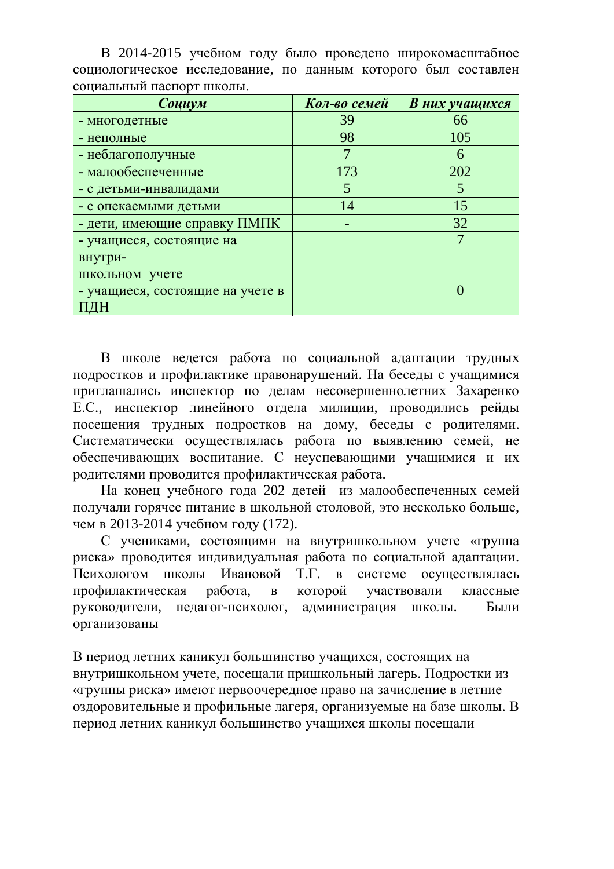| Социум                           | Кол-во семей | В них учащихся |
|----------------------------------|--------------|----------------|
| - многодетные                    | 39           | 66             |
| - неполные                       | 98           | 105            |
| - неблагополучные                |              | 6              |
| - малообеспеченные               | 173          | 202            |
| - с детьми-инвалидами            | 5            |                |
| - с опекаемыми детьми            | 14           | 15             |
| - дети, имеющие справку ПМПК     |              | 32             |
| - учащиеся, состоящие на         |              |                |
| внутри-                          |              |                |
| школьном учете                   |              |                |
| - учащиеся, состоящие на учете в |              |                |
|                                  |              |                |

В 2014-2015 учебном году было проведено широкомасштабное социологическое исследование, по данным которого был составлен социальный паспорт школы.

В школе велется работа по социальной алаптации трудных подростков и профилактике правонарушений. На беседы с учащимися приглашались инспектор по делам несовершеннолетних Захаренко Е.С., инспектор линейного отдела милиции, проводились рейды посещения трудных подростков на дому, беседы с родителями. Систематически осуществлялась работа по выявлению семей, не обеспечивающих воспитание. С неуспевающими учащимися и их родителями проводится профилактическая работа.

На конец учебного года 202 детей из малообеспеченных семей получали горячее питание в школьной столовой, это несколько больше, чем в 2013-2014 учебном году (172).

С учениками, состоящими на внутришкольном учете «группа риска» проводится индивидуальная работа по социальной адаптации. Психологом школы Ивановой Т.Г. в системе осушествлялась профилактическая работа, в которой участвовали классные руководители, педагог-психолог, администрация школы. Были организованы

В период летних каникул большинство учащихся, состоящих на внутришкольном учете, посещали пришкольный лагерь. Подростки из «группы риска» имеют первоочередное право на зачисление в летние оздоровительные и профильные лагеря, организуемые на базе школы. В период летних каникул большинство учащихся школы посещали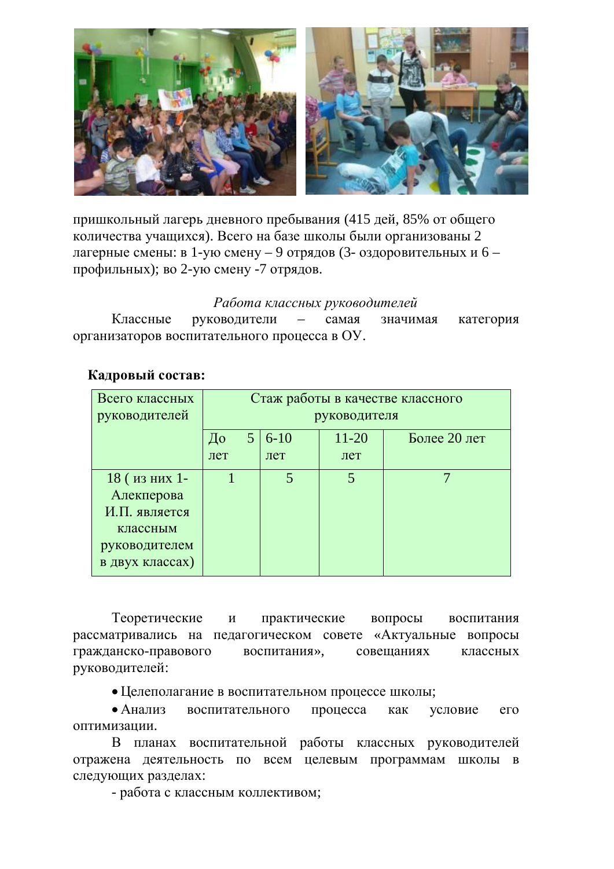

пришкольный лагерь дневного пребывания (415 дей, 85% от общего количества учащихся). Всего на базе школы были организованы 2 лагерные смены: в 1-ую смену – 9 отрядов (3- оздоровительных и 6 – профильных); во 2-ую смену -7 отрядов.

## Работа классных руководителей

Классные руководители – самая значимая категория организаторов воспитательного процесса в ОУ.

| Кадровый состав: |  |
|------------------|--|
|------------------|--|

| Всего классных<br>руководителей                                                              | Стаж работы в качестве классного<br>руководителя |  |                 |                  |              |
|----------------------------------------------------------------------------------------------|--------------------------------------------------|--|-----------------|------------------|--------------|
|                                                                                              | До<br>лет                                        |  | $6 - 10$<br>лет | $11 - 20$<br>лет | Более 20 лет |
| 18 (из них 1-<br>Алекперова<br>И.П. является<br>классным<br>руководителем<br>в двух классах) |                                                  |  |                 | 5                |              |

Теоретические и практические вопросы воспитания рассматривались на педагогическом совете «Актуальные вопросы гражданско-правового воспитания», совещаниях классных руководителей:

• Целеполагание в воспитательном процессе школы;

• Анализ воспитательного процесса как условие его оптимизации.

В планах воспитательной работы классных руководителей отражена деятельность по всем целевым программам школы в следующих разделах:

- работа с классным коллективом;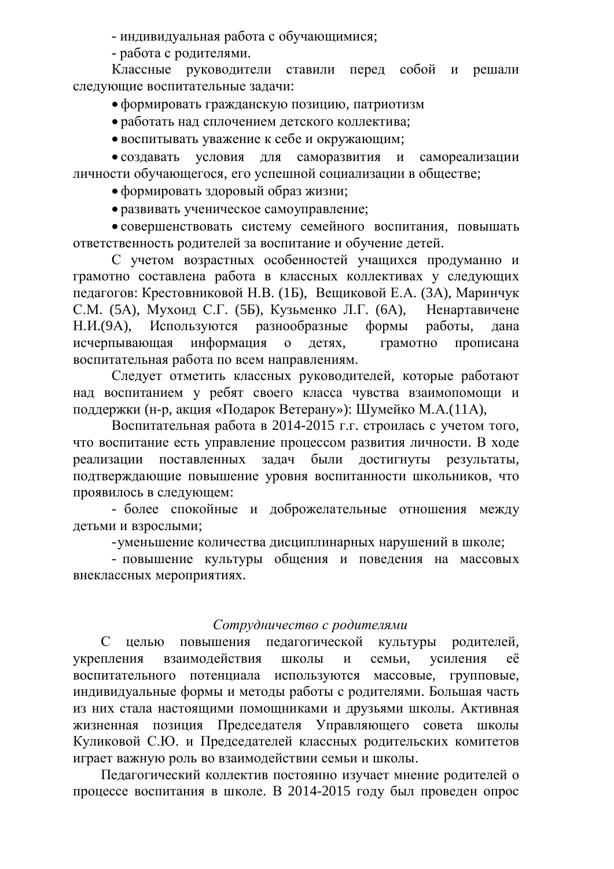- индивидуальная работа с обучающимися;

- работа с родителями.

Классные руководители ставили перед собой и решали следующие воспитательные задачи:

• формировать гражданскую позицию, патриотизм

• работать над сплочением детского коллектива;

• воспитывать уважение к себе и окружающим;

• создавать условия для саморазвития и самореализации личности обучающегося, его успешной социализации в обществе;

• формировать здоровый образ жизни;

• развивать ученическое самоуправление;

• совершенствовать систему семейного воспитания, повышать ответственность родителей за воспитание и обучение детей.

С учетом возрастных особенностей учащихся продуманно и грамотно составлена работа в классных коллективах у следующих педагогов: Крестовниковой Н.В. (1Б), Вещиковой Е.А. (3А), Маринчук С.М. (5А), Мухоид С.Г. (5Б), Кузьменко Л.Г. (6А), Ненартавичене Н.И.(9А), Используются разнообразные формы работы, дана исчерпывающая информация о детях, грамотно прописана воспитательная работа по всем направлениям.

Следует отметить классных руководителей, которые работают над воспитанием у ребят своего класса чувства взаимопомощи и поддержки (н-р, акция «Подарок Ветерану»): Шумейко М.А.(11А),

Воспитательная работа в 2014-2015 г.г. строилась с учетом того, что воспитание есть управление процессом развития личности. В ходе реализации поставленных залач были достигнуты результаты. подтверждающие повышение уровня воспитанности школьников, что проявилось в следующем:

- более спокойные и доброжелательные отношения между детьми и взрослыми;

- уменьшение количества дисциплинарных нарушений в школе;

- повышение культуры общения и поведения на массовых внеклассных мероприятиях.

# Сотрудничество с родителями

С целью повышения педагогической культуры родителей, укрепления взаимодействия школы и семьи, усиления её воспитательного потенциала используются массовые, групповые, индивидуальные формы и методы работы с родителями. Большая часть из них стала настоящими помощниками и друзьями школы. Активная жизненная позиция Председателя Управляющего совета школы Куликовой С.Ю. и Председателей классных родительских комитетов играет важную роль во взаимодействии семьи и школы.

Педагогический коллектив постоянно изучает мнение родителей о процессе воспитания в школе. В 2014-2015 году был проведен опрос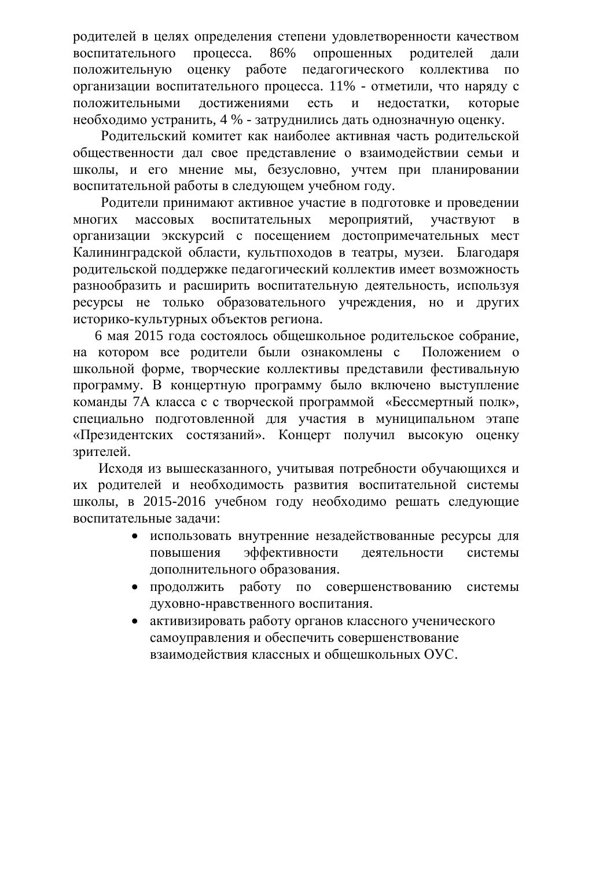родителей в целях определения степени удовлетворенности качеством воспитательного процесса. 86% опрошенных родителей дали положительную оценку работе педагогического коллектива по организации воспитательного процесса. 11% - отметили, что наряду с положительными достижениями есть и недостатки, которые необходимо устранить, 4 % - затруднились дать однозначную оценку.

Родительский комитет как наиболее активная часть родительской обшественности дал свое представление о взаимодействии семьи и школы, и его мнение мы, безусловно, учтем при планировании воспитательной работы в следующем учебном году.

Родители принимают активное участие в подготовке и проведении многих массовых воспитательных мероприятий, участвуют в организации экскурсий с посещением достопримечательных мест Калининградской области, культпоходов в театры, музеи. Благодаря родительской поддержке педагогический коллектив имеет возможность разнообразить и расширить воспитательную деятельность, используя ресурсы не только образовательного учреждения, но и других историко-культурных объектов региона.

6 мая 2015 года состоялось общешкольное родительское собрание, на котором все родители были ознакомлены с Положением о школьной форме, творческие коллективы представили фестивальную программу. В концертную программу было включено выступление команды 7А класса с с творческой программой «Бессмертный полк», специально подготовленной для участия в муниципальном этапе «Президентских состязаний». Концерт получил высокую оценку зрителей.

Исходя из вышесказанного, учитывая потребности обучающихся и их родителей и необходимость развития воспитательной системы школы, в 2015-2016 учебном году необходимо решать следующие воспитательные задачи:

- использовать внутренние незадействованные ресурсы для повышения эффективности деятельности системы дополнительного образования.
- продолжить работу по совершенствованию системы духовно-нравственного воспитания.
- активизировать работу органов классного ученического самоуправления и обеспечить совершенствование взаимолействия классных и общешкольных ОУС.